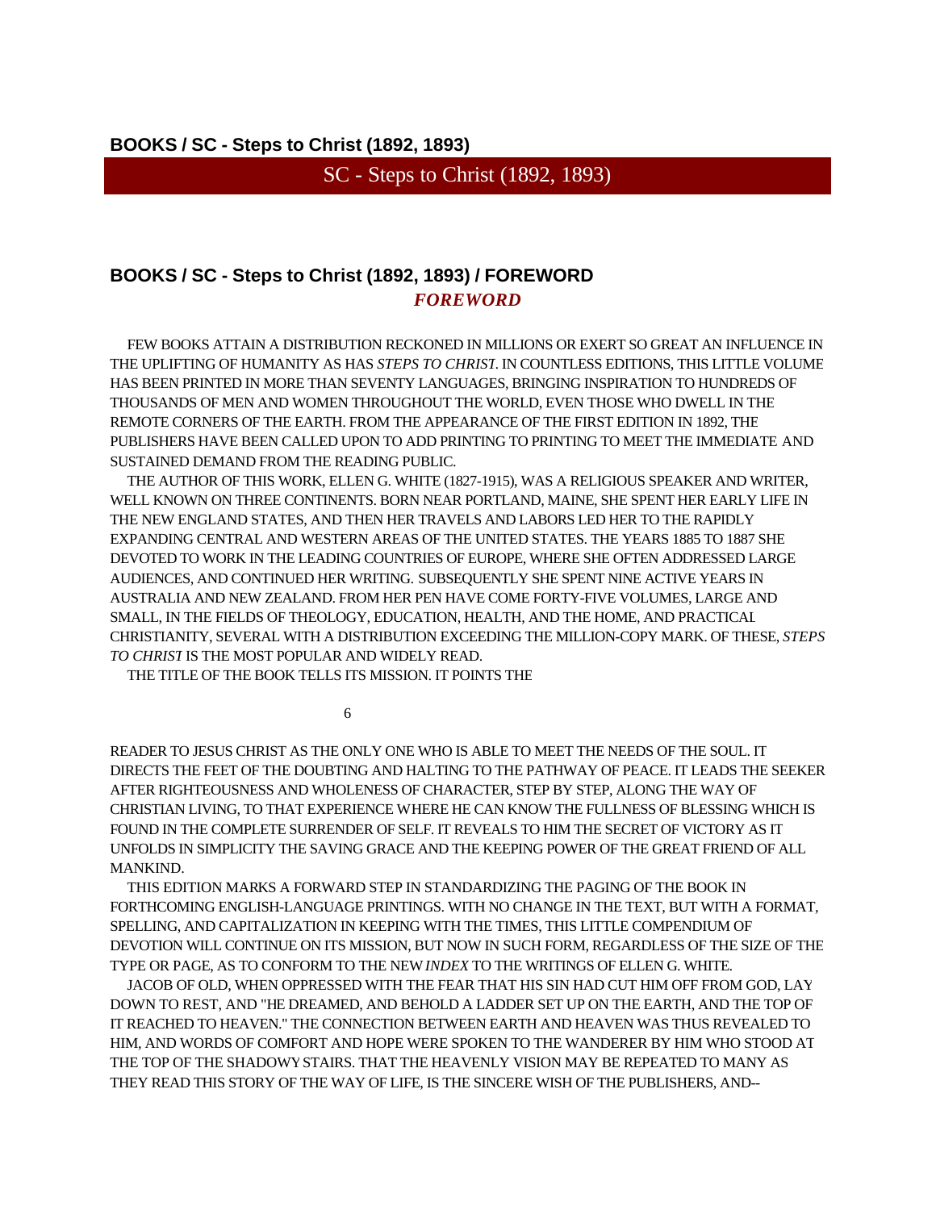**BOOKS / SC - Steps to Christ (1892, 1893)**

SC - Steps to Christ (1892, 1893)

# **BOOKS / SC - Steps to Christ (1892, 1893) / FOREWORD** *FOREWORD*

 FEW BOOKS ATTAIN A DISTRIBUTION RECKONED IN MILLIONS OR EXERT SO GREAT AN INFLUENCE IN THE UPLIFTING OF HUMANITY AS HAS *STEPS TO CHRIST*. IN COUNTLESS EDITIONS, THIS LITTLE VOLUME HAS BEEN PRINTED IN MORE THAN SEVENTY LANGUAGES, BRINGING INSPIRATION TO HUNDREDS OF THOUSANDS OF MEN AND WOMEN THROUGHOUT THE WORLD, EVEN THOSE WHO DWELL IN THE REMOTE CORNERS OF THE EARTH. FROM THE APPEARANCE OF THE FIRST EDITION IN 1892, THE PUBLISHERS HAVE BEEN CALLED UPON TO ADD PRINTING TO PRINTING TO MEET THE IMMEDIATE AND SUSTAINED DEMAND FROM THE READING PUBLIC.

 THE AUTHOR OF THIS WORK, ELLEN G. WHITE (1827-1915), WAS A RELIGIOUS SPEAKER AND WRITER, WELL KNOWN ON THREE CONTINENTS. BORN NEAR PORTLAND, MAINE, SHE SPENT HER EARLY LIFE IN THE NEW ENGLAND STATES, AND THEN HER TRAVELS AND LABORS LED HER TO THE RAPIDLY EXPANDING CENTRAL AND WESTERN AREAS OF THE UNITED STATES. THE YEARS 1885 TO 1887 SHE DEVOTED TO WORK IN THE LEADING COUNTRIES OF EUROPE, WHERE SHE OFTEN ADDRESSED LARGE AUDIENCES, AND CONTINUED HER WRITING. SUBSEQUENTLY SHE SPENT NINE ACTIVE YEARS IN AUSTRALIA AND NEW ZEALAND. FROM HER PEN HAVE COME FORTY-FIVE VOLUMES, LARGE AND SMALL, IN THE FIELDS OF THEOLOGY, EDUCATION, HEALTH, AND THE HOME, AND PRACTICAL CHRISTIANITY, SEVERAL WITH A DISTRIBUTION EXCEEDING THE MILLION-COPY MARK. OF THESE, *STEPS TO CHRIST* IS THE MOST POPULAR AND WIDELY READ.

THE TITLE OF THE BOOK TELLS ITS MISSION. IT POINTS THE

 $\sim$  6

READER TO JESUS CHRIST AS THE ONLY ONE WHO IS ABLE TO MEET THE NEEDS OF THE SOUL. IT DIRECTS THE FEET OF THE DOUBTING AND HALTING TO THE PATHWAY OF PEACE. IT LEADS THE SEEKER AFTER RIGHTEOUSNESS AND WHOLENESS OF CHARACTER, STEP BY STEP, ALONG THE WAY OF CHRISTIAN LIVING, TO THAT EXPERIENCE WHERE HE CAN KNOW THE FULLNESS OF BLESSING WHICH IS FOUND IN THE COMPLETE SURRENDER OF SELF. IT REVEALS TO HIM THE SECRET OF VICTORY AS IT UNFOLDS IN SIMPLICITY THE SAVING GRACE AND THE KEEPING POWER OF THE GREAT FRIEND OF ALL MANKIND.

 THIS EDITION MARKS A FORWARD STEP IN STANDARDIZING THE PAGING OF THE BOOK IN FORTHCOMING ENGLISH-LANGUAGE PRINTINGS. WITH NO CHANGE IN THE TEXT, BUT WITH A FORMAT, SPELLING, AND CAPITALIZATION IN KEEPING WITH THE TIMES, THIS LITTLE COMPENDIUM OF DEVOTION WILL CONTINUE ON ITS MISSION, BUT NOW IN SUCH FORM, REGARDLESS OF THE SIZE OF THE TYPE OR PAGE, AS TO CONFORM TO THE NEW *INDEX* TO THE WRITINGS OF ELLEN G. WHITE.

 JACOB OF OLD, WHEN OPPRESSED WITH THE FEAR THAT HIS SIN HAD CUT HIM OFF FROM GOD, LAY DOWN TO REST, AND "HE DREAMED, AND BEHOLD A LADDER SET UP ON THE EARTH, AND THE TOP OF IT REACHED TO HEAVEN." THE CONNECTION BETWEEN EARTH AND HEAVEN WAS THUS REVEALED TO HIM, AND WORDS OF COMFORT AND HOPE WERE SPOKEN TO THE WANDERER BY HIM WHO STOOD AT THE TOP OF THE SHADOWY STAIRS. THAT THE HEAVENLY VISION MAY BE REPEATED TO MANY AS THEY READ THIS STORY OF THE WAY OF LIFE, IS THE SINCERE WISH OF THE PUBLISHERS, AND--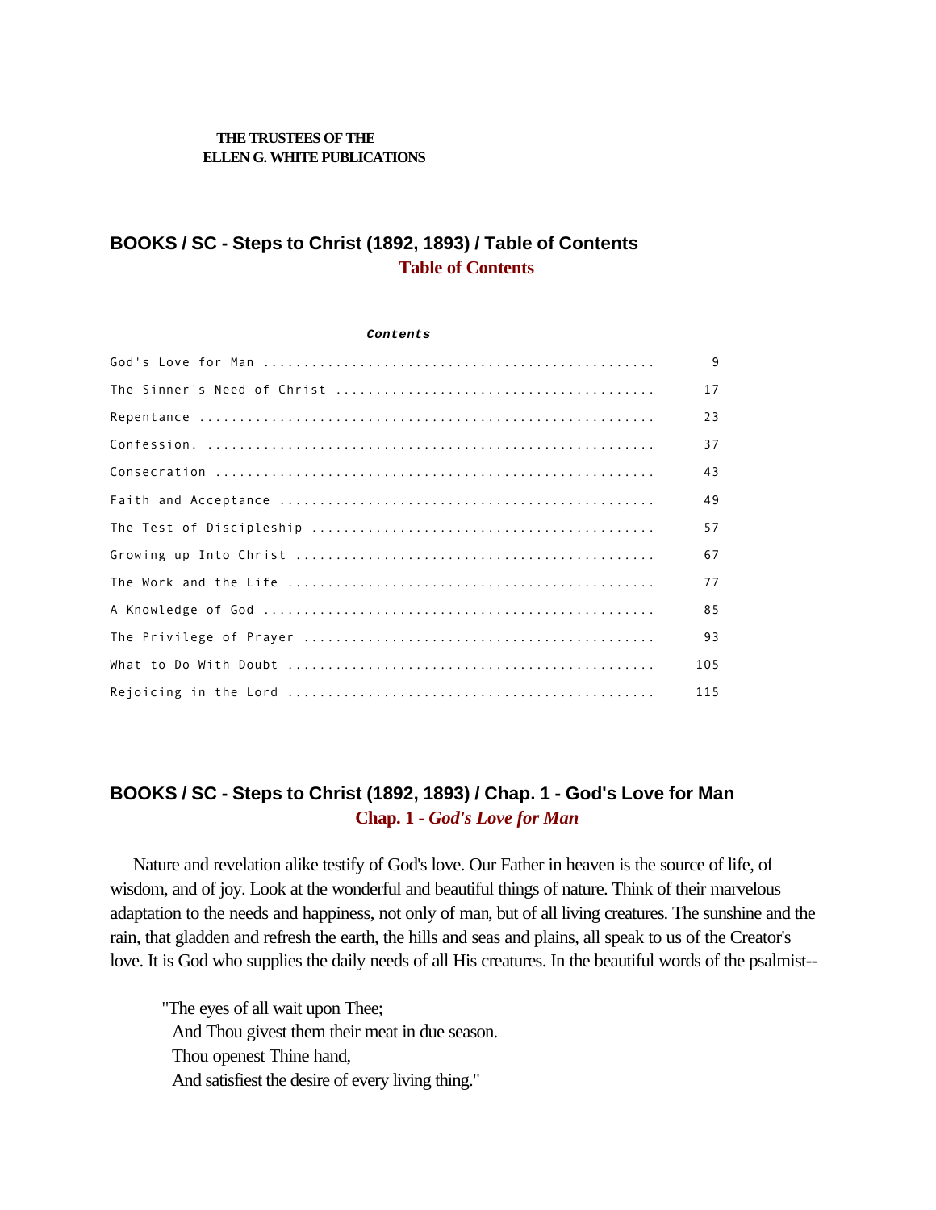## **THE TRUSTEES OF THE ELLEN G. WHITE PUBLICATIONS**

# **BOOKS / SC - Steps to Christ (1892, 1893) / Table of Contents Table of Contents**

#### *Contents*

| $\mathsf{q}$ |
|--------------|
| 17           |
| 23           |
| 37           |
| 43           |
| 49           |
| 57           |
| 67           |
| 77           |
| 85           |
| 93           |
| 105          |
| 115          |

# **BOOKS / SC - Steps to Christ (1892, 1893) / Chap. 1 - God's Love for Man Chap. 1 -** *God's Love for Man*

 Nature and revelation alike testify of God's love. Our Father in heaven is the source of life, of wisdom, and of joy. Look at the wonderful and beautiful things of nature. Think of their marvelous adaptation to the needs and happiness, not only of man, but of all living creatures. The sunshine and the rain, that gladden and refresh the earth, the hills and seas and plains, all speak to us of the Creator's love. It is God who supplies the daily needs of all His creatures. In the beautiful words of the psalmist--

 "The eyes of all wait upon Thee; And Thou givest them their meat in due season. Thou openest Thine hand, And satisfiest the desire of every living thing."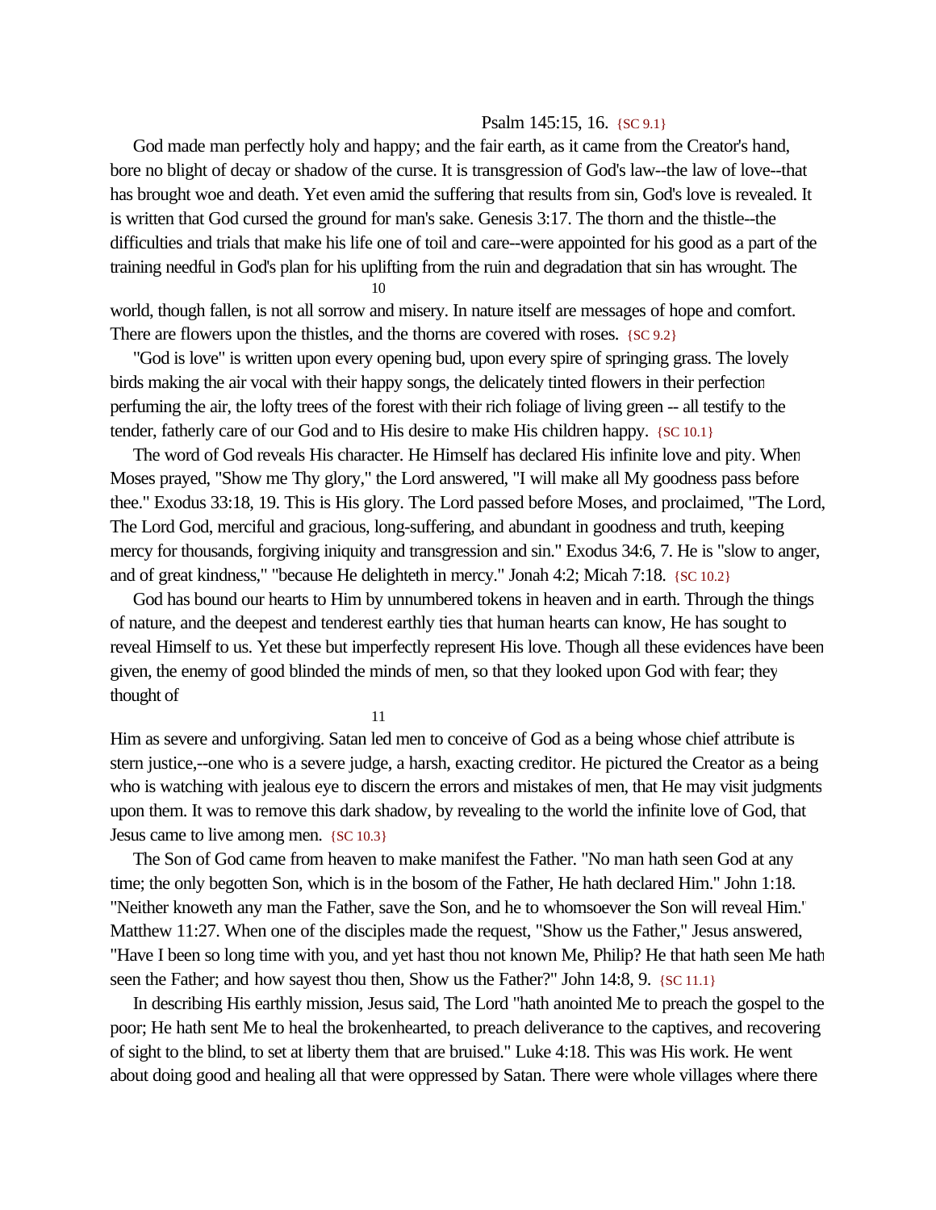## Psalm 145:15, 16. {SC 9.1}

 God made man perfectly holy and happy; and the fair earth, as it came from the Creator's hand, bore no blight of decay or shadow of the curse. It is transgression of God's law--the law of love--that has brought woe and death. Yet even amid the suffering that results from sin, God's love is revealed. It is written that God cursed the ground for man's sake. Genesis 3:17. The thorn and the thistle--the difficulties and trials that make his life one of toil and care--were appointed for his good as a part of the training needful in God's plan for his uplifting from the ruin and degradation that sin has wrought. The

10

world, though fallen, is not all sorrow and misery. In nature itself are messages of hope and comfort. There are flowers upon the thistles, and the thorns are covered with roses. {SC 9.2}

 "God is love" is written upon every opening bud, upon every spire of springing grass. The lovely birds making the air vocal with their happy songs, the delicately tinted flowers in their perfection perfuming the air, the lofty trees of the forest with their rich foliage of living green -- all testify to the tender, fatherly care of our God and to His desire to make His children happy. {SC 10.1}

 The word of God reveals His character. He Himself has declared His infinite love and pity. When Moses prayed, "Show me Thy glory," the Lord answered, "I will make all My goodness pass before thee." Exodus 33:18, 19. This is His glory. The Lord passed before Moses, and proclaimed, "The Lord, The Lord God, merciful and gracious, long-suffering, and abundant in goodness and truth, keeping mercy for thousands, forgiving iniquity and transgression and sin." Exodus 34:6, 7. He is "slow to anger, and of great kindness," "because He delighteth in mercy." Jonah 4:2; Micah 7:18. {SC 10.2}

 God has bound our hearts to Him by unnumbered tokens in heaven and in earth. Through the things of nature, and the deepest and tenderest earthly ties that human hearts can know, He has sought to reveal Himself to us. Yet these but imperfectly represent His love. Though all these evidences have been given, the enemy of good blinded the minds of men, so that they looked upon God with fear; they thought of

11

Him as severe and unforgiving. Satan led men to conceive of God as a being whose chief attribute is stern justice,--one who is a severe judge, a harsh, exacting creditor. He pictured the Creator as a being who is watching with jealous eye to discern the errors and mistakes of men, that He may visit judgments upon them. It was to remove this dark shadow, by revealing to the world the infinite love of God, that Jesus came to live among men. {SC 10.3}

 The Son of God came from heaven to make manifest the Father. "No man hath seen God at any time; the only begotten Son, which is in the bosom of the Father, He hath declared Him." John 1:18. "Neither knoweth any man the Father, save the Son, and he to whomsoever the Son will reveal Him." Matthew 11:27. When one of the disciples made the request, "Show us the Father," Jesus answered, "Have I been so long time with you, and yet hast thou not known Me, Philip? He that hath seen Me hath seen the Father; and how sayest thou then, Show us the Father?" John 14:8, 9. {SC 11.1}

 In describing His earthly mission, Jesus said, The Lord "hath anointed Me to preach the gospel to the poor; He hath sent Me to heal the brokenhearted, to preach deliverance to the captives, and recovering of sight to the blind, to set at liberty them that are bruised." Luke 4:18. This was His work. He went about doing good and healing all that were oppressed by Satan. There were whole villages where there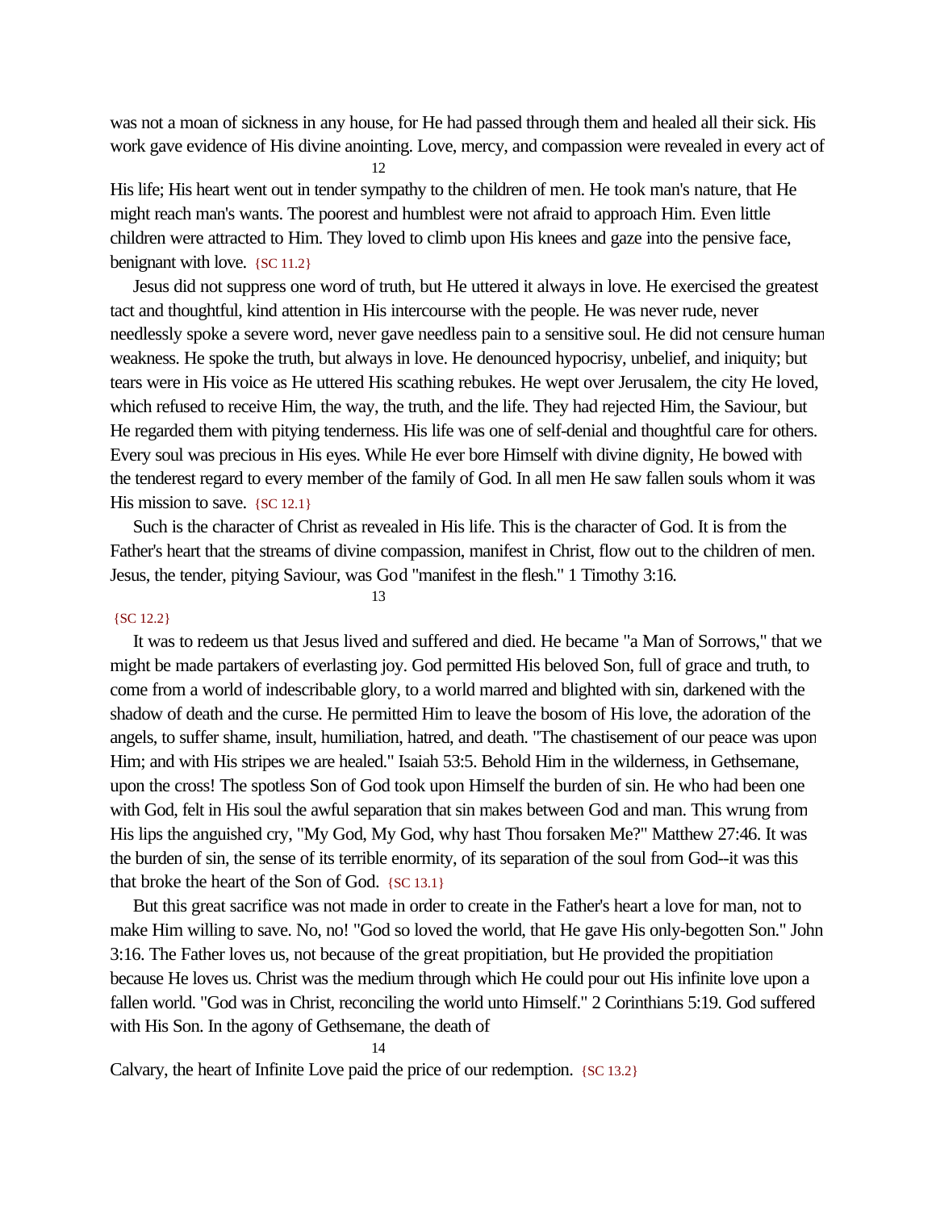was not a moan of sickness in any house, for He had passed through them and healed all their sick. His work gave evidence of His divine anointing. Love, mercy, and compassion were revealed in every act of

12

13

His life; His heart went out in tender sympathy to the children of men. He took man's nature, that He might reach man's wants. The poorest and humblest were not afraid to approach Him. Even little children were attracted to Him. They loved to climb upon His knees and gaze into the pensive face, benignant with love. {SC 11.2}

 Jesus did not suppress one word of truth, but He uttered it always in love. He exercised the greatest tact and thoughtful, kind attention in His intercourse with the people. He was never rude, never needlessly spoke a severe word, never gave needless pain to a sensitive soul. He did not censure human weakness. He spoke the truth, but always in love. He denounced hypocrisy, unbelief, and iniquity; but tears were in His voice as He uttered His scathing rebukes. He wept over Jerusalem, the city He loved, which refused to receive Him, the way, the truth, and the life. They had rejected Him, the Saviour, but He regarded them with pitying tenderness. His life was one of self-denial and thoughtful care for others. Every soul was precious in His eyes. While He ever bore Himself with divine dignity, He bowed with the tenderest regard to every member of the family of God. In all men He saw fallen souls whom it was His mission to save. {SC 12.1}

 Such is the character of Christ as revealed in His life. This is the character of God. It is from the Father's heart that the streams of divine compassion, manifest in Christ, flow out to the children of men. Jesus, the tender, pitying Saviour, was God "manifest in the flesh." 1 Timothy 3:16.

### {SC 12.2}

 It was to redeem us that Jesus lived and suffered and died. He became "a Man of Sorrows," that we might be made partakers of everlasting joy. God permitted His beloved Son, full of grace and truth, to come from a world of indescribable glory, to a world marred and blighted with sin, darkened with the shadow of death and the curse. He permitted Him to leave the bosom of His love, the adoration of the angels, to suffer shame, insult, humiliation, hatred, and death. "The chastisement of our peace was upon Him; and with His stripes we are healed." Isaiah 53:5. Behold Him in the wilderness, in Gethsemane, upon the cross! The spotless Son of God took upon Himself the burden of sin. He who had been one with God, felt in His soul the awful separation that sin makes between God and man. This wrung from His lips the anguished cry, "My God, My God, why hast Thou forsaken Me?" Matthew 27:46. It was the burden of sin, the sense of its terrible enormity, of its separation of the soul from God--it was this that broke the heart of the Son of God. {SC 13.1}

 But this great sacrifice was not made in order to create in the Father's heart a love for man, not to make Him willing to save. No, no! "God so loved the world, that He gave His only-begotten Son." John 3:16. The Father loves us, not because of the great propitiation, but He provided the propitiation because He loves us. Christ was the medium through which He could pour out His infinite love upon a fallen world. "God was in Christ, reconciling the world unto Himself." 2 Corinthians 5:19. God suffered with His Son. In the agony of Gethsemane, the death of

$$
14\,
$$

Calvary, the heart of Infinite Love paid the price of our redemption. {SC 13.2}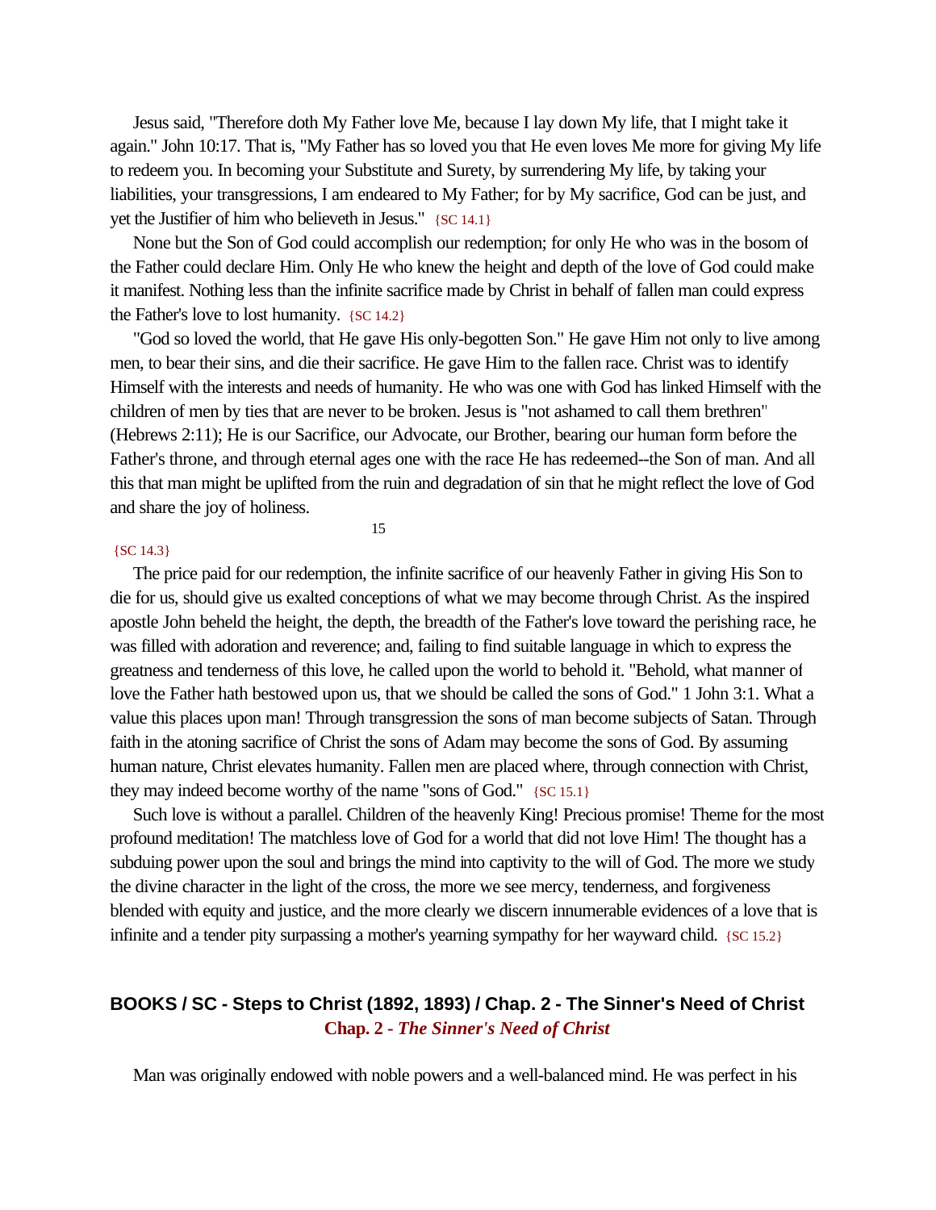Jesus said, "Therefore doth My Father love Me, because I lay down My life, that I might take it again." John 10:17. That is, "My Father has so loved you that He even loves Me more for giving My life to redeem you. In becoming your Substitute and Surety, by surrendering My life, by taking your liabilities, your transgressions, I am endeared to My Father; for by My sacrifice, God can be just, and yet the Justifier of him who believeth in Jesus." {SC 14.1}

 None but the Son of God could accomplish our redemption; for only He who was in the bosom of the Father could declare Him. Only He who knew the height and depth of the love of God could make it manifest. Nothing less than the infinite sacrifice made by Christ in behalf of fallen man could express the Father's love to lost humanity. {SC 14.2}

 "God so loved the world, that He gave His only-begotten Son." He gave Him not only to live among men, to bear their sins, and die their sacrifice. He gave Him to the fallen race. Christ was to identify Himself with the interests and needs of humanity. He who was one with God has linked Himself with the children of men by ties that are never to be broken. Jesus is "not ashamed to call them brethren" (Hebrews 2:11); He is our Sacrifice, our Advocate, our Brother, bearing our human form before the Father's throne, and through eternal ages one with the race He has redeemed--the Son of man. And all this that man might be uplifted from the ruin and degradation of sin that he might reflect the love of God and share the joy of holiness.

#### {SC 14.3}

15

 The price paid for our redemption, the infinite sacrifice of our heavenly Father in giving His Son to die for us, should give us exalted conceptions of what we may become through Christ. As the inspired apostle John beheld the height, the depth, the breadth of the Father's love toward the perishing race, he was filled with adoration and reverence; and, failing to find suitable language in which to express the greatness and tenderness of this love, he called upon the world to behold it. "Behold, what manner of love the Father hath bestowed upon us, that we should be called the sons of God." 1 John 3:1. What a value this places upon man! Through transgression the sons of man become subjects of Satan. Through faith in the atoning sacrifice of Christ the sons of Adam may become the sons of God. By assuming human nature, Christ elevates humanity. Fallen men are placed where, through connection with Christ, they may indeed become worthy of the name "sons of God." {SC 15.1}

 Such love is without a parallel. Children of the heavenly King! Precious promise! Theme for the most profound meditation! The matchless love of God for a world that did not love Him! The thought has a subduing power upon the soul and brings the mind into captivity to the will of God. The more we study the divine character in the light of the cross, the more we see mercy, tenderness, and forgiveness blended with equity and justice, and the more clearly we discern innumerable evidences of a love that is infinite and a tender pity surpassing a mother's yearning sympathy for her wayward child. {SC 15.2}

# **BOOKS / SC - Steps to Christ (1892, 1893) / Chap. 2 - The Sinner's Need of Christ Chap. 2 -** *The Sinner's Need of Christ*

Man was originally endowed with noble powers and a well-balanced mind. He was perfect in his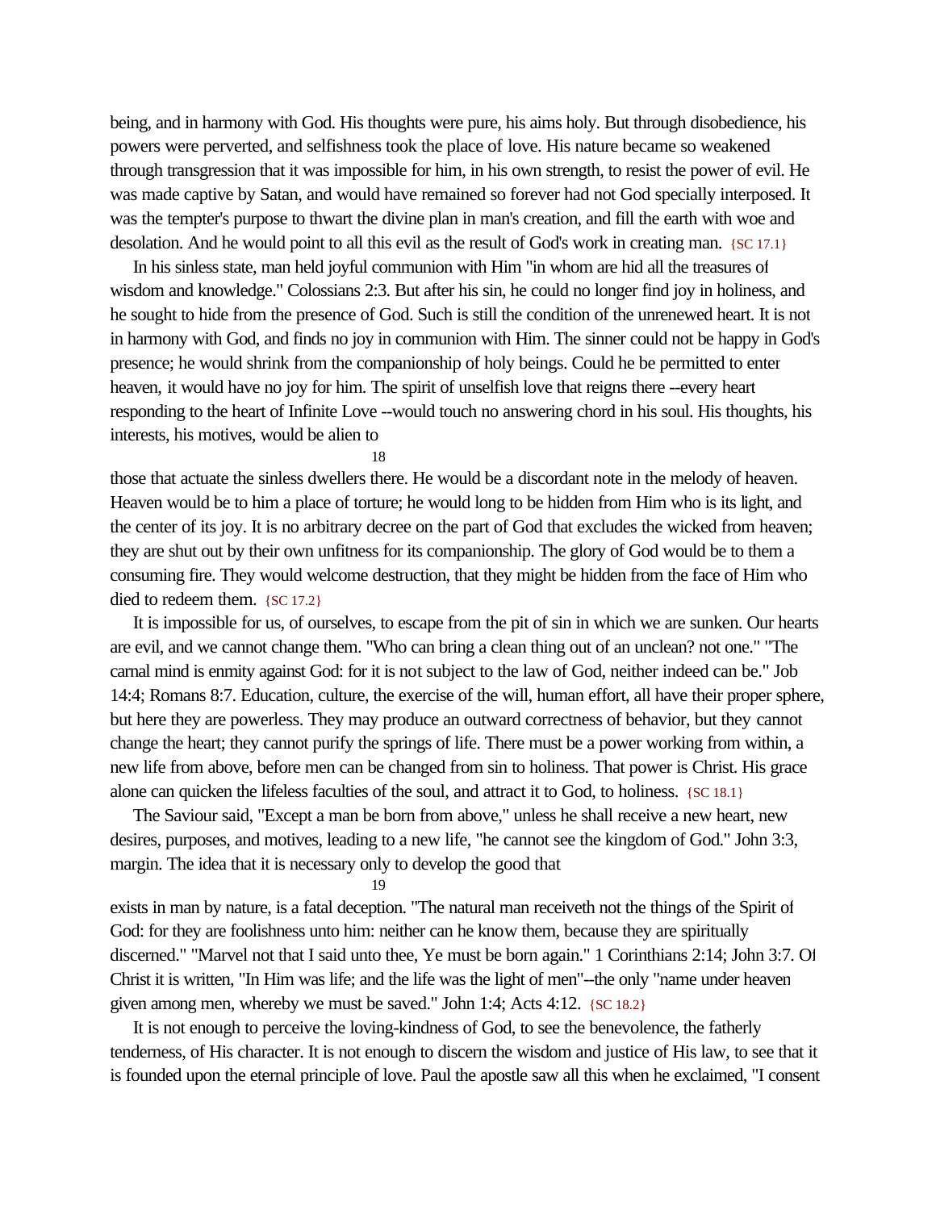being, and in harmony with God. His thoughts were pure, his aims holy. But through disobedience, his powers were perverted, and selfishness took the place of love. His nature became so weakened through transgression that it was impossible for him, in his own strength, to resist the power of evil. He was made captive by Satan, and would have remained so forever had not God specially interposed. It was the tempter's purpose to thwart the divine plan in man's creation, and fill the earth with woe and desolation. And he would point to all this evil as the result of God's work in creating man. {SC 17.1}

 In his sinless state, man held joyful communion with Him "in whom are hid all the treasures of wisdom and knowledge." Colossians 2:3. But after his sin, he could no longer find joy in holiness, and he sought to hide from the presence of God. Such is still the condition of the unrenewed heart. It is not in harmony with God, and finds no joy in communion with Him. The sinner could not be happy in God's presence; he would shrink from the companionship of holy beings. Could he be permitted to enter heaven, it would have no joy for him. The spirit of unselfish love that reigns there --every heart responding to the heart of Infinite Love --would touch no answering chord in his soul. His thoughts, his interests, his motives, would be alien to

18

those that actuate the sinless dwellers there. He would be a discordant note in the melody of heaven. Heaven would be to him a place of torture; he would long to be hidden from Him who is its light, and the center of its joy. It is no arbitrary decree on the part of God that excludes the wicked from heaven; they are shut out by their own unfitness for its companionship. The glory of God would be to them a consuming fire. They would welcome destruction, that they might be hidden from the face of Him who died to redeem them. {SC 17.2}

 It is impossible for us, of ourselves, to escape from the pit of sin in which we are sunken. Our hearts are evil, and we cannot change them. "Who can bring a clean thing out of an unclean? not one." "The carnal mind is enmity against God: for it is not subject to the law of God, neither indeed can be." Job 14:4; Romans 8:7. Education, culture, the exercise of the will, human effort, all have their proper sphere, but here they are powerless. They may produce an outward correctness of behavior, but they cannot change the heart; they cannot purify the springs of life. There must be a power working from within, a new life from above, before men can be changed from sin to holiness. That power is Christ. His grace alone can quicken the lifeless faculties of the soul, and attract it to God, to holiness. {SC 18.1}

 The Saviour said, "Except a man be born from above," unless he shall receive a new heart, new desires, purposes, and motives, leading to a new life, "he cannot see the kingdom of God." John 3:3, margin. The idea that it is necessary only to develop the good that

19

exists in man by nature, is a fatal deception. "The natural man receiveth not the things of the Spirit of God: for they are foolishness unto him: neither can he know them, because they are spiritually discerned." "Marvel not that I said unto thee, Ye must be born again." 1 Corinthians 2:14; John 3:7. Of Christ it is written, "In Him was life; and the life was the light of men"--the only "name under heaven given among men, whereby we must be saved." John 1:4; Acts 4:12. {SC 18.2}

 It is not enough to perceive the loving-kindness of God, to see the benevolence, the fatherly tenderness, of His character. It is not enough to discern the wisdom and justice of His law, to see that it is founded upon the eternal principle of love. Paul the apostle saw all this when he exclaimed, "I consent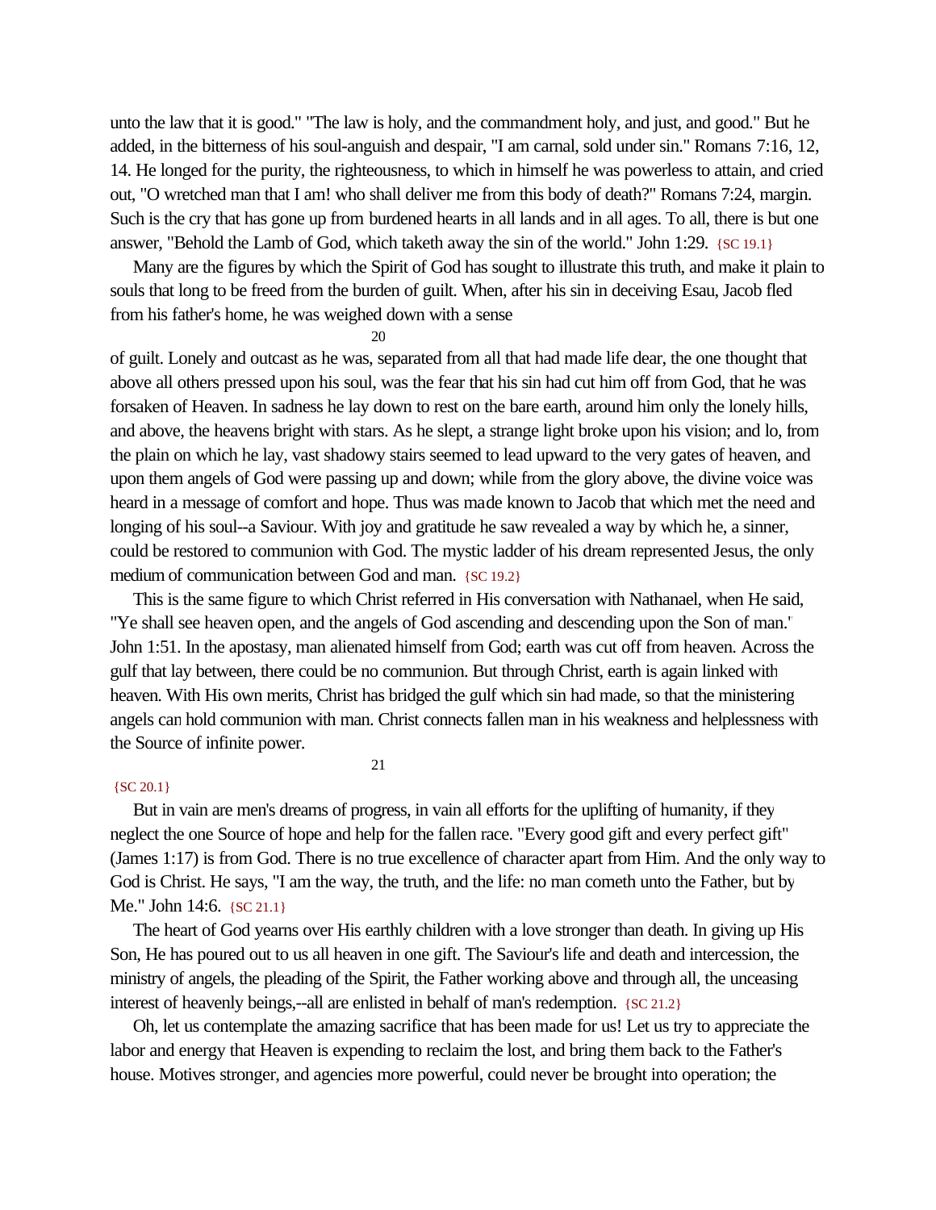unto the law that it is good." "The law is holy, and the commandment holy, and just, and good." But he added, in the bitterness of his soul-anguish and despair, "I am carnal, sold under sin." Romans 7:16, 12, 14. He longed for the purity, the righteousness, to which in himself he was powerless to attain, and cried out, "O wretched man that I am! who shall deliver me from this body of death?" Romans 7:24, margin. Such is the cry that has gone up from burdened hearts in all lands and in all ages. To all, there is but one answer, "Behold the Lamb of God, which taketh away the sin of the world." John 1:29. {SC 19.1}

 Many are the figures by which the Spirit of God has sought to illustrate this truth, and make it plain to souls that long to be freed from the burden of guilt. When, after his sin in deceiving Esau, Jacob fled from his father's home, he was weighed down with a sense

20

of guilt. Lonely and outcast as he was, separated from all that had made life dear, the one thought that above all others pressed upon his soul, was the fear that his sin had cut him off from God, that he was forsaken of Heaven. In sadness he lay down to rest on the bare earth, around him only the lonely hills, and above, the heavens bright with stars. As he slept, a strange light broke upon his vision; and lo, from the plain on which he lay, vast shadowy stairs seemed to lead upward to the very gates of heaven, and upon them angels of God were passing up and down; while from the glory above, the divine voice was heard in a message of comfort and hope. Thus was made known to Jacob that which met the need and longing of his soul--a Saviour. With joy and gratitude he saw revealed a way by which he, a sinner, could be restored to communion with God. The mystic ladder of his dream represented Jesus, the only medium of communication between God and man. {SC 19.2}

 This is the same figure to which Christ referred in His conversation with Nathanael, when He said, "Ye shall see heaven open, and the angels of God ascending and descending upon the Son of man." John 1:51. In the apostasy, man alienated himself from God; earth was cut off from heaven. Across the gulf that lay between, there could be no communion. But through Christ, earth is again linked with heaven. With His own merits, Christ has bridged the gulf which sin had made, so that the ministering angels can hold communion with man. Christ connects fallen man in his weakness and helplessness with the Source of infinite power.

#### {SC 20.1}

21

 But in vain are men's dreams of progress, in vain all efforts for the uplifting of humanity, if they neglect the one Source of hope and help for the fallen race. "Every good gift and every perfect gift" (James 1:17) is from God. There is no true excellence of character apart from Him. And the only way to God is Christ. He says, "I am the way, the truth, and the life: no man cometh unto the Father, but by Me." John 14:6. {SC 21.1}

 The heart of God yearns over His earthly children with a love stronger than death. In giving up His Son, He has poured out to us all heaven in one gift. The Saviour's life and death and intercession, the ministry of angels, the pleading of the Spirit, the Father working above and through all, the unceasing interest of heavenly beings,--all are enlisted in behalf of man's redemption. {SC 21.2}

 Oh, let us contemplate the amazing sacrifice that has been made for us! Let us try to appreciate the labor and energy that Heaven is expending to reclaim the lost, and bring them back to the Father's house. Motives stronger, and agencies more powerful, could never be brought into operation; the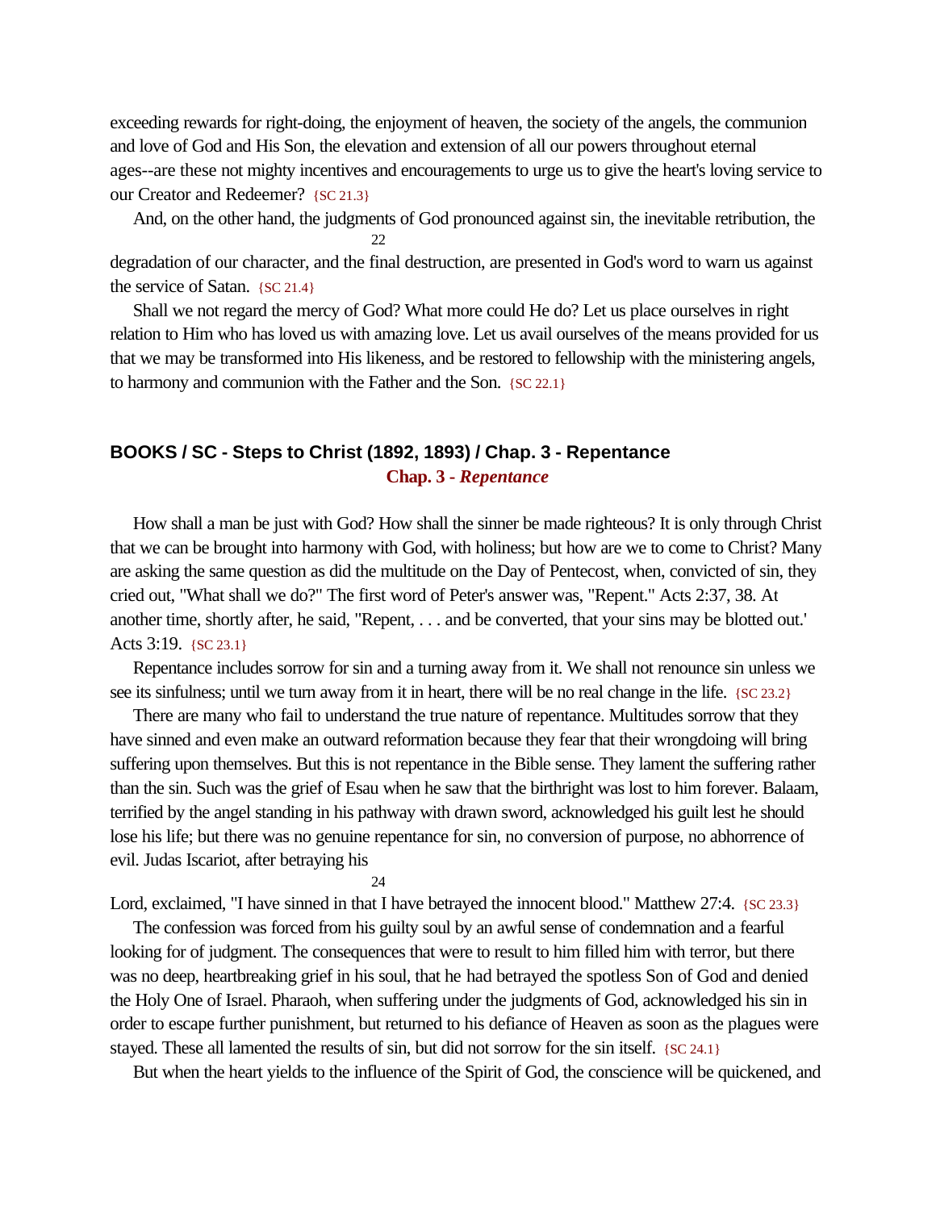exceeding rewards for right-doing, the enjoyment of heaven, the society of the angels, the communion and love of God and His Son, the elevation and extension of all our powers throughout eternal ages--are these not mighty incentives and encouragements to urge us to give the heart's loving service to our Creator and Redeemer? {SC 21.3}

 And, on the other hand, the judgments of God pronounced against sin, the inevitable retribution, the <u>22</u>

degradation of our character, and the final destruction, are presented in God's word to warn us against the service of Satan. {SC 21.4}

 Shall we not regard the mercy of God? What more could He do? Let us place ourselves in right relation to Him who has loved us with amazing love. Let us avail ourselves of the means provided for us that we may be transformed into His likeness, and be restored to fellowship with the ministering angels, to harmony and communion with the Father and the Son. {SC 22.1}

# **BOOKS / SC - Steps to Christ (1892, 1893) / Chap. 3 - Repentance Chap. 3 -** *Repentance*

 How shall a man be just with God? How shall the sinner be made righteous? It is only through Christ that we can be brought into harmony with God, with holiness; but how are we to come to Christ? Many are asking the same question as did the multitude on the Day of Pentecost, when, convicted of sin, they cried out, "What shall we do?" The first word of Peter's answer was, "Repent." Acts 2:37, 38. At another time, shortly after, he said, "Repent, . . . and be converted, that your sins may be blotted out." Acts 3:19. {SC 23.1}

 Repentance includes sorrow for sin and a turning away from it. We shall not renounce sin unless we see its sinfulness; until we turn away from it in heart, there will be no real change in the life. {SC 23.2}

 There are many who fail to understand the true nature of repentance. Multitudes sorrow that they have sinned and even make an outward reformation because they fear that their wrongdoing will bring suffering upon themselves. But this is not repentance in the Bible sense. They lament the suffering rather than the sin. Such was the grief of Esau when he saw that the birthright was lost to him forever. Balaam, terrified by the angel standing in his pathway with drawn sword, acknowledged his guilt lest he should lose his life; but there was no genuine repentance for sin, no conversion of purpose, no abhorrence of evil. Judas Iscariot, after betraying his

## 24

Lord, exclaimed, "I have sinned in that I have betrayed the innocent blood." Matthew 27:4. {SC 23.3}

 The confession was forced from his guilty soul by an awful sense of condemnation and a fearful looking for of judgment. The consequences that were to result to him filled him with terror, but there was no deep, heartbreaking grief in his soul, that he had betrayed the spotless Son of God and denied the Holy One of Israel. Pharaoh, when suffering under the judgments of God, acknowledged his sin in order to escape further punishment, but returned to his defiance of Heaven as soon as the plagues were stayed. These all lamented the results of sin, but did not sorrow for the sin itself. {SC 24.1}

But when the heart yields to the influence of the Spirit of God, the conscience will be quickened, and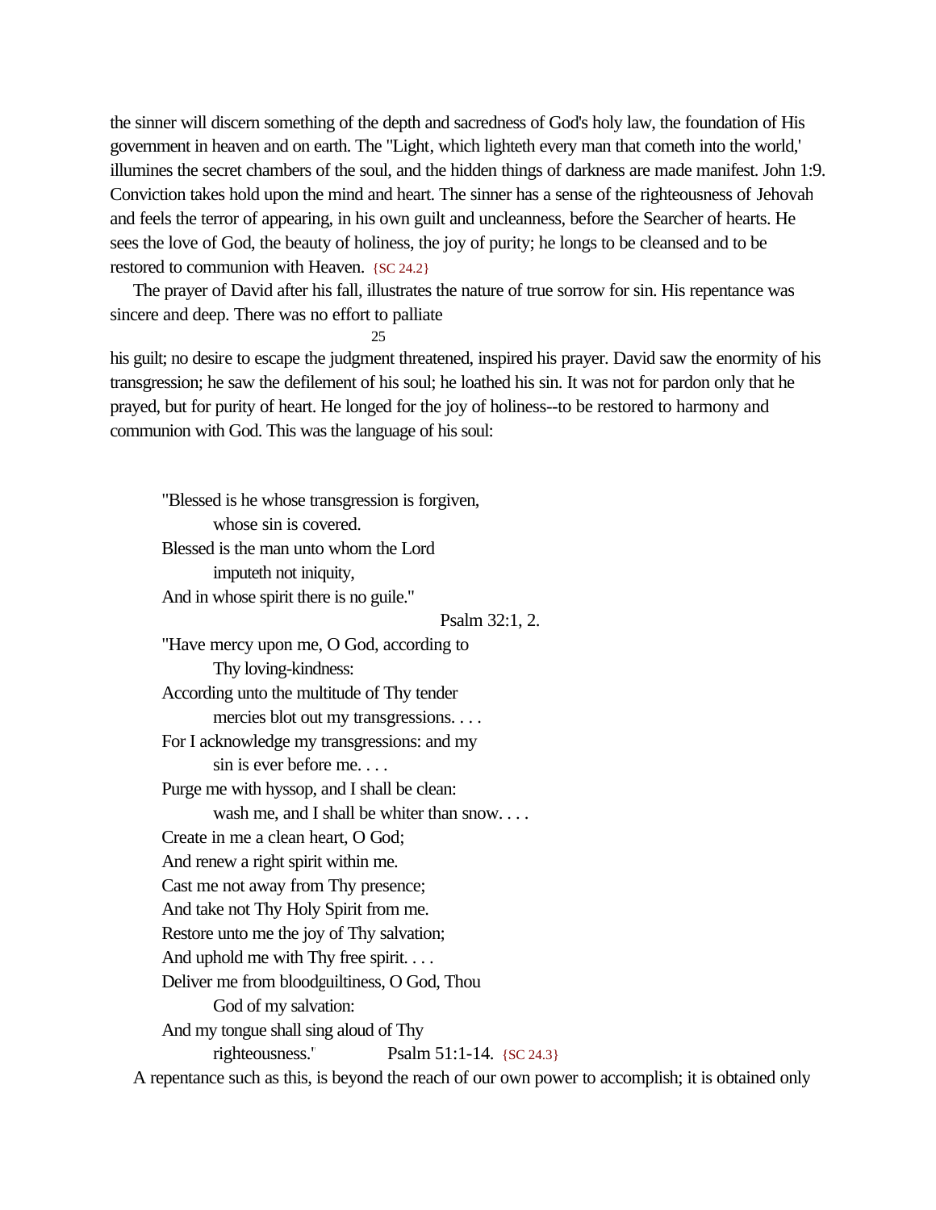the sinner will discern something of the depth and sacredness of God's holy law, the foundation of His government in heaven and on earth. The "Light, which lighteth every man that cometh into the world," illumines the secret chambers of the soul, and the hidden things of darkness are made manifest. John 1:9. Conviction takes hold upon the mind and heart. The sinner has a sense of the righteousness of Jehovah and feels the terror of appearing, in his own guilt and uncleanness, before the Searcher of hearts. He sees the love of God, the beauty of holiness, the joy of purity; he longs to be cleansed and to be restored to communion with Heaven. {SC 24.2}

 The prayer of David after his fall, illustrates the nature of true sorrow for sin. His repentance was sincere and deep. There was no effort to palliate

25

his guilt; no desire to escape the judgment threatened, inspired his prayer. David saw the enormity of his transgression; he saw the defilement of his soul; he loathed his sin. It was not for pardon only that he prayed, but for purity of heart. He longed for the joy of holiness--to be restored to harmony and communion with God. This was the language of his soul:

 "Blessed is he whose transgression is forgiven, whose sin is covered. Blessed is the man unto whom the Lord imputeth not iniquity, And in whose spirit there is no guile."

Psalm 32:1, 2.

 "Have mercy upon me, O God, according to Thy loving-kindness: According unto the multitude of Thy tender mercies blot out my transgressions. . . . For I acknowledge my transgressions: and my sin is ever before me. . . . Purge me with hyssop, and I shall be clean: wash me, and I shall be whiter than snow.... Create in me a clean heart, O God; And renew a right spirit within me. Cast me not away from Thy presence; And take not Thy Holy Spirit from me. Restore unto me the joy of Thy salvation; And uphold me with Thy free spirit. . . . Deliver me from bloodguiltiness, O God, Thou God of my salvation: And my tongue shall sing aloud of Thy righteousness." Psalm 51:1-14. {SC 24.3}

A repentance such as this, is beyond the reach of our own power to accomplish; it is obtained only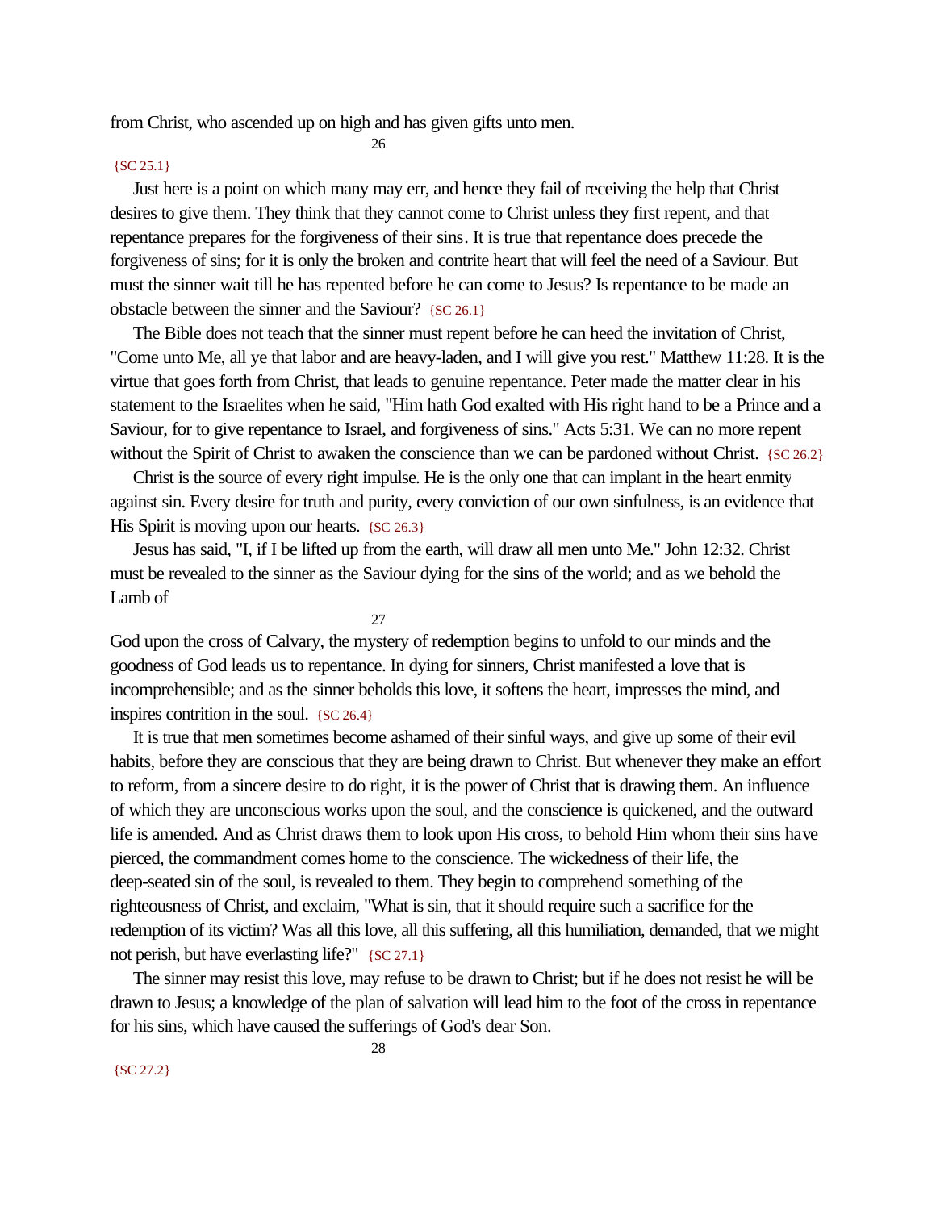from Christ, who ascended up on high and has given gifts unto men.

26

### ${SC 25.1}$

 Just here is a point on which many may err, and hence they fail of receiving the help that Christ desires to give them. They think that they cannot come to Christ unless they first repent, and that repentance prepares for the forgiveness of their sins. It is true that repentance does precede the forgiveness of sins; for it is only the broken and contrite heart that will feel the need of a Saviour. But must the sinner wait till he has repented before he can come to Jesus? Is repentance to be made an obstacle between the sinner and the Saviour? {SC 26.1}

 The Bible does not teach that the sinner must repent before he can heed the invitation of Christ, "Come unto Me, all ye that labor and are heavy-laden, and I will give you rest." Matthew 11:28. It is the virtue that goes forth from Christ, that leads to genuine repentance. Peter made the matter clear in his statement to the Israelites when he said, "Him hath God exalted with His right hand to be a Prince and a Saviour, for to give repentance to Israel, and forgiveness of sins." Acts 5:31. We can no more repent without the Spirit of Christ to awaken the conscience than we can be pardoned without Christ. {SC 26.2}

 Christ is the source of every right impulse. He is the only one that can implant in the heart enmity against sin. Every desire for truth and purity, every conviction of our own sinfulness, is an evidence that His Spirit is moving upon our hearts. {SC 26.3}

 Jesus has said, "I, if I be lifted up from the earth, will draw all men unto Me." John 12:32. Christ must be revealed to the sinner as the Saviour dying for the sins of the world; and as we behold the Lamb of

<u>27 and 27</u>

God upon the cross of Calvary, the mystery of redemption begins to unfold to our minds and the goodness of God leads us to repentance. In dying for sinners, Christ manifested a love that is incomprehensible; and as the sinner beholds this love, it softens the heart, impresses the mind, and inspires contrition in the soul. {SC 26.4}

 It is true that men sometimes become ashamed of their sinful ways, and give up some of their evil habits, before they are conscious that they are being drawn to Christ. But whenever they make an effort to reform, from a sincere desire to do right, it is the power of Christ that is drawing them. An influence of which they are unconscious works upon the soul, and the conscience is quickened, and the outward life is amended. And as Christ draws them to look upon His cross, to behold Him whom their sins have pierced, the commandment comes home to the conscience. The wickedness of their life, the deep-seated sin of the soul, is revealed to them. They begin to comprehend something of the righteousness of Christ, and exclaim, "What is sin, that it should require such a sacrifice for the redemption of its victim? Was all this love, all this suffering, all this humiliation, demanded, that we might not perish, but have everlasting life?" {SC 27.1}

 The sinner may resist this love, may refuse to be drawn to Christ; but if he does not resist he will be drawn to Jesus; a knowledge of the plan of salvation will lead him to the foot of the cross in repentance for his sins, which have caused the sufferings of God's dear Son.

{SC 27.2}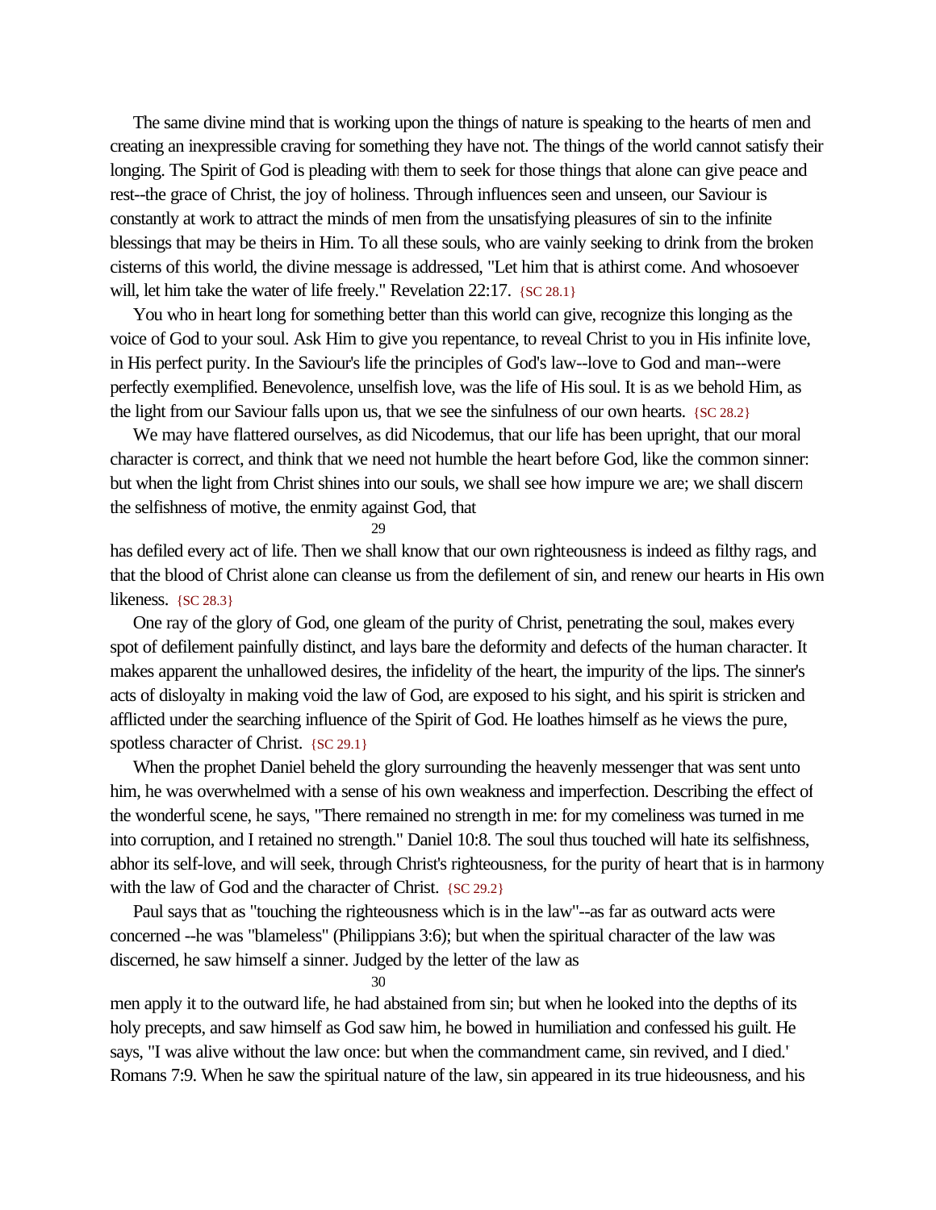The same divine mind that is working upon the things of nature is speaking to the hearts of men and creating an inexpressible craving for something they have not. The things of the world cannot satisfy their longing. The Spirit of God is pleading with them to seek for those things that alone can give peace and rest--the grace of Christ, the joy of holiness. Through influences seen and unseen, our Saviour is constantly at work to attract the minds of men from the unsatisfying pleasures of sin to the infinite blessings that may be theirs in Him. To all these souls, who are vainly seeking to drink from the broken cisterns of this world, the divine message is addressed, "Let him that is athirst come. And whosoever will, let him take the water of life freely." Revelation 22:17. {SC 28.1}

 You who in heart long for something better than this world can give, recognize this longing as the voice of God to your soul. Ask Him to give you repentance, to reveal Christ to you in His infinite love, in His perfect purity. In the Saviour's life the principles of God's law--love to God and man--were perfectly exemplified. Benevolence, unselfish love, was the life of His soul. It is as we behold Him, as the light from our Saviour falls upon us, that we see the sinfulness of our own hearts. {SC 28.2}

 We may have flattered ourselves, as did Nicodemus, that our life has been upright, that our moral character is correct, and think that we need not humble the heart before God, like the common sinner: but when the light from Christ shines into our souls, we shall see how impure we are; we shall discern the selfishness of motive, the enmity against God, that

29

has defiled every act of life. Then we shall know that our own righteousness is indeed as filthy rags, and that the blood of Christ alone can cleanse us from the defilement of sin, and renew our hearts in His own likeness. {SC 28.3}

 One ray of the glory of God, one gleam of the purity of Christ, penetrating the soul, makes every spot of defilement painfully distinct, and lays bare the deformity and defects of the human character. It makes apparent the unhallowed desires, the infidelity of the heart, the impurity of the lips. The sinner's acts of disloyalty in making void the law of God, are exposed to his sight, and his spirit is stricken and afflicted under the searching influence of the Spirit of God. He loathes himself as he views the pure, spotless character of Christ. {SC 29.1}

 When the prophet Daniel beheld the glory surrounding the heavenly messenger that was sent unto him, he was overwhelmed with a sense of his own weakness and imperfection. Describing the effect of the wonderful scene, he says, "There remained no strength in me: for my comeliness was turned in me into corruption, and I retained no strength." Daniel 10:8. The soul thus touched will hate its selfishness, abhor its self-love, and will seek, through Christ's righteousness, for the purity of heart that is in harmony with the law of God and the character of Christ. {SC 29.2}

 Paul says that as "touching the righteousness which is in the law"--as far as outward acts were concerned --he was "blameless" (Philippians 3:6); but when the spiritual character of the law was discerned, he saw himself a sinner. Judged by the letter of the law as

30

men apply it to the outward life, he had abstained from sin; but when he looked into the depths of its holy precepts, and saw himself as God saw him, he bowed in humiliation and confessed his guilt. He says, "I was alive without the law once: but when the commandment came, sin revived, and I died." Romans 7:9. When he saw the spiritual nature of the law, sin appeared in its true hideousness, and his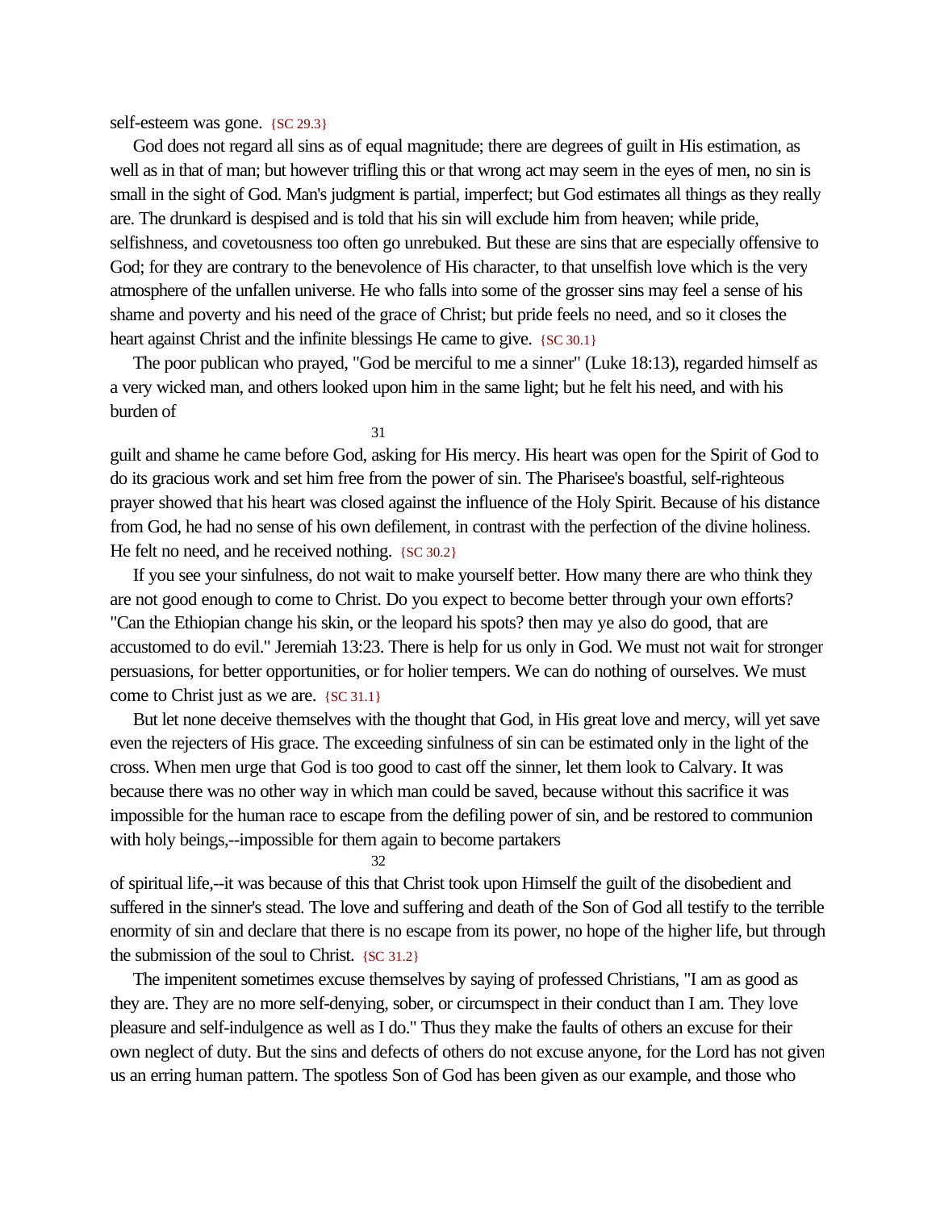self-esteem was gone. {SC 29.3}

 God does not regard all sins as of equal magnitude; there are degrees of guilt in His estimation, as well as in that of man; but however trifling this or that wrong act may seem in the eyes of men, no sin is small in the sight of God. Man's judgment is partial, imperfect; but God estimates all things as they really are. The drunkard is despised and is told that his sin will exclude him from heaven; while pride, selfishness, and covetousness too often go unrebuked. But these are sins that are especially offensive to God; for they are contrary to the benevolence of His character, to that unselfish love which is the very atmosphere of the unfallen universe. He who falls into some of the grosser sins may feel a sense of his shame and poverty and his need of the grace of Christ; but pride feels no need, and so it closes the heart against Christ and the infinite blessings He came to give. {SC 30.1}

 The poor publican who prayed, "God be merciful to me a sinner" (Luke 18:13), regarded himself as a very wicked man, and others looked upon him in the same light; but he felt his need, and with his burden of

31

guilt and shame he came before God, asking for His mercy. His heart was open for the Spirit of God to do its gracious work and set him free from the power of sin. The Pharisee's boastful, self-righteous prayer showed that his heart was closed against the influence of the Holy Spirit. Because of his distance from God, he had no sense of his own defilement, in contrast with the perfection of the divine holiness. He felt no need, and he received nothing.  ${SC 30.2}$ 

 If you see your sinfulness, do not wait to make yourself better. How many there are who think they are not good enough to come to Christ. Do you expect to become better through your own efforts? "Can the Ethiopian change his skin, or the leopard his spots? then may ye also do good, that are accustomed to do evil." Jeremiah 13:23. There is help for us only in God. We must not wait for stronger persuasions, for better opportunities, or for holier tempers. We can do nothing of ourselves. We must come to Christ just as we are. {SC 31.1}

 But let none deceive themselves with the thought that God, in His great love and mercy, will yet save even the rejecters of His grace. The exceeding sinfulness of sin can be estimated only in the light of the cross. When men urge that God is too good to cast off the sinner, let them look to Calvary. It was because there was no other way in which man could be saved, because without this sacrifice it was impossible for the human race to escape from the defiling power of sin, and be restored to communion with holy beings,--impossible for them again to become partakers

#### 32

of spiritual life,--it was because of this that Christ took upon Himself the guilt of the disobedient and suffered in the sinner's stead. The love and suffering and death of the Son of God all testify to the terrible enormity of sin and declare that there is no escape from its power, no hope of the higher life, but through the submission of the soul to Christ.  $\{SC\ 31.2\}$ 

 The impenitent sometimes excuse themselves by saying of professed Christians, "I am as good as they are. They are no more self-denying, sober, or circumspect in their conduct than I am. They love pleasure and self-indulgence as well as I do." Thus they make the faults of others an excuse for their own neglect of duty. But the sins and defects of others do not excuse anyone, for the Lord has not given us an erring human pattern. The spotless Son of God has been given as our example, and those who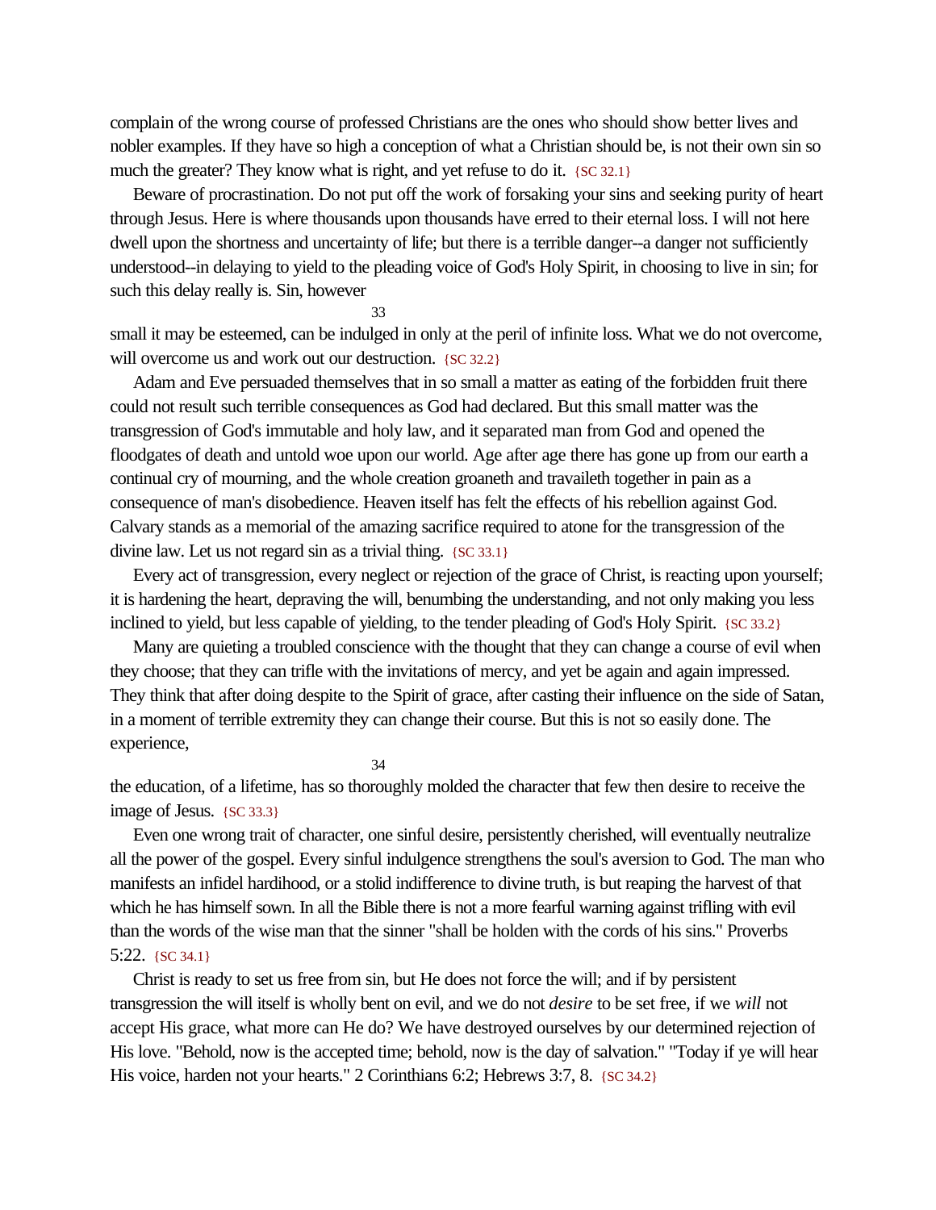complain of the wrong course of professed Christians are the ones who should show better lives and nobler examples. If they have so high a conception of what a Christian should be, is not their own sin so much the greater? They know what is right, and yet refuse to do it. {SC 32.1}

 Beware of procrastination. Do not put off the work of forsaking your sins and seeking purity of heart through Jesus. Here is where thousands upon thousands have erred to their eternal loss. I will not here dwell upon the shortness and uncertainty of life; but there is a terrible danger--a danger not sufficiently understood--in delaying to yield to the pleading voice of God's Holy Spirit, in choosing to live in sin; for such this delay really is. Sin, however

33

small it may be esteemed, can be indulged in only at the peril of infinite loss. What we do not overcome, will overcome us and work out our destruction. {SC 32.2}

 Adam and Eve persuaded themselves that in so small a matter as eating of the forbidden fruit there could not result such terrible consequences as God had declared. But this small matter was the transgression of God's immutable and holy law, and it separated man from God and opened the floodgates of death and untold woe upon our world. Age after age there has gone up from our earth a continual cry of mourning, and the whole creation groaneth and travaileth together in pain as a consequence of man's disobedience. Heaven itself has felt the effects of his rebellion against God. Calvary stands as a memorial of the amazing sacrifice required to atone for the transgression of the divine law. Let us not regard sin as a trivial thing. {SC 33.1}

 Every act of transgression, every neglect or rejection of the grace of Christ, is reacting upon yourself; it is hardening the heart, depraving the will, benumbing the understanding, and not only making you less inclined to yield, but less capable of yielding, to the tender pleading of God's Holy Spirit. {SC 33.2}

 Many are quieting a troubled conscience with the thought that they can change a course of evil when they choose; that they can trifle with the invitations of mercy, and yet be again and again impressed. They think that after doing despite to the Spirit of grace, after casting their influence on the side of Satan, in a moment of terrible extremity they can change their course. But this is not so easily done. The experience,

34

the education, of a lifetime, has so thoroughly molded the character that few then desire to receive the image of Jesus. {SC 33.3}

 Even one wrong trait of character, one sinful desire, persistently cherished, will eventually neutralize all the power of the gospel. Every sinful indulgence strengthens the soul's aversion to God. The man who manifests an infidel hardihood, or a stolid indifference to divine truth, is but reaping the harvest of that which he has himself sown. In all the Bible there is not a more fearful warning against trifling with evil than the words of the wise man that the sinner "shall be holden with the cords of his sins." Proverbs 5:22. {SC 34.1}

 Christ is ready to set us free from sin, but He does not force the will; and if by persistent transgression the will itself is wholly bent on evil, and we do not *desire* to be set free, if we *will* not accept His grace, what more can He do? We have destroyed ourselves by our determined rejection of His love. "Behold, now is the accepted time; behold, now is the day of salvation." "Today if ye will hear His voice, harden not your hearts." 2 Corinthians 6:2; Hebrews 3:7, 8. {SC 34.2}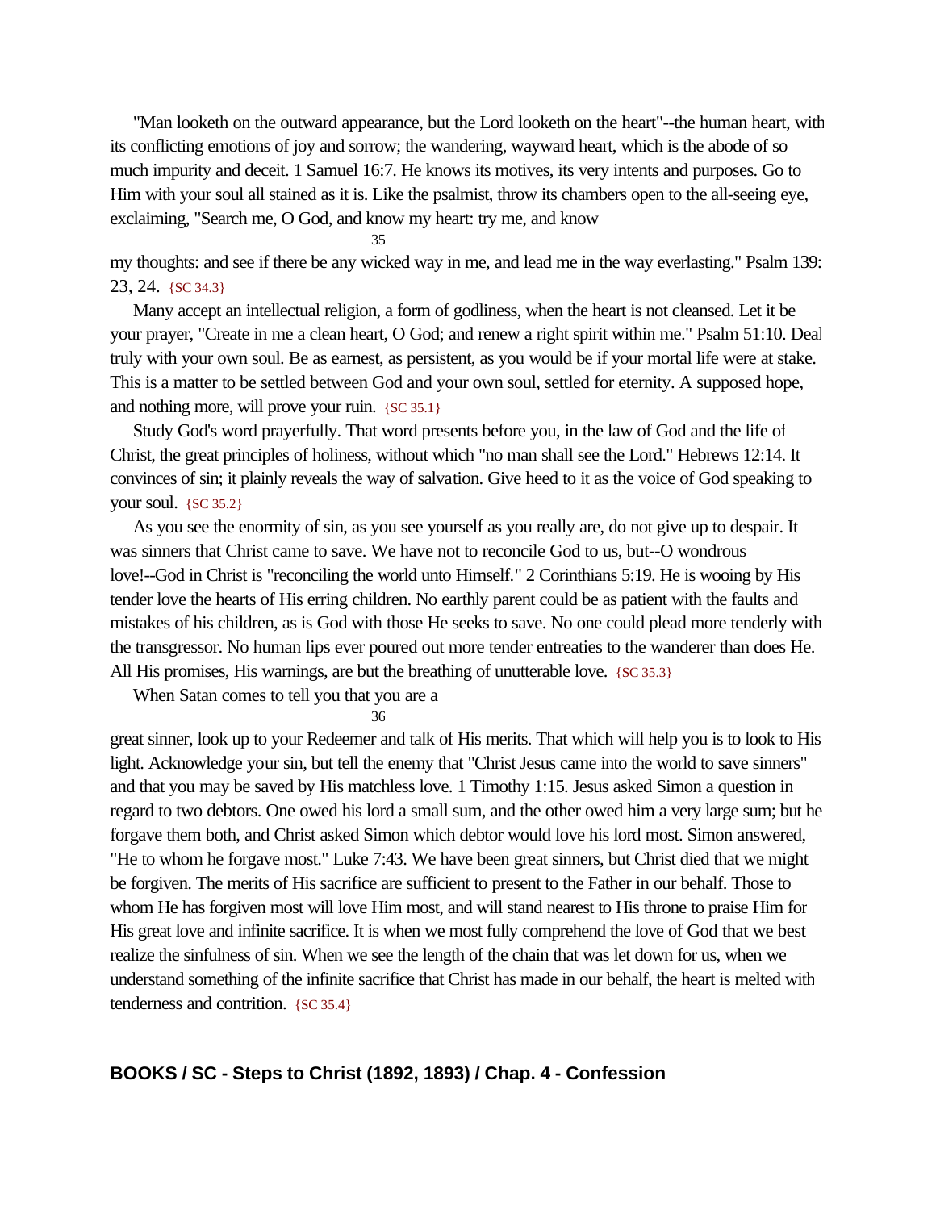"Man looketh on the outward appearance, but the Lord looketh on the heart"--the human heart, with its conflicting emotions of joy and sorrow; the wandering, wayward heart, which is the abode of so much impurity and deceit. 1 Samuel 16:7. He knows its motives, its very intents and purposes. Go to Him with your soul all stained as it is. Like the psalmist, throw its chambers open to the all-seeing eye, exclaiming, "Search me, O God, and know my heart: try me, and know

#### 35

my thoughts: and see if there be any wicked way in me, and lead me in the way everlasting." Psalm 139: 23, 24. {SC 34.3}

 Many accept an intellectual religion, a form of godliness, when the heart is not cleansed. Let it be your prayer, "Create in me a clean heart, O God; and renew a right spirit within me." Psalm 51:10. Deal truly with your own soul. Be as earnest, as persistent, as you would be if your mortal life were at stake. This is a matter to be settled between God and your own soul, settled for eternity. A supposed hope, and nothing more, will prove your ruin. {SC 35.1}

 Study God's word prayerfully. That word presents before you, in the law of God and the life of Christ, the great principles of holiness, without which "no man shall see the Lord." Hebrews 12:14. It convinces of sin; it plainly reveals the way of salvation. Give heed to it as the voice of God speaking to your soul.  $\{SC\ 35.2\}$ 

 As you see the enormity of sin, as you see yourself as you really are, do not give up to despair. It was sinners that Christ came to save. We have not to reconcile God to us, but--O wondrous love!--God in Christ is "reconciling the world unto Himself." 2 Corinthians 5:19. He is wooing by His tender love the hearts of His erring children. No earthly parent could be as patient with the faults and mistakes of his children, as is God with those He seeks to save. No one could plead more tenderly with the transgressor. No human lips ever poured out more tender entreaties to the wanderer than does He. All His promises, His warnings, are but the breathing of unutterable love. {SC 35.3}

When Satan comes to tell you that you are a

36

great sinner, look up to your Redeemer and talk of His merits. That which will help you is to look to His light. Acknowledge your sin, but tell the enemy that "Christ Jesus came into the world to save sinners" and that you may be saved by His matchless love. 1 Timothy 1:15. Jesus asked Simon a question in regard to two debtors. One owed his lord a small sum, and the other owed him a very large sum; but he forgave them both, and Christ asked Simon which debtor would love his lord most. Simon answered, "He to whom he forgave most." Luke 7:43. We have been great sinners, but Christ died that we might be forgiven. The merits of His sacrifice are sufficient to present to the Father in our behalf. Those to whom He has forgiven most will love Him most, and will stand nearest to His throne to praise Him for His great love and infinite sacrifice. It is when we most fully comprehend the love of God that we best realize the sinfulness of sin. When we see the length of the chain that was let down for us, when we understand something of the infinite sacrifice that Christ has made in our behalf, the heart is melted with tenderness and contrition. {SC 35.4}

## **BOOKS / SC - Steps to Christ (1892, 1893) / Chap. 4 - Confession**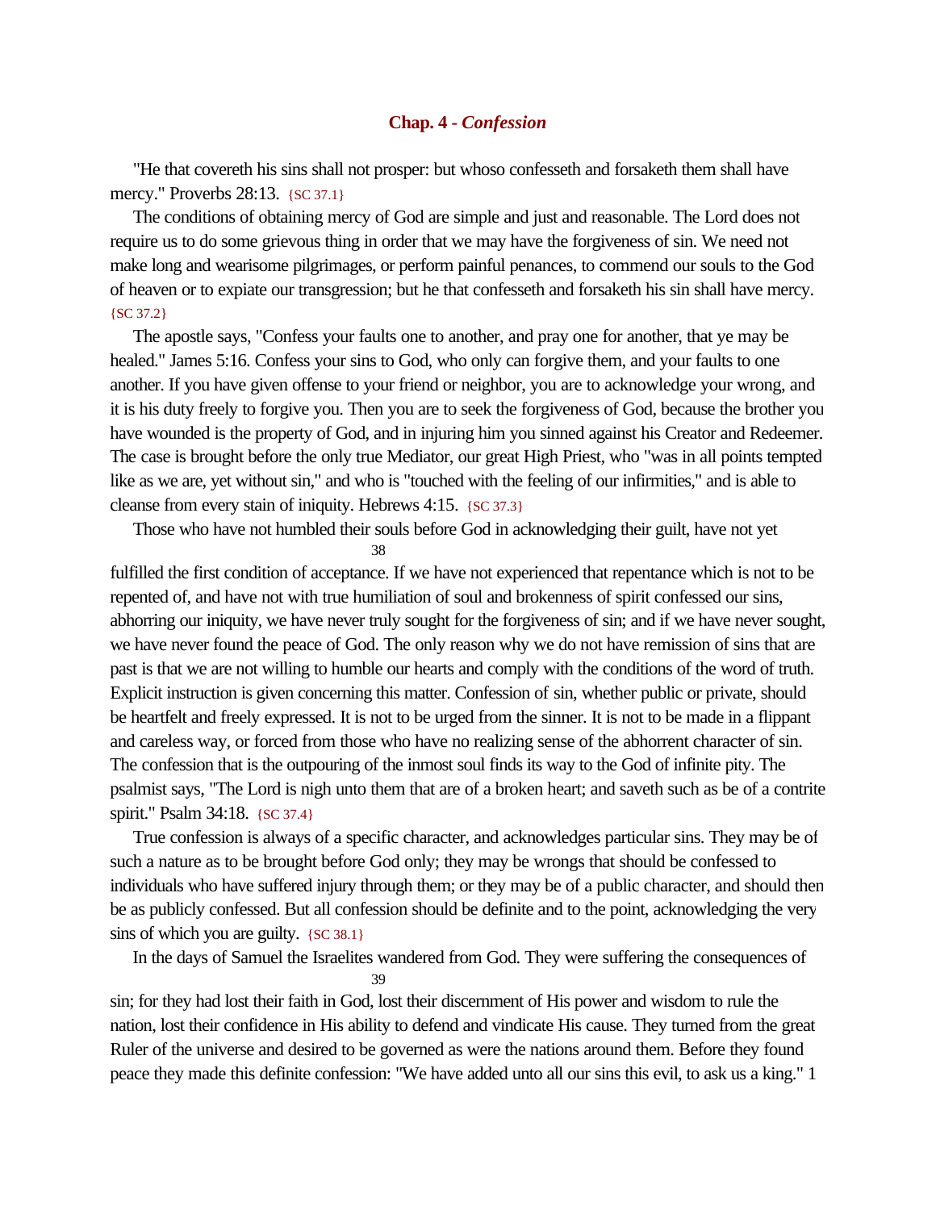## **Chap. 4 -** *Confession*

 "He that covereth his sins shall not prosper: but whoso confesseth and forsaketh them shall have mercy." Proverbs 28:13. {SC 37.1}

 The conditions of obtaining mercy of God are simple and just and reasonable. The Lord does not require us to do some grievous thing in order that we may have the forgiveness of sin. We need not make long and wearisome pilgrimages, or perform painful penances, to commend our souls to the God of heaven or to expiate our transgression; but he that confesseth and forsaketh his sin shall have mercy. {SC 37.2}

 The apostle says, "Confess your faults one to another, and pray one for another, that ye may be healed." James 5:16. Confess your sins to God, who only can forgive them, and your faults to one another. If you have given offense to your friend or neighbor, you are to acknowledge your wrong, and it is his duty freely to forgive you. Then you are to seek the forgiveness of God, because the brother you have wounded is the property of God, and in injuring him you sinned against his Creator and Redeemer. The case is brought before the only true Mediator, our great High Priest, who "was in all points tempted like as we are, yet without sin," and who is "touched with the feeling of our infirmities," and is able to cleanse from every stain of iniquity. Hebrews 4:15. {SC 37.3}

 Those who have not humbled their souls before God in acknowledging their guilt, have not yet 38

fulfilled the first condition of acceptance. If we have not experienced that repentance which is not to be repented of, and have not with true humiliation of soul and brokenness of spirit confessed our sins, abhorring our iniquity, we have never truly sought for the forgiveness of sin; and if we have never sought, we have never found the peace of God. The only reason why we do not have remission of sins that are past is that we are not willing to humble our hearts and comply with the conditions of the word of truth. Explicit instruction is given concerning this matter. Confession of sin, whether public or private, should be heartfelt and freely expressed. It is not to be urged from the sinner. It is not to be made in a flippant and careless way, or forced from those who have no realizing sense of the abhorrent character of sin. The confession that is the outpouring of the inmost soul finds its way to the God of infinite pity. The psalmist says, "The Lord is nigh unto them that are of a broken heart; and saveth such as be of a contrite spirit." Psalm 34:18. {SC 37.4}

 True confession is always of a specific character, and acknowledges particular sins. They may be of such a nature as to be brought before God only; they may be wrongs that should be confessed to individuals who have suffered injury through them; or they may be of a public character, and should then be as publicly confessed. But all confession should be definite and to the point, acknowledging the very sins of which you are guilty. {SC 38.1}

 In the days of Samuel the Israelites wandered from God. They were suffering the consequences of 39

sin; for they had lost their faith in God, lost their discernment of His power and wisdom to rule the nation, lost their confidence in His ability to defend and vindicate His cause. They turned from the great Ruler of the universe and desired to be governed as were the nations around them. Before they found peace they made this definite confession: "We have added unto all our sins this evil, to ask us a king." 1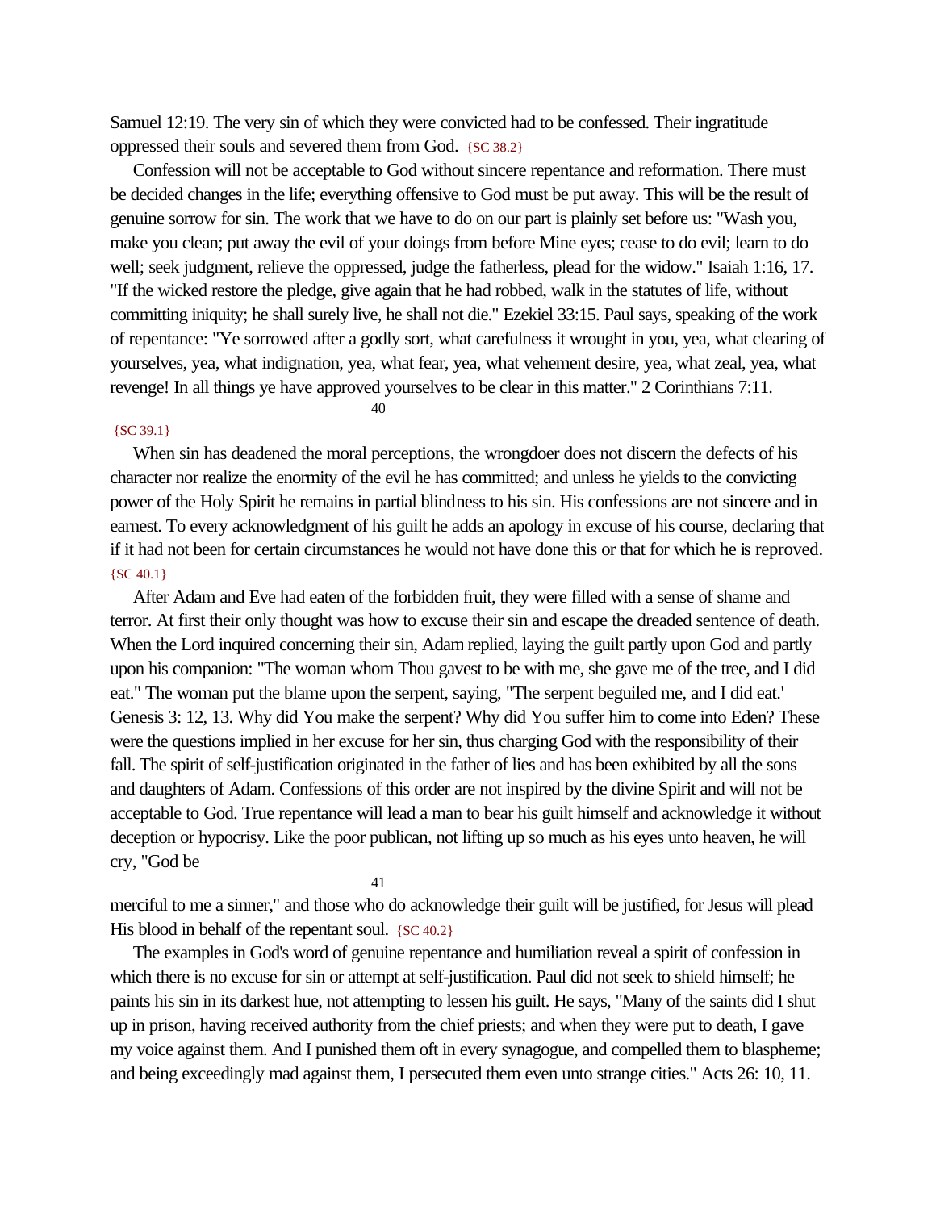Samuel 12:19. The very sin of which they were convicted had to be confessed. Their ingratitude oppressed their souls and severed them from God. {SC 38.2}

 Confession will not be acceptable to God without sincere repentance and reformation. There must be decided changes in the life; everything offensive to God must be put away. This will be the result of genuine sorrow for sin. The work that we have to do on our part is plainly set before us: "Wash you, make you clean; put away the evil of your doings from before Mine eyes; cease to do evil; learn to do well; seek judgment, relieve the oppressed, judge the fatherless, plead for the widow." Isaiah 1:16, 17. "If the wicked restore the pledge, give again that he had robbed, walk in the statutes of life, without committing iniquity; he shall surely live, he shall not die." Ezekiel 33:15. Paul says, speaking of the work of repentance: "Ye sorrowed after a godly sort, what carefulness it wrought in you, yea, what clearing of yourselves, yea, what indignation, yea, what fear, yea, what vehement desire, yea, what zeal, yea, what revenge! In all things ye have approved yourselves to be clear in this matter." 2 Corinthians 7:11.

#### {SC 39.1}

40

 When sin has deadened the moral perceptions, the wrongdoer does not discern the defects of his character nor realize the enormity of the evil he has committed; and unless he yields to the convicting power of the Holy Spirit he remains in partial blindness to his sin. His confessions are not sincere and in earnest. To every acknowledgment of his guilt he adds an apology in excuse of his course, declaring that if it had not been for certain circumstances he would not have done this or that for which he is reproved.  ${SC 40.1}$ 

 After Adam and Eve had eaten of the forbidden fruit, they were filled with a sense of shame and terror. At first their only thought was how to excuse their sin and escape the dreaded sentence of death. When the Lord inquired concerning their sin, Adam replied, laying the guilt partly upon God and partly upon his companion: "The woman whom Thou gavest to be with me, she gave me of the tree, and I did eat." The woman put the blame upon the serpent, saying, "The serpent beguiled me, and I did eat." Genesis 3: 12, 13. Why did You make the serpent? Why did You suffer him to come into Eden? These were the questions implied in her excuse for her sin, thus charging God with the responsibility of their fall. The spirit of self-justification originated in the father of lies and has been exhibited by all the sons and daughters of Adam. Confessions of this order are not inspired by the divine Spirit and will not be acceptable to God. True repentance will lead a man to bear his guilt himself and acknowledge it without deception or hypocrisy. Like the poor publican, not lifting up so much as his eyes unto heaven, he will cry, "God be

## 41

merciful to me a sinner," and those who do acknowledge their guilt will be justified, for Jesus will plead His blood in behalf of the repentant soul. {SC 40.2}

 The examples in God's word of genuine repentance and humiliation reveal a spirit of confession in which there is no excuse for sin or attempt at self-justification. Paul did not seek to shield himself; he paints his sin in its darkest hue, not attempting to lessen his guilt. He says, "Many of the saints did I shut up in prison, having received authority from the chief priests; and when they were put to death, I gave my voice against them. And I punished them oft in every synagogue, and compelled them to blaspheme; and being exceedingly mad against them, I persecuted them even unto strange cities." Acts 26: 10, 11.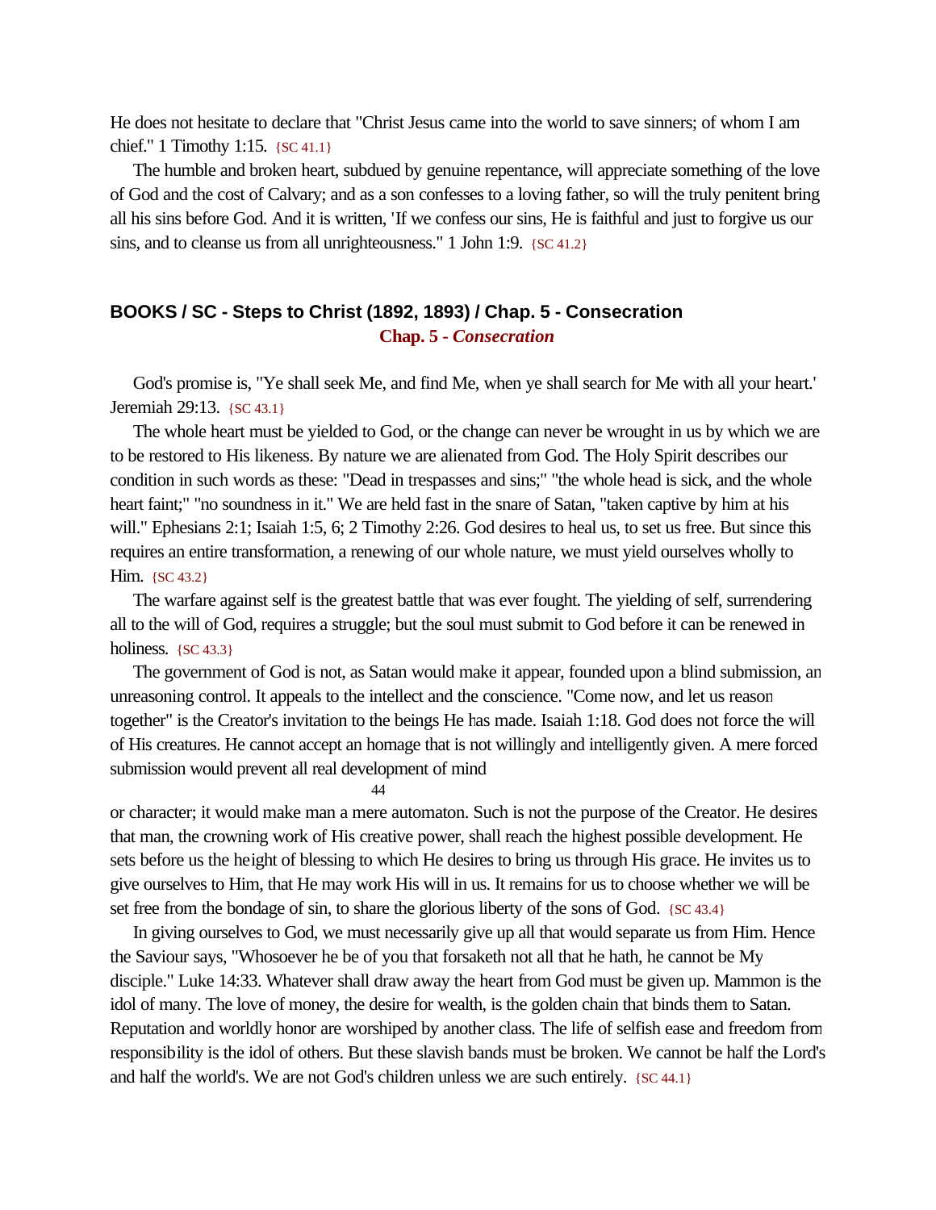He does not hesitate to declare that "Christ Jesus came into the world to save sinners; of whom I am chief." 1 Timothy 1:15. {SC 41.1}

 The humble and broken heart, subdued by genuine repentance, will appreciate something of the love of God and the cost of Calvary; and as a son confesses to a loving father, so will the truly penitent bring all his sins before God. And it is written, "If we confess our sins, He is faithful and just to forgive us our sins, and to cleanse us from all unrighteousness." 1 John 1:9. {SC 41.2}

## **BOOKS / SC - Steps to Christ (1892, 1893) / Chap. 5 - Consecration Chap. 5 -** *Consecration*

 God's promise is, "Ye shall seek Me, and find Me, when ye shall search for Me with all your heart." Jeremiah 29:13. {SC 43.1}

 The whole heart must be yielded to God, or the change can never be wrought in us by which we are to be restored to His likeness. By nature we are alienated from God. The Holy Spirit describes our condition in such words as these: "Dead in trespasses and sins;" "the whole head is sick, and the whole heart faint;" "no soundness in it." We are held fast in the snare of Satan, "taken captive by him at his will." Ephesians 2:1; Isaiah 1:5, 6; 2 Timothy 2:26. God desires to heal us, to set us free. But since this requires an entire transformation, a renewing of our whole nature, we must yield ourselves wholly to Him. {SC 43.2}

 The warfare against self is the greatest battle that was ever fought. The yielding of self, surrendering all to the will of God, requires a struggle; but the soul must submit to God before it can be renewed in holiness.  ${SC 43.3}$ 

 The government of God is not, as Satan would make it appear, founded upon a blind submission, an unreasoning control. It appeals to the intellect and the conscience. "Come now, and let us reason together" is the Creator's invitation to the beings He has made. Isaiah 1:18. God does not force the will of His creatures. He cannot accept an homage that is not willingly and intelligently given. A mere forced submission would prevent all real development of mind

44

or character; it would make man a mere automaton. Such is not the purpose of the Creator. He desires that man, the crowning work of His creative power, shall reach the highest possible development. He sets before us the height of blessing to which He desires to bring us through His grace. He invites us to give ourselves to Him, that He may work His will in us. It remains for us to choose whether we will be set free from the bondage of sin, to share the glorious liberty of the sons of God. {SC 43.4}

 In giving ourselves to God, we must necessarily give up all that would separate us from Him. Hence the Saviour says, "Whosoever he be of you that forsaketh not all that he hath, he cannot be My disciple." Luke 14:33. Whatever shall draw away the heart from God must be given up. Mammon is the idol of many. The love of money, the desire for wealth, is the golden chain that binds them to Satan. Reputation and worldly honor are worshiped by another class. The life of selfish ease and freedom from responsibility is the idol of others. But these slavish bands must be broken. We cannot be half the Lord's and half the world's. We are not God's children unless we are such entirely. {SC 44.1}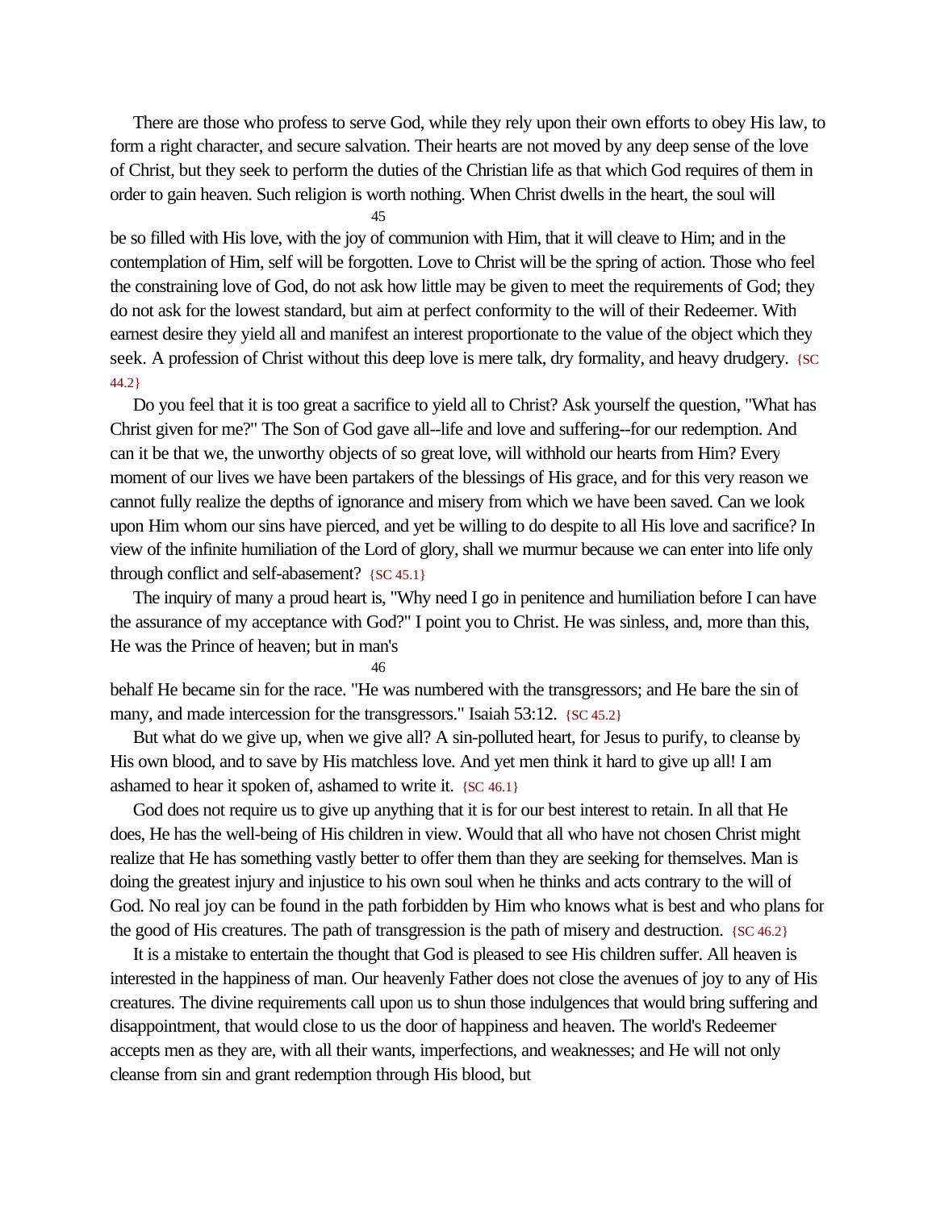There are those who profess to serve God, while they rely upon their own efforts to obey His law, to form a right character, and secure salvation. Their hearts are not moved by any deep sense of the love of Christ, but they seek to perform the duties of the Christian life as that which God requires of them in order to gain heaven. Such religion is worth nothing. When Christ dwells in the heart, the soul will 45

be so filled with His love, with the joy of communion with Him, that it will cleave to Him; and in the contemplation of Him, self will be forgotten. Love to Christ will be the spring of action. Those who feel the constraining love of God, do not ask how little may be given to meet the requirements of God; they do not ask for the lowest standard, but aim at perfect conformity to the will of their Redeemer. With earnest desire they yield all and manifest an interest proportionate to the value of the object which they seek. A profession of Christ without this deep love is mere talk, dry formality, and heavy drudgery. {SC 44.2}

 Do you feel that it is too great a sacrifice to yield all to Christ? Ask yourself the question, "What has Christ given for me?" The Son of God gave all--life and love and suffering--for our redemption. And can it be that we, the unworthy objects of so great love, will withhold our hearts from Him? Every moment of our lives we have been partakers of the blessings of His grace, and for this very reason we cannot fully realize the depths of ignorance and misery from which we have been saved. Can we look upon Him whom our sins have pierced, and yet be willing to do despite to all His love and sacrifice? In view of the infinite humiliation of the Lord of glory, shall we murmur because we can enter into life only through conflict and self-abasement? {SC 45.1}

 The inquiry of many a proud heart is, "Why need I go in penitence and humiliation before I can have the assurance of my acceptance with God?" I point you to Christ. He was sinless, and, more than this, He was the Prince of heaven; but in man's

46

behalf He became sin for the race. "He was numbered with the transgressors; and He bare the sin of many, and made intercession for the transgressors." Isaiah 53:12. {SC 45.2}

 But what do we give up, when we give all? A sin-polluted heart, for Jesus to purify, to cleanse by His own blood, and to save by His matchless love. And yet men think it hard to give up all! I am ashamed to hear it spoken of, ashamed to write it.  ${SC 46.1}$ 

 God does not require us to give up anything that it is for our best interest to retain. In all that He does, He has the well-being of His children in view. Would that all who have not chosen Christ might realize that He has something vastly better to offer them than they are seeking for themselves. Man is doing the greatest injury and injustice to his own soul when he thinks and acts contrary to the will of God. No real joy can be found in the path forbidden by Him who knows what is best and who plans for the good of His creatures. The path of transgression is the path of misery and destruction.  ${SC 46.2}$ 

 It is a mistake to entertain the thought that God is pleased to see His children suffer. All heaven is interested in the happiness of man. Our heavenly Father does not close the avenues of joy to any of His creatures. The divine requirements call upon us to shun those indulgences that would bring suffering and disappointment, that would close to us the door of happiness and heaven. The world's Redeemer accepts men as they are, with all their wants, imperfections, and weaknesses; and He will not only cleanse from sin and grant redemption through His blood, but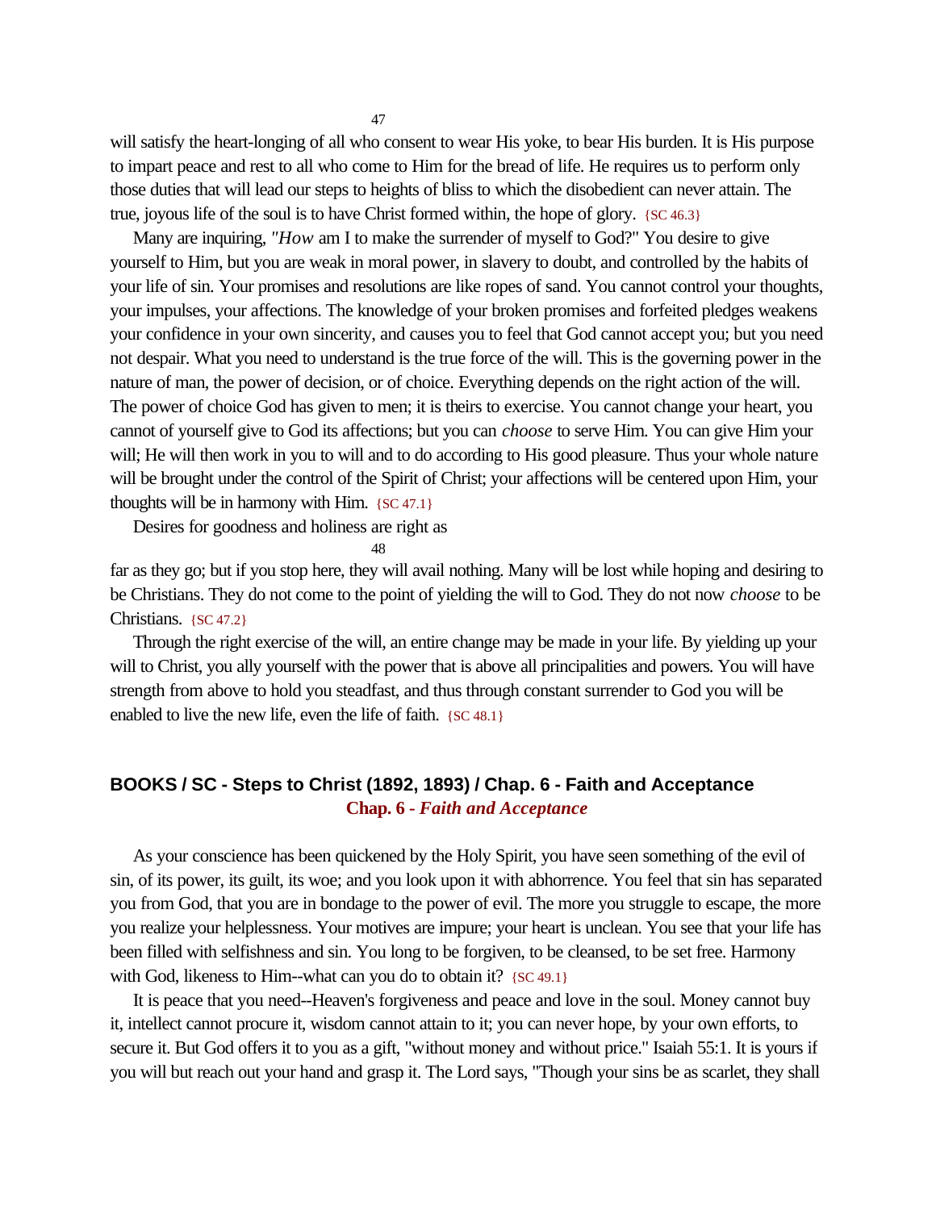will satisfy the heart-longing of all who consent to wear His yoke, to bear His burden. It is His purpose to impart peace and rest to all who come to Him for the bread of life. He requires us to perform only those duties that will lead our steps to heights of bliss to which the disobedient can never attain. The true, joyous life of the soul is to have Christ formed within, the hope of glory. {SC 46.3}

 Many are inquiring, *"How* am I to make the surrender of myself to God?" You desire to give yourself to Him, but you are weak in moral power, in slavery to doubt, and controlled by the habits of your life of sin. Your promises and resolutions are like ropes of sand. You cannot control your thoughts, your impulses, your affections. The knowledge of your broken promises and forfeited pledges weakens your confidence in your own sincerity, and causes you to feel that God cannot accept you; but you need not despair. What you need to understand is the true force of the will. This is the governing power in the nature of man, the power of decision, or of choice. Everything depends on the right action of the will. The power of choice God has given to men; it is theirs to exercise. You cannot change your heart, you cannot of yourself give to God its affections; but you can *choose* to serve Him. You can give Him your will; He will then work in you to will and to do according to His good pleasure. Thus your whole nature will be brought under the control of the Spirit of Christ; your affections will be centered upon Him, your thoughts will be in harmony with Him.  ${SC 47.1}$ 

Desires for goodness and holiness are right as

48

far as they go; but if you stop here, they will avail nothing. Many will be lost while hoping and desiring to be Christians. They do not come to the point of yielding the will to God. They do not now *choose* to be Christians. {SC 47.2}

 Through the right exercise of the will, an entire change may be made in your life. By yielding up your will to Christ, you ally yourself with the power that is above all principalities and powers. You will have strength from above to hold you steadfast, and thus through constant surrender to God you will be enabled to live the new life, even the life of faith. {SC 48.1}

# **BOOKS / SC - Steps to Christ (1892, 1893) / Chap. 6 - Faith and Acceptance Chap. 6 -** *Faith and Acceptance*

 As your conscience has been quickened by the Holy Spirit, you have seen something of the evil of sin, of its power, its guilt, its woe; and you look upon it with abhorrence. You feel that sin has separated you from God, that you are in bondage to the power of evil. The more you struggle to escape, the more you realize your helplessness. Your motives are impure; your heart is unclean. You see that your life has been filled with selfishness and sin. You long to be forgiven, to be cleansed, to be set free. Harmony with God, likeness to Him--what can you do to obtain it? {SC 49.1}

 It is peace that you need--Heaven's forgiveness and peace and love in the soul. Money cannot buy it, intellect cannot procure it, wisdom cannot attain to it; you can never hope, by your own efforts, to secure it. But God offers it to you as a gift, "without money and without price." Isaiah 55:1. It is yours if you will but reach out your hand and grasp it. The Lord says, "Though your sins be as scarlet, they shall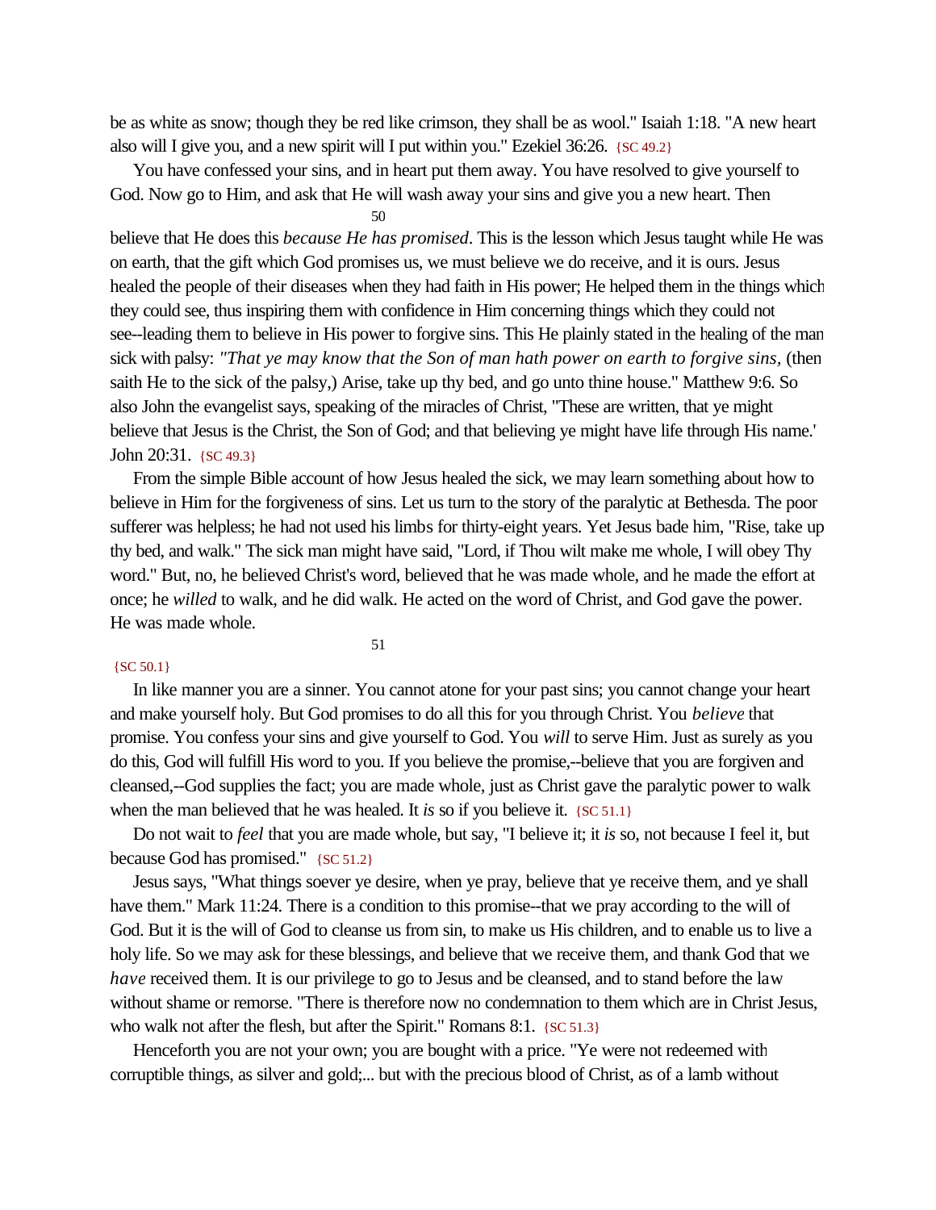be as white as snow; though they be red like crimson, they shall be as wool." Isaiah 1:18. "A new heart also will I give you, and a new spirit will I put within you." Ezekiel 36:26. {SC 49.2}

 You have confessed your sins, and in heart put them away. You have resolved to give yourself to God. Now go to Him, and ask that He will wash away your sins and give you a new heart. Then

50

believe that He does this *because He has promised*. This is the lesson which Jesus taught while He was on earth, that the gift which God promises us, we must believe we do receive, and it is ours. Jesus healed the people of their diseases when they had faith in His power; He helped them in the things which they could see, thus inspiring them with confidence in Him concerning things which they could not see--leading them to believe in His power to forgive sins. This He plainly stated in the healing of the man sick with palsy: *"That ye may know that the Son of man hath power on earth to forgive sins,* (then saith He to the sick of the palsy,) Arise, take up thy bed, and go unto thine house." Matthew 9:6. So also John the evangelist says, speaking of the miracles of Christ, "These are written, that ye might believe that Jesus is the Christ, the Son of God; and that believing ye might have life through His name." John 20:31. {SC 49.3}

 From the simple Bible account of how Jesus healed the sick, we may learn something about how to believe in Him for the forgiveness of sins. Let us turn to the story of the paralytic at Bethesda. The poor sufferer was helpless; he had not used his limbs for thirty-eight years. Yet Jesus bade him, "Rise, take up thy bed, and walk." The sick man might have said, "Lord, if Thou wilt make me whole, I will obey Thy word." But, no, he believed Christ's word, believed that he was made whole, and he made the effort at once; he *willed* to walk, and he did walk. He acted on the word of Christ, and God gave the power. He was made whole.

51

#### {SC 50.1}

 In like manner you are a sinner. You cannot atone for your past sins; you cannot change your heart and make yourself holy. But God promises to do all this for you through Christ. You *believe* that promise. You confess your sins and give yourself to God. You *will* to serve Him. Just as surely as you do this, God will fulfill His word to you. If you believe the promise,--believe that you are forgiven and cleansed,--God supplies the fact; you are made whole, just as Christ gave the paralytic power to walk when the man believed that he was healed. It *is* so if you believe it. {SC 51.1}

 Do not wait to *feel* that you are made whole, but say, "I believe it; it *is* so, not because I feel it, but because God has promised." {SC 51.2}

 Jesus says, "What things soever ye desire, when ye pray, believe that ye receive them, and ye shall have them." Mark 11:24. There is a condition to this promise--that we pray according to the will of God. But it is the will of God to cleanse us from sin, to make us His children, and to enable us to live a holy life. So we may ask for these blessings, and believe that we receive them, and thank God that we *have* received them. It is our privilege to go to Jesus and be cleansed, and to stand before the law without shame or remorse. "There is therefore now no condemnation to them which are in Christ Jesus, who walk not after the flesh, but after the Spirit." Romans 8:1. {SC 51.3}

 Henceforth you are not your own; you are bought with a price. "Ye were not redeemed with corruptible things, as silver and gold;... but with the precious blood of Christ, as of a lamb without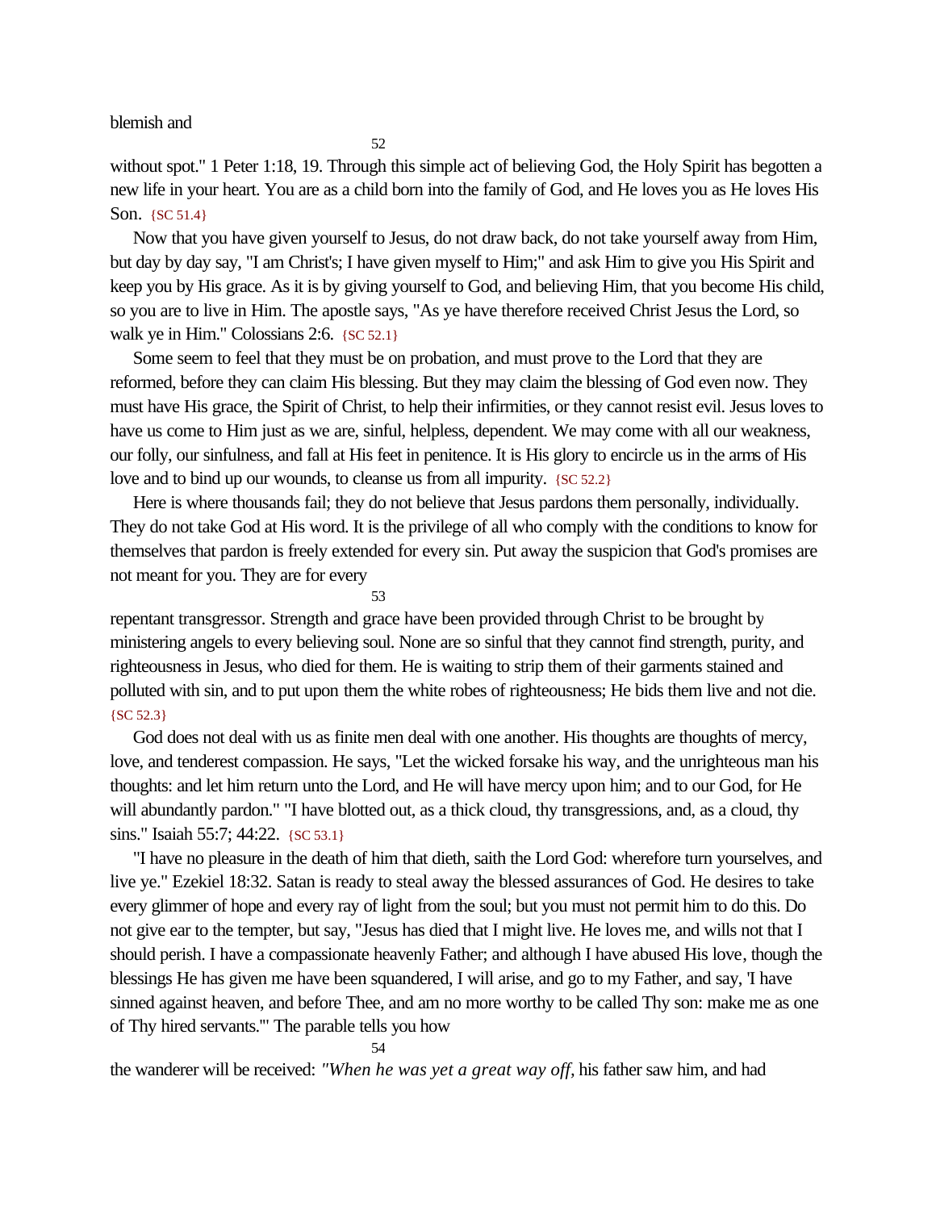## blemish and

52

without spot." 1 Peter 1:18, 19. Through this simple act of believing God, the Holy Spirit has begotten a new life in your heart. You are as a child born into the family of God, and He loves you as He loves His Son. {SC 51.4}

 Now that you have given yourself to Jesus, do not draw back, do not take yourself away from Him, but day by day say, "I am Christ's; I have given myself to Him;" and ask Him to give you His Spirit and keep you by His grace. As it is by giving yourself to God, and believing Him, that you become His child, so you are to live in Him. The apostle says, "As ye have therefore received Christ Jesus the Lord, so walk ye in Him." Colossians 2:6. {SC 52.1}

 Some seem to feel that they must be on probation, and must prove to the Lord that they are reformed, before they can claim His blessing. But they may claim the blessing of God even now. They must have His grace, the Spirit of Christ, to help their infirmities, or they cannot resist evil. Jesus loves to have us come to Him just as we are, sinful, helpless, dependent. We may come with all our weakness, our folly, our sinfulness, and fall at His feet in penitence. It is His glory to encircle us in the arms of His love and to bind up our wounds, to cleanse us from all impurity. {SC 52.2}

Here is where thousands fail; they do not believe that Jesus pardons them personally, individually. They do not take God at His word. It is the privilege of all who comply with the conditions to know for themselves that pardon is freely extended for every sin. Put away the suspicion that God's promises are not meant for you. They are for every

53

repentant transgressor. Strength and grace have been provided through Christ to be brought by ministering angels to every believing soul. None are so sinful that they cannot find strength, purity, and righteousness in Jesus, who died for them. He is waiting to strip them of their garments stained and polluted with sin, and to put upon them the white robes of righteousness; He bids them live and not die.  ${SC 52.3}$ 

 God does not deal with us as finite men deal with one another. His thoughts are thoughts of mercy, love, and tenderest compassion. He says, "Let the wicked forsake his way, and the unrighteous man his thoughts: and let him return unto the Lord, and He will have mercy upon him; and to our God, for He will abundantly pardon." "I have blotted out, as a thick cloud, thy transgressions, and, as a cloud, thy sins." Isaiah 55:7; 44:22. {SC 53.1}

 "I have no pleasure in the death of him that dieth, saith the Lord God: wherefore turn yourselves, and live ye." Ezekiel 18:32. Satan is ready to steal away the blessed assurances of God. He desires to take every glimmer of hope and every ray of light from the soul; but you must not permit him to do this. Do not give ear to the tempter, but say, "Jesus has died that I might live. He loves me, and wills not that I should perish. I have a compassionate heavenly Father; and although I have abused His love, though the blessings He has given me have been squandered, I will arise, and go to my Father, and say, 'I have sinned against heaven, and before Thee, and am no more worthy to be called Thy son: make me as one of Thy hired servants.'" The parable tells you how

54

the wanderer will be received: *"When he was yet a great way off,* his father saw him, and had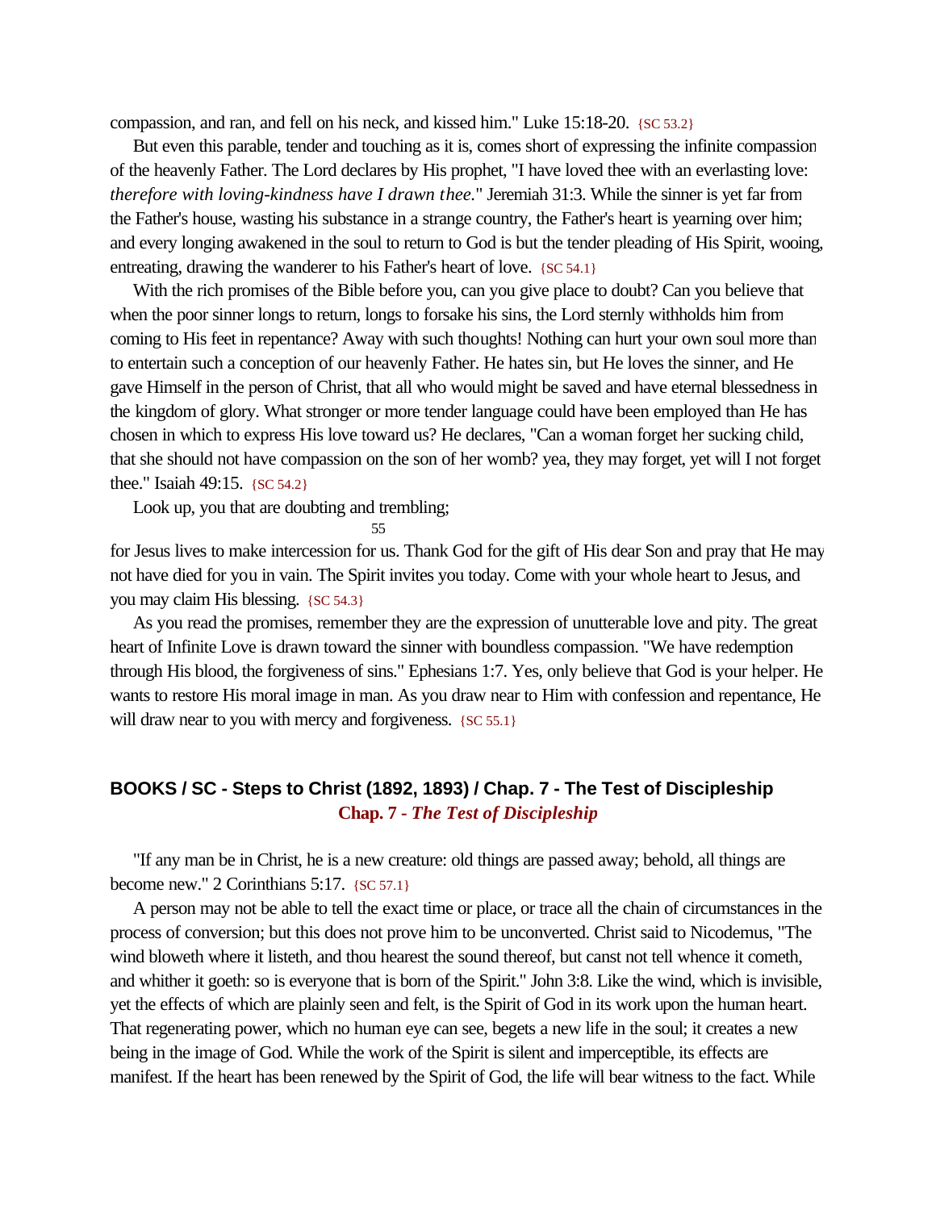compassion, and ran, and fell on his neck, and kissed him." Luke 15:18-20. {SC 53.2}

 But even this parable, tender and touching as it is, comes short of expressing the infinite compassion of the heavenly Father. The Lord declares by His prophet, "I have loved thee with an everlasting love: *therefore with loving-kindness have I drawn thee.*" Jeremiah 31:3. While the sinner is yet far from the Father's house, wasting his substance in a strange country, the Father's heart is yearning over him; and every longing awakened in the soul to return to God is but the tender pleading of His Spirit, wooing, entreating, drawing the wanderer to his Father's heart of love. {SC 54.1}

 With the rich promises of the Bible before you, can you give place to doubt? Can you believe that when the poor sinner longs to return, longs to forsake his sins, the Lord sternly withholds him from coming to His feet in repentance? Away with such thoughts! Nothing can hurt your own soul more than to entertain such a conception of our heavenly Father. He hates sin, but He loves the sinner, and He gave Himself in the person of Christ, that all who would might be saved and have eternal blessedness in the kingdom of glory. What stronger or more tender language could have been employed than He has chosen in which to express His love toward us? He declares, "Can a woman forget her sucking child, that she should not have compassion on the son of her womb? yea, they may forget, yet will I not forget thee." Isaiah 49:15. {SC 54.2}

Look up, you that are doubting and trembling;

 $55$ 

for Jesus lives to make intercession for us. Thank God for the gift of His dear Son and pray that He may not have died for you in vain. The Spirit invites you today. Come with your whole heart to Jesus, and you may claim His blessing. {SC 54.3}

 As you read the promises, remember they are the expression of unutterable love and pity. The great heart of Infinite Love is drawn toward the sinner with boundless compassion. "We have redemption through His blood, the forgiveness of sins." Ephesians 1:7. Yes, only believe that God is your helper. He wants to restore His moral image in man. As you draw near to Him with confession and repentance, He will draw near to you with mercy and forgiveness. {SC 55.1}

# **BOOKS / SC - Steps to Christ (1892, 1893) / Chap. 7 - The Test of Discipleship Chap. 7 -** *The Test of Discipleship*

 "If any man be in Christ, he is a new creature: old things are passed away; behold, all things are become new." 2 Corinthians 5:17. {SC 57.1}

 A person may not be able to tell the exact time or place, or trace all the chain of circumstances in the process of conversion; but this does not prove him to be unconverted. Christ said to Nicodemus, "The wind bloweth where it listeth, and thou hearest the sound thereof, but canst not tell whence it cometh, and whither it goeth: so is everyone that is born of the Spirit." John 3:8. Like the wind, which is invisible, yet the effects of which are plainly seen and felt, is the Spirit of God in its work upon the human heart. That regenerating power, which no human eye can see, begets a new life in the soul; it creates a new being in the image of God. While the work of the Spirit is silent and imperceptible, its effects are manifest. If the heart has been renewed by the Spirit of God, the life will bear witness to the fact. While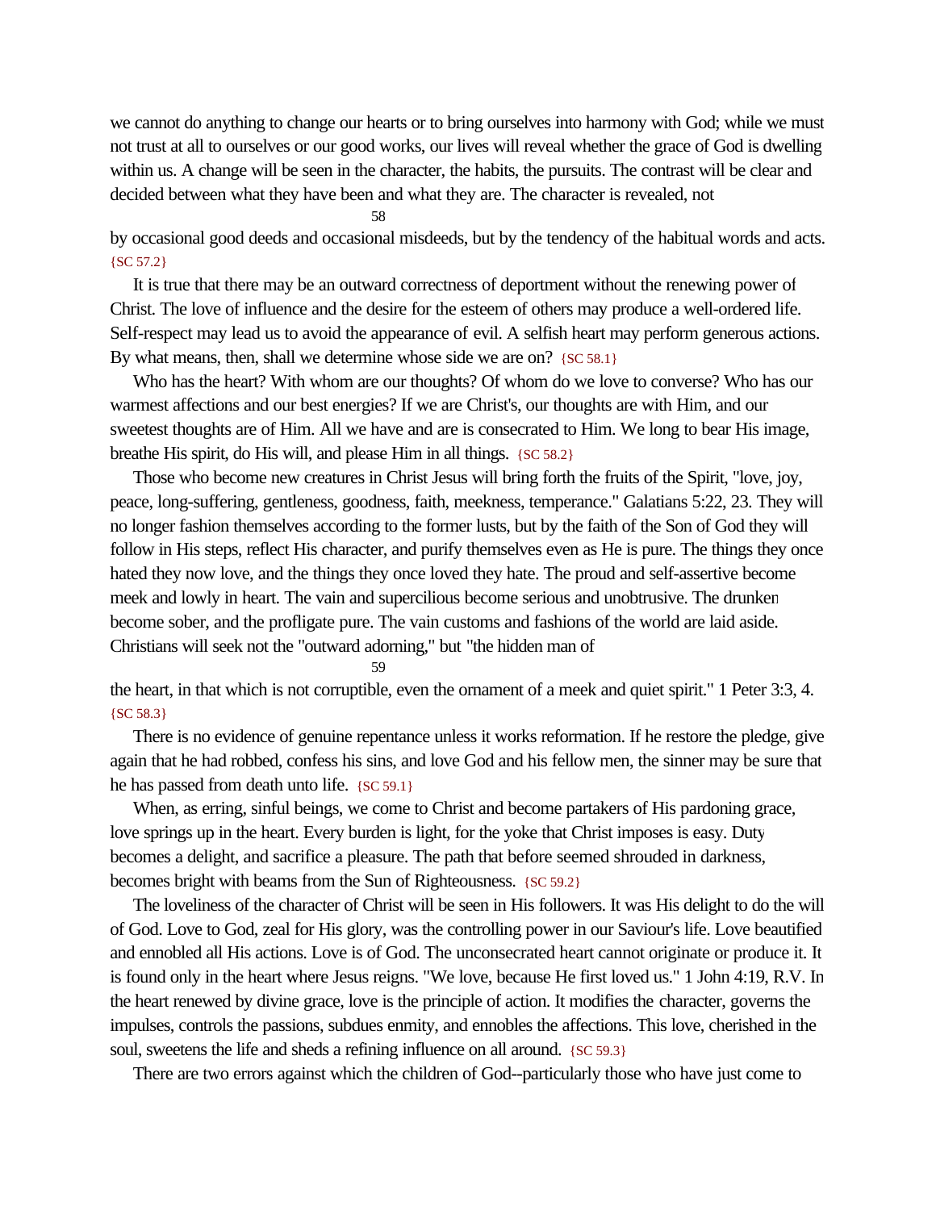we cannot do anything to change our hearts or to bring ourselves into harmony with God; while we must not trust at all to ourselves or our good works, our lives will reveal whether the grace of God is dwelling within us. A change will be seen in the character, the habits, the pursuits. The contrast will be clear and decided between what they have been and what they are. The character is revealed, not

#### 58

by occasional good deeds and occasional misdeeds, but by the tendency of the habitual words and acts. {SC 57.2}

 It is true that there may be an outward correctness of deportment without the renewing power of Christ. The love of influence and the desire for the esteem of others may produce a well-ordered life. Self-respect may lead us to avoid the appearance of evil. A selfish heart may perform generous actions. By what means, then, shall we determine whose side we are on? {SC 58.1}

 Who has the heart? With whom are our thoughts? Of whom do we love to converse? Who has our warmest affections and our best energies? If we are Christ's, our thoughts are with Him, and our sweetest thoughts are of Him. All we have and are is consecrated to Him. We long to bear His image, breathe His spirit, do His will, and please Him in all things. {SC 58.2}

 Those who become new creatures in Christ Jesus will bring forth the fruits of the Spirit, "love, joy, peace, long-suffering, gentleness, goodness, faith, meekness, temperance." Galatians 5:22, 23. They will no longer fashion themselves according to the former lusts, but by the faith of the Son of God they will follow in His steps, reflect His character, and purify themselves even as He is pure. The things they once hated they now love, and the things they once loved they hate. The proud and self-assertive become meek and lowly in heart. The vain and supercilious become serious and unobtrusive. The drunken become sober, and the profligate pure. The vain customs and fashions of the world are laid aside. Christians will seek not the "outward adorning," but "the hidden man of

#### 59

the heart, in that which is not corruptible, even the ornament of a meek and quiet spirit." 1 Peter 3:3, 4. {SC 58.3}

 There is no evidence of genuine repentance unless it works reformation. If he restore the pledge, give again that he had robbed, confess his sins, and love God and his fellow men, the sinner may be sure that he has passed from death unto life. {SC 59.1}

 When, as erring, sinful beings, we come to Christ and become partakers of His pardoning grace, love springs up in the heart. Every burden is light, for the yoke that Christ imposes is easy. Duty becomes a delight, and sacrifice a pleasure. The path that before seemed shrouded in darkness, becomes bright with beams from the Sun of Righteousness. {SC 59.2}

 The loveliness of the character of Christ will be seen in His followers. It was His delight to do the will of God. Love to God, zeal for His glory, was the controlling power in our Saviour's life. Love beautified and ennobled all His actions. Love is of God. The unconsecrated heart cannot originate or produce it. It is found only in the heart where Jesus reigns. "We love, because He first loved us." 1 John 4:19, R.V. In the heart renewed by divine grace, love is the principle of action. It modifies the character, governs the impulses, controls the passions, subdues enmity, and ennobles the affections. This love, cherished in the soul, sweetens the life and sheds a refining influence on all around. {SC 59.3}

There are two errors against which the children of God--particularly those who have just come to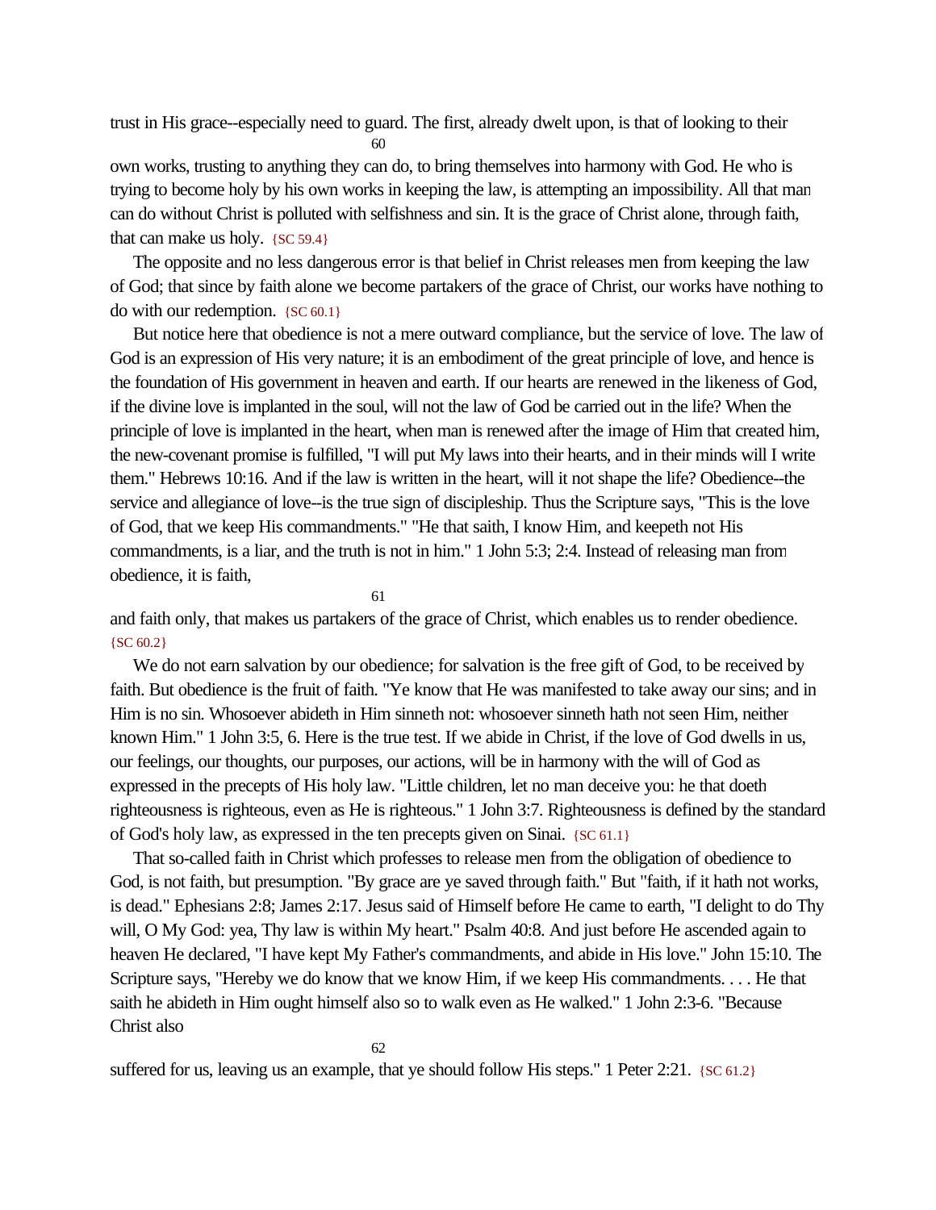trust in His grace--especially need to guard. The first, already dwelt upon, is that of looking to their 60

own works, trusting to anything they can do, to bring themselves into harmony with God. He who is trying to become holy by his own works in keeping the law, is attempting an impossibility. All that man can do without Christ is polluted with selfishness and sin. It is the grace of Christ alone, through faith, that can make us holy. {SC 59.4}

 The opposite and no less dangerous error is that belief in Christ releases men from keeping the law of God; that since by faith alone we become partakers of the grace of Christ, our works have nothing to do with our redemption. {SC 60.1}

 But notice here that obedience is not a mere outward compliance, but the service of love. The law of God is an expression of His very nature; it is an embodiment of the great principle of love, and hence is the foundation of His government in heaven and earth. If our hearts are renewed in the likeness of God, if the divine love is implanted in the soul, will not the law of God be carried out in the life? When the principle of love is implanted in the heart, when man is renewed after the image of Him that created him, the new-covenant promise is fulfilled, "I will put My laws into their hearts, and in their minds will I write them." Hebrews 10:16. And if the law is written in the heart, will it not shape the life? Obedience--the service and allegiance of love--is the true sign of discipleship. Thus the Scripture says, "This is the love of God, that we keep His commandments." "He that saith, I know Him, and keepeth not His commandments, is a liar, and the truth is not in him." 1 John 5:3; 2:4. Instead of releasing man from obedience, it is faith,

61

and faith only, that makes us partakers of the grace of Christ, which enables us to render obedience.  ${SC 60.2}$ 

 We do not earn salvation by our obedience; for salvation is the free gift of God, to be received by faith. But obedience is the fruit of faith. "Ye know that He was manifested to take away our sins; and in Him is no sin. Whosoever abideth in Him sinneth not: whosoever sinneth hath not seen Him, neither known Him." 1 John 3:5, 6. Here is the true test. If we abide in Christ, if the love of God dwells in us, our feelings, our thoughts, our purposes, our actions, will be in harmony with the will of God as expressed in the precepts of His holy law. "Little children, let no man deceive you: he that doeth righteousness is righteous, even as He is righteous." 1 John 3:7. Righteousness is defined by the standard of God's holy law, as expressed in the ten precepts given on Sinai. {SC 61.1}

 That so-called faith in Christ which professes to release men from the obligation of obedience to God, is not faith, but presumption. "By grace are ye saved through faith." But "faith, if it hath not works, is dead." Ephesians 2:8; James 2:17. Jesus said of Himself before He came to earth, "I delight to do Thy will, O My God: yea, Thy law is within My heart." Psalm 40:8. And just before He ascended again to heaven He declared, "I have kept My Father's commandments, and abide in His love." John 15:10. The Scripture says, "Hereby we do know that we know Him, if we keep His commandments. . . . He that saith he abideth in Him ought himself also so to walk even as He walked." 1 John 2:3-6. "Because Christ also

62

suffered for us, leaving us an example, that ye should follow His steps." 1 Peter 2:21. {SC 61.2}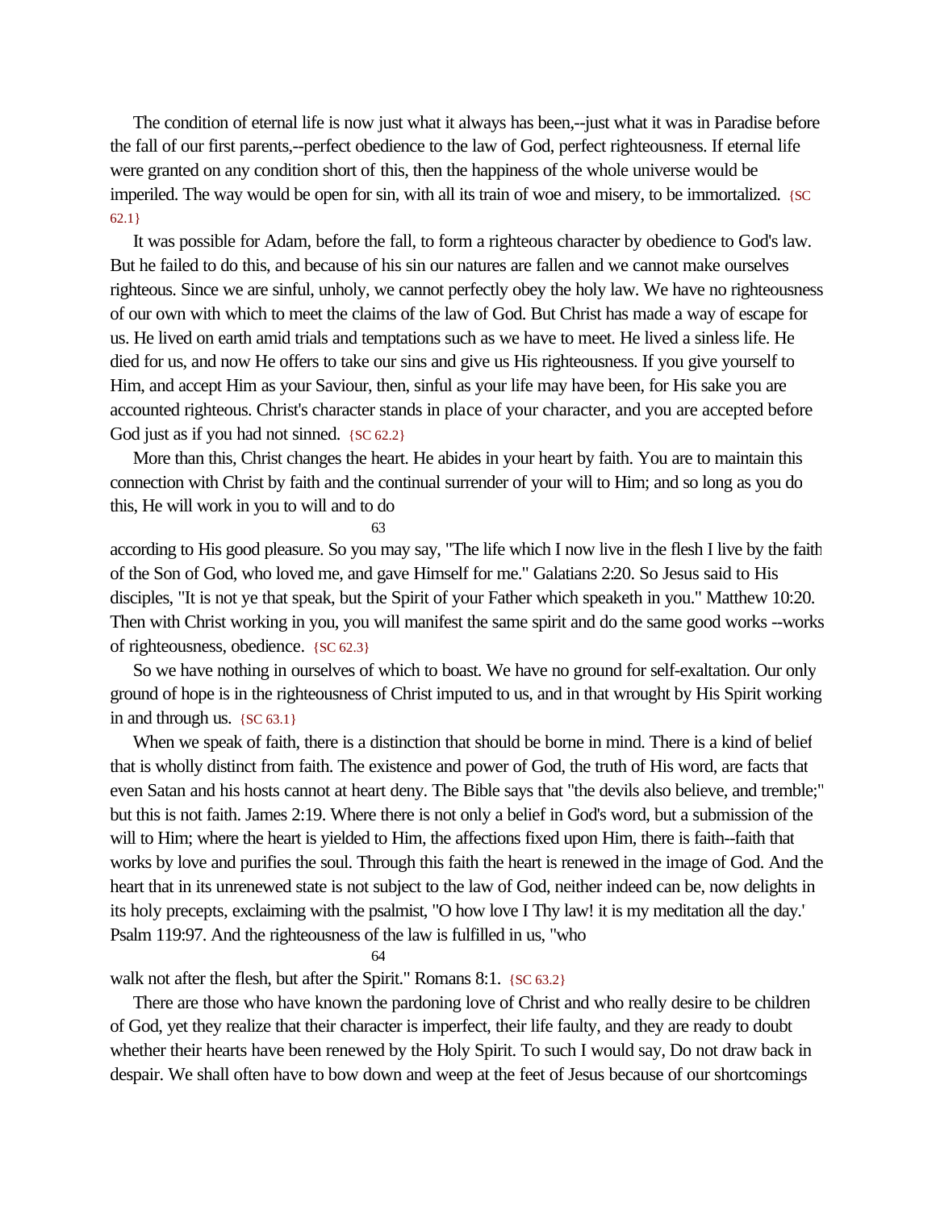The condition of eternal life is now just what it always has been,--just what it was in Paradise before the fall of our first parents,--perfect obedience to the law of God, perfect righteousness. If eternal life were granted on any condition short of this, then the happiness of the whole universe would be imperiled. The way would be open for sin, with all its train of woe and misery, to be immortalized. {SC 62.1}

 It was possible for Adam, before the fall, to form a righteous character by obedience to God's law. But he failed to do this, and because of his sin our natures are fallen and we cannot make ourselves righteous. Since we are sinful, unholy, we cannot perfectly obey the holy law. We have no righteousness of our own with which to meet the claims of the law of God. But Christ has made a way of escape for us. He lived on earth amid trials and temptations such as we have to meet. He lived a sinless life. He died for us, and now He offers to take our sins and give us His righteousness. If you give yourself to Him, and accept Him as your Saviour, then, sinful as your life may have been, for His sake you are accounted righteous. Christ's character stands in place of your character, and you are accepted before God just as if you had not sinned. {SC 62.2}

 More than this, Christ changes the heart. He abides in your heart by faith. You are to maintain this connection with Christ by faith and the continual surrender of your will to Him; and so long as you do this, He will work in you to will and to do

63

according to His good pleasure. So you may say, "The life which I now live in the flesh I live by the faith of the Son of God, who loved me, and gave Himself for me." Galatians 2:20. So Jesus said to His disciples, "It is not ye that speak, but the Spirit of your Father which speaketh in you." Matthew 10:20. Then with Christ working in you, you will manifest the same spirit and do the same good works --works of righteousness, obedience. {SC 62.3}

 So we have nothing in ourselves of which to boast. We have no ground for self-exaltation. Our only ground of hope is in the righteousness of Christ imputed to us, and in that wrought by His Spirit working in and through us. {SC 63.1}

 When we speak of faith, there is a distinction that should be borne in mind. There is a kind of belief that is wholly distinct from faith. The existence and power of God, the truth of His word, are facts that even Satan and his hosts cannot at heart deny. The Bible says that "the devils also believe, and tremble;" but this is not faith. James 2:19. Where there is not only a belief in God's word, but a submission of the will to Him; where the heart is yielded to Him, the affections fixed upon Him, there is faith--faith that works by love and purifies the soul. Through this faith the heart is renewed in the image of God. And the heart that in its unrenewed state is not subject to the law of God, neither indeed can be, now delights in its holy precepts, exclaiming with the psalmist, "O how love I Thy law! it is my meditation all the day." Psalm 119:97. And the righteousness of the law is fulfilled in us, "who

64

walk not after the flesh, but after the Spirit." Romans 8:1. {SC 63.2}

 There are those who have known the pardoning love of Christ and who really desire to be children of God, yet they realize that their character is imperfect, their life faulty, and they are ready to doubt whether their hearts have been renewed by the Holy Spirit. To such I would say, Do not draw back in despair. We shall often have to bow down and weep at the feet of Jesus because of our shortcomings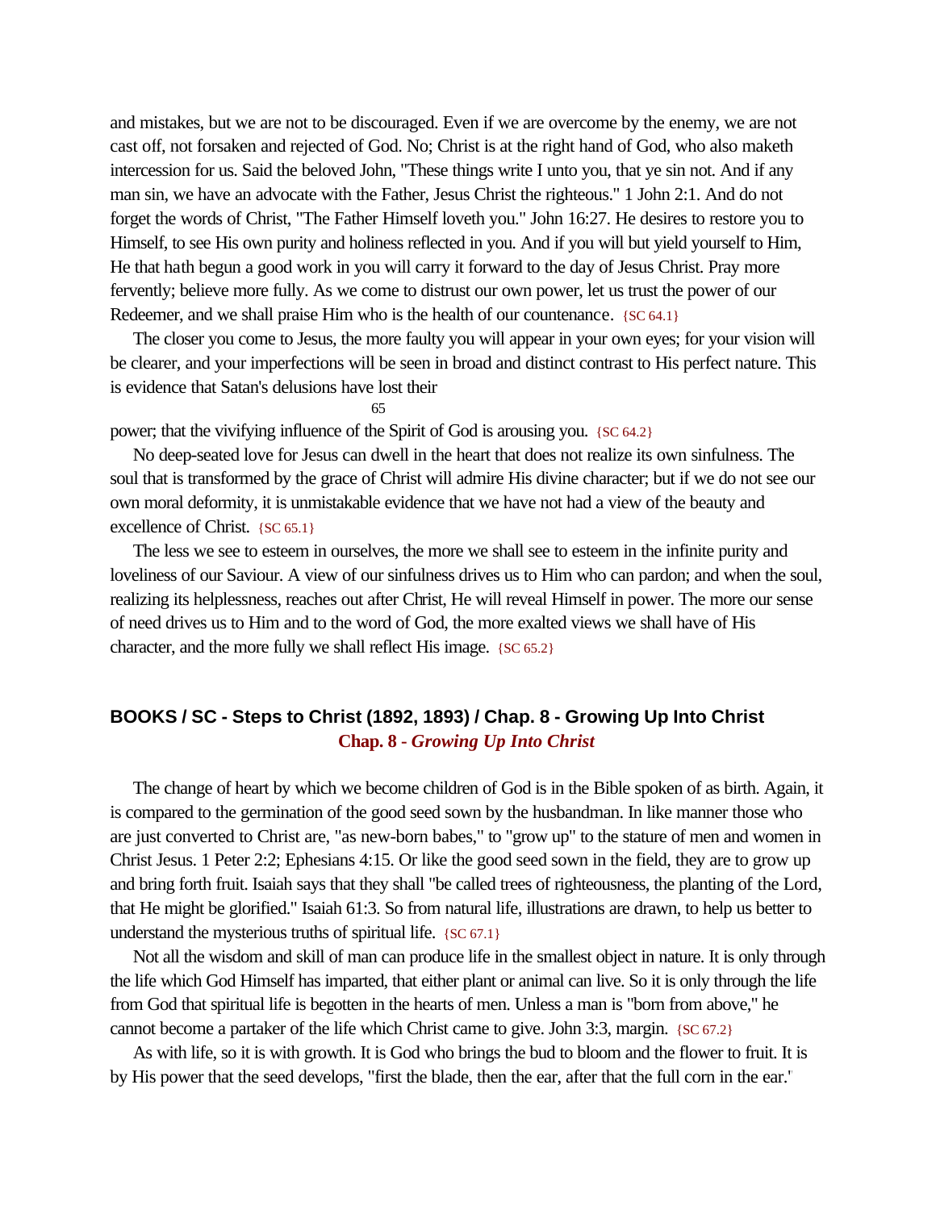and mistakes, but we are not to be discouraged. Even if we are overcome by the enemy, we are not cast off, not forsaken and rejected of God. No; Christ is at the right hand of God, who also maketh intercession for us. Said the beloved John, "These things write I unto you, that ye sin not. And if any man sin, we have an advocate with the Father, Jesus Christ the righteous." 1 John 2:1. And do not forget the words of Christ, "The Father Himself loveth you." John 16:27. He desires to restore you to Himself, to see His own purity and holiness reflected in you. And if you will but yield yourself to Him, He that hath begun a good work in you will carry it forward to the day of Jesus Christ. Pray more fervently; believe more fully. As we come to distrust our own power, let us trust the power of our Redeemer, and we shall praise Him who is the health of our countenance. {SC 64.1}

 The closer you come to Jesus, the more faulty you will appear in your own eyes; for your vision will be clearer, and your imperfections will be seen in broad and distinct contrast to His perfect nature. This is evidence that Satan's delusions have lost their

 $65$ 

power; that the vivifying influence of the Spirit of God is arousing you. {SC 64.2}

 No deep-seated love for Jesus can dwell in the heart that does not realize its own sinfulness. The soul that is transformed by the grace of Christ will admire His divine character; but if we do not see our own moral deformity, it is unmistakable evidence that we have not had a view of the beauty and excellence of Christ. {SC 65.1}

 The less we see to esteem in ourselves, the more we shall see to esteem in the infinite purity and loveliness of our Saviour. A view of our sinfulness drives us to Him who can pardon; and when the soul, realizing its helplessness, reaches out after Christ, He will reveal Himself in power. The more our sense of need drives us to Him and to the word of God, the more exalted views we shall have of His character, and the more fully we shall reflect His image. {SC 65.2}

# **BOOKS / SC - Steps to Christ (1892, 1893) / Chap. 8 - Growing Up Into Christ Chap. 8 -** *Growing Up Into Christ*

 The change of heart by which we become children of God is in the Bible spoken of as birth. Again, it is compared to the germination of the good seed sown by the husbandman. In like manner those who are just converted to Christ are, "as new-born babes," to "grow up" to the stature of men and women in Christ Jesus. 1 Peter 2:2; Ephesians 4:15. Or like the good seed sown in the field, they are to grow up and bring forth fruit. Isaiah says that they shall "be called trees of righteousness, the planting of the Lord, that He might be glorified." Isaiah 61:3. So from natural life, illustrations are drawn, to help us better to understand the mysterious truths of spiritual life.  ${SC 67.1}$ 

 Not all the wisdom and skill of man can produce life in the smallest object in nature. It is only through the life which God Himself has imparted, that either plant or animal can live. So it is only through the life from God that spiritual life is begotten in the hearts of men. Unless a man is "born from above," he cannot become a partaker of the life which Christ came to give. John 3:3, margin. {SC 67.2}

 As with life, so it is with growth. It is God who brings the bud to bloom and the flower to fruit. It is by His power that the seed develops, "first the blade, then the ear, after that the full corn in the ear."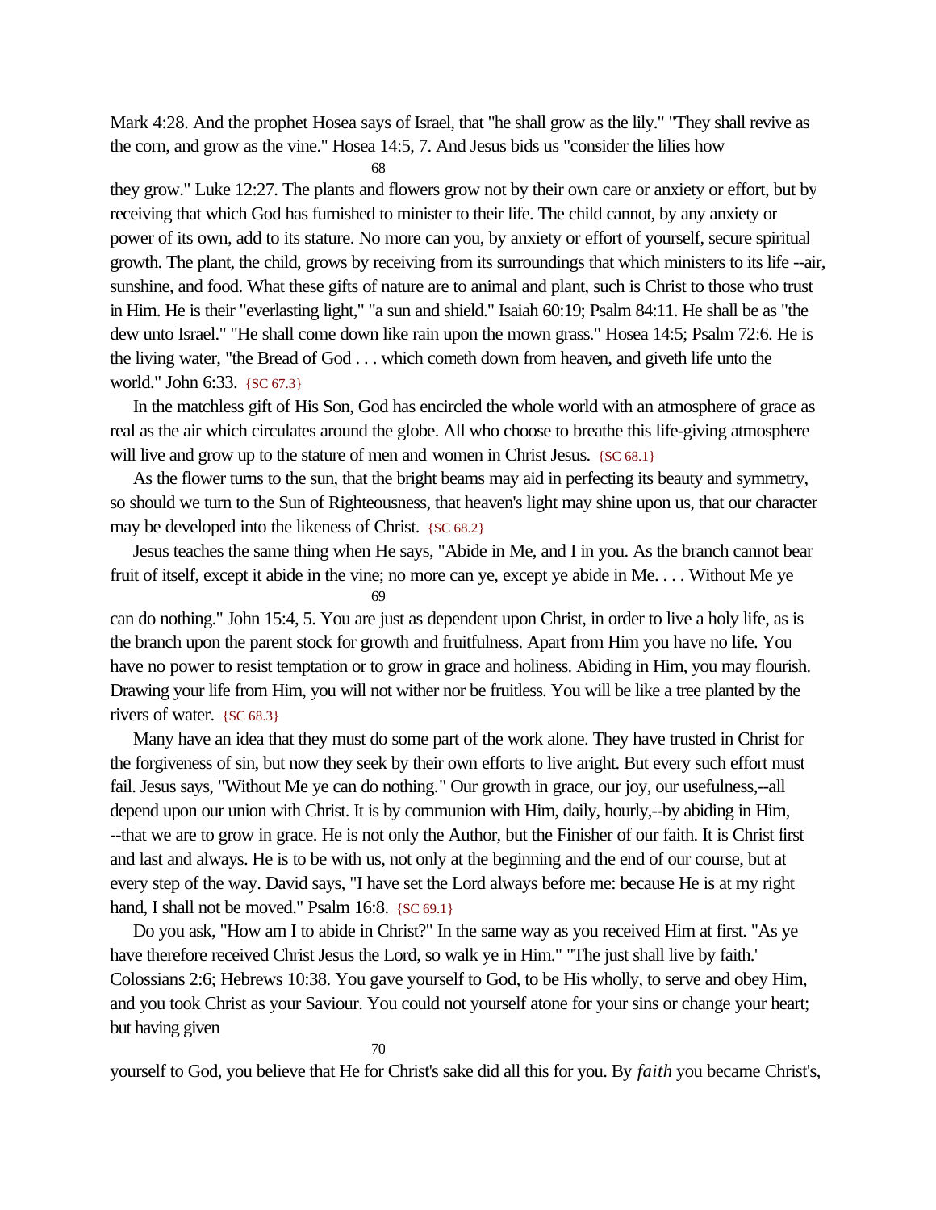Mark 4:28. And the prophet Hosea says of Israel, that "he shall grow as the lily." "They shall revive as the corn, and grow as the vine." Hosea 14:5, 7. And Jesus bids us "consider the lilies how

68

they grow." Luke 12:27. The plants and flowers grow not by their own care or anxiety or effort, but by receiving that which God has furnished to minister to their life. The child cannot, by any anxiety or power of its own, add to its stature. No more can you, by anxiety or effort of yourself, secure spiritual growth. The plant, the child, grows by receiving from its surroundings that which ministers to its life --air, sunshine, and food. What these gifts of nature are to animal and plant, such is Christ to those who trust in Him. He is their "everlasting light," "a sun and shield." Isaiah 60:19; Psalm 84:11. He shall be as "the dew unto Israel." "He shall come down like rain upon the mown grass." Hosea 14:5; Psalm 72:6. He is the living water, "the Bread of God . . . which cometh down from heaven, and giveth life unto the world." John 6:33. {SC 67.3}

 In the matchless gift of His Son, God has encircled the whole world with an atmosphere of grace as real as the air which circulates around the globe. All who choose to breathe this life-giving atmosphere will live and grow up to the stature of men and women in Christ Jesus. {SC 68.1}

 As the flower turns to the sun, that the bright beams may aid in perfecting its beauty and symmetry, so should we turn to the Sun of Righteousness, that heaven's light may shine upon us, that our character may be developed into the likeness of Christ. {SC 68.2}

 Jesus teaches the same thing when He says, "Abide in Me, and I in you. As the branch cannot bear fruit of itself, except it abide in the vine; no more can ye, except ye abide in Me. . . . Without Me ye 69

can do nothing." John 15:4, 5. You are just as dependent upon Christ, in order to live a holy life, as is the branch upon the parent stock for growth and fruitfulness. Apart from Him you have no life. You have no power to resist temptation or to grow in grace and holiness. Abiding in Him, you may flourish. Drawing your life from Him, you will not wither nor be fruitless. You will be like a tree planted by the rivers of water. {SC 68.3}

 Many have an idea that they must do some part of the work alone. They have trusted in Christ for the forgiveness of sin, but now they seek by their own efforts to live aright. But every such effort must fail. Jesus says, "Without Me ye can do nothing." Our growth in grace, our joy, our usefulness,--all depend upon our union with Christ. It is by communion with Him, daily, hourly,--by abiding in Him, --that we are to grow in grace. He is not only the Author, but the Finisher of our faith. It is Christ first and last and always. He is to be with us, not only at the beginning and the end of our course, but at every step of the way. David says, "I have set the Lord always before me: because He is at my right hand, I shall not be moved." Psalm 16:8. {SC 69.1}

 Do you ask, "How am I to abide in Christ?" In the same way as you received Him at first. "As ye have therefore received Christ Jesus the Lord, so walk ye in Him." "The just shall live by faith." Colossians 2:6; Hebrews 10:38. You gave yourself to God, to be His wholly, to serve and obey Him, and you took Christ as your Saviour. You could not yourself atone for your sins or change your heart; but having given

70

yourself to God, you believe that He for Christ's sake did all this for you. By *faith* you became Christ's,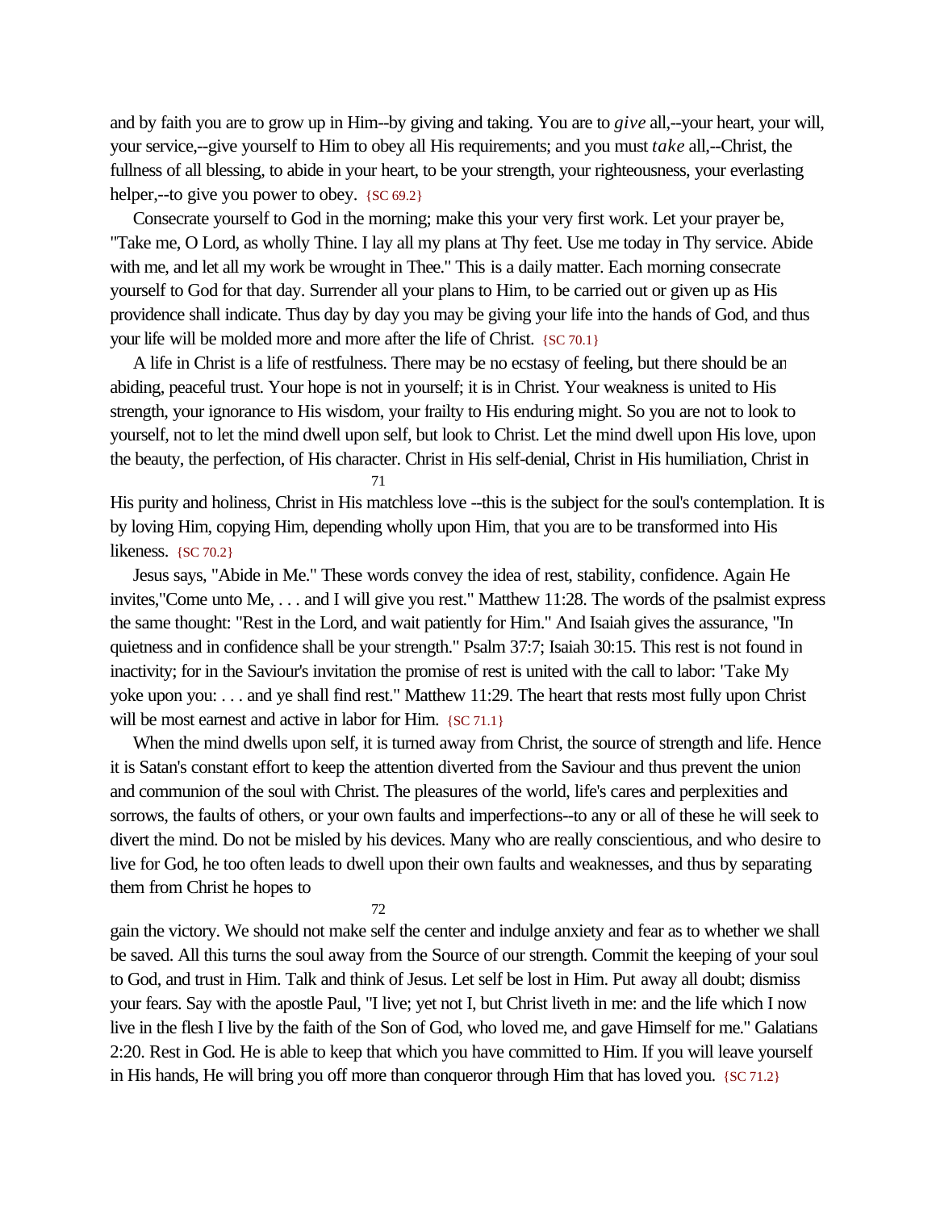and by faith you are to grow up in Him--by giving and taking. You are to *give* all,--your heart, your will, your service,--give yourself to Him to obey all His requirements; and you must *take* all,--Christ, the fullness of all blessing, to abide in your heart, to be your strength, your righteousness, your everlasting helper,--to give you power to obey. {SC 69.2}

 Consecrate yourself to God in the morning; make this your very first work. Let your prayer be, "Take me, O Lord, as wholly Thine. I lay all my plans at Thy feet. Use me today in Thy service. Abide with me, and let all my work be wrought in Thee." This is a daily matter. Each morning consecrate yourself to God for that day. Surrender all your plans to Him, to be carried out or given up as His providence shall indicate. Thus day by day you may be giving your life into the hands of God, and thus your life will be molded more and more after the life of Christ. {SC 70.1}

 A life in Christ is a life of restfulness. There may be no ecstasy of feeling, but there should be an abiding, peaceful trust. Your hope is not in yourself; it is in Christ. Your weakness is united to His strength, your ignorance to His wisdom, your frailty to His enduring might. So you are not to look to yourself, not to let the mind dwell upon self, but look to Christ. Let the mind dwell upon His love, upon the beauty, the perfection, of His character. Christ in His self-denial, Christ in His humiliation, Christ in 71

His purity and holiness, Christ in His matchless love --this is the subject for the soul's contemplation. It is by loving Him, copying Him, depending wholly upon Him, that you are to be transformed into His likeness.  ${SC 70.2}$ 

 Jesus says, "Abide in Me." These words convey the idea of rest, stability, confidence. Again He invites,"Come unto Me, . . . and I will give you rest." Matthew 11:28. The words of the psalmist express the same thought: "Rest in the Lord, and wait patiently for Him." And Isaiah gives the assurance, "In quietness and in confidence shall be your strength." Psalm 37:7; Isaiah 30:15. This rest is not found in inactivity; for in the Saviour's invitation the promise of rest is united with the call to labor: "Take My yoke upon you: . . . and ye shall find rest." Matthew 11:29. The heart that rests most fully upon Christ will be most earnest and active in labor for Him. {SC 71.1}

When the mind dwells upon self, it is turned away from Christ, the source of strength and life. Hence it is Satan's constant effort to keep the attention diverted from the Saviour and thus prevent the union and communion of the soul with Christ. The pleasures of the world, life's cares and perplexities and sorrows, the faults of others, or your own faults and imperfections--to any or all of these he will seek to divert the mind. Do not be misled by his devices. Many who are really conscientious, and who desire to live for God, he too often leads to dwell upon their own faults and weaknesses, and thus by separating them from Christ he hopes to

72

gain the victory. We should not make self the center and indulge anxiety and fear as to whether we shall be saved. All this turns the soul away from the Source of our strength. Commit the keeping of your soul to God, and trust in Him. Talk and think of Jesus. Let self be lost in Him. Put away all doubt; dismiss your fears. Say with the apostle Paul, "I live; yet not I, but Christ liveth in me: and the life which I now live in the flesh I live by the faith of the Son of God, who loved me, and gave Himself for me." Galatians 2:20. Rest in God. He is able to keep that which you have committed to Him. If you will leave yourself in His hands, He will bring you off more than conqueror through Him that has loved you. {SC 71.2}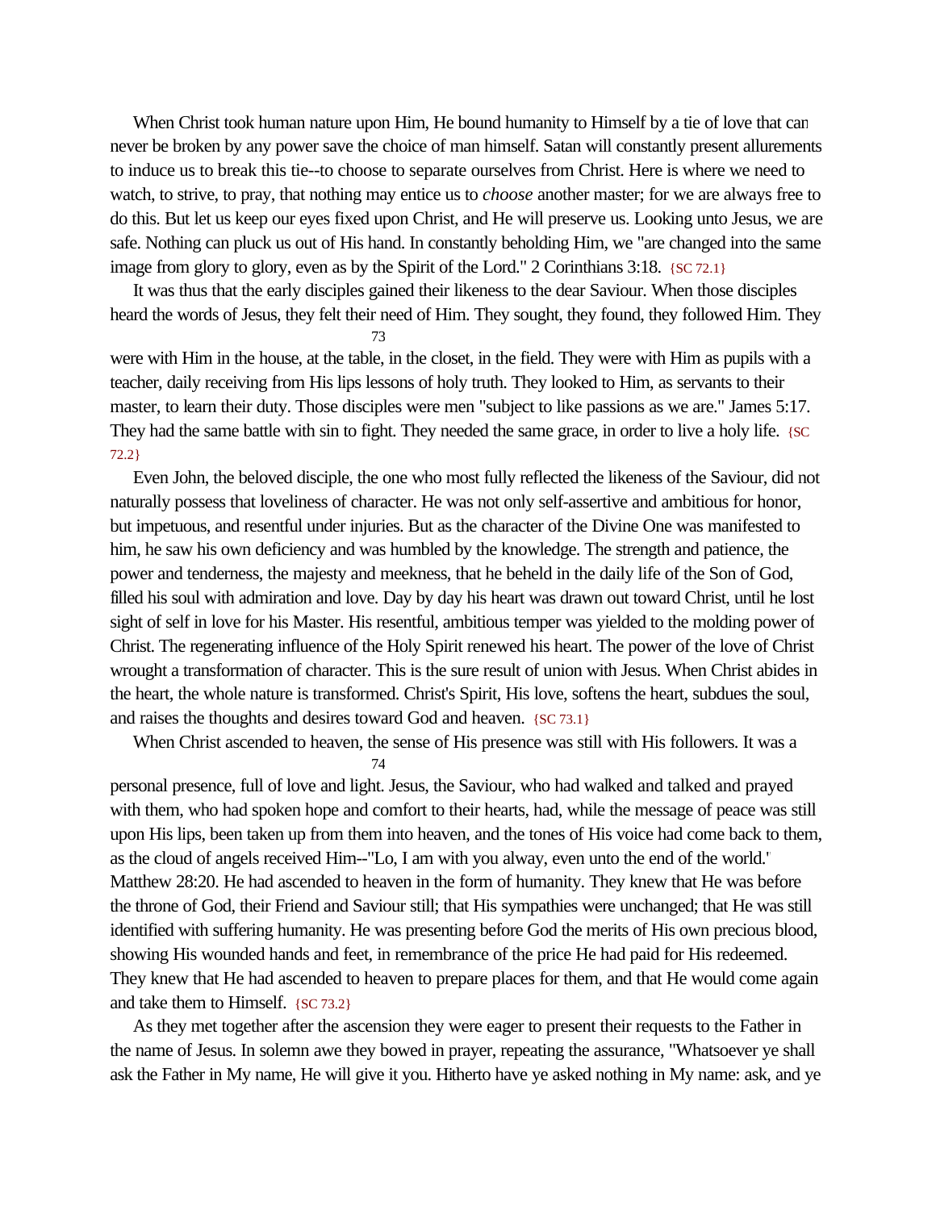When Christ took human nature upon Him, He bound humanity to Himself by a tie of love that can never be broken by any power save the choice of man himself. Satan will constantly present allurements to induce us to break this tie--to choose to separate ourselves from Christ. Here is where we need to watch, to strive, to pray, that nothing may entice us to *choose* another master; for we are always free to do this. But let us keep our eyes fixed upon Christ, and He will preserve us. Looking unto Jesus, we are safe. Nothing can pluck us out of His hand. In constantly beholding Him, we "are changed into the same image from glory to glory, even as by the Spirit of the Lord." 2 Corinthians  $3:18.$  {SC 72.1}

 It was thus that the early disciples gained their likeness to the dear Saviour. When those disciples heard the words of Jesus, they felt their need of Him. They sought, they found, they followed Him. They 73

were with Him in the house, at the table, in the closet, in the field. They were with Him as pupils with a teacher, daily receiving from His lips lessons of holy truth. They looked to Him, as servants to their master, to learn their duty. Those disciples were men "subject to like passions as we are." James 5:17. They had the same battle with sin to fight. They needed the same grace, in order to live a holy life. {SC 72.2}

 Even John, the beloved disciple, the one who most fully reflected the likeness of the Saviour, did not naturally possess that loveliness of character. He was not only self-assertive and ambitious for honor, but impetuous, and resentful under injuries. But as the character of the Divine One was manifested to him, he saw his own deficiency and was humbled by the knowledge. The strength and patience, the power and tenderness, the majesty and meekness, that he beheld in the daily life of the Son of God, filled his soul with admiration and love. Day by day his heart was drawn out toward Christ, until he lost sight of self in love for his Master. His resentful, ambitious temper was yielded to the molding power of Christ. The regenerating influence of the Holy Spirit renewed his heart. The power of the love of Christ wrought a transformation of character. This is the sure result of union with Jesus. When Christ abides in the heart, the whole nature is transformed. Christ's Spirit, His love, softens the heart, subdues the soul, and raises the thoughts and desires toward God and heaven. {SC 73.1}

 When Christ ascended to heaven, the sense of His presence was still with His followers. It was a 74

personal presence, full of love and light. Jesus, the Saviour, who had walked and talked and prayed with them, who had spoken hope and comfort to their hearts, had, while the message of peace was still upon His lips, been taken up from them into heaven, and the tones of His voice had come back to them, as the cloud of angels received Him--"Lo, I am with you alway, even unto the end of the world." Matthew 28:20. He had ascended to heaven in the form of humanity. They knew that He was before the throne of God, their Friend and Saviour still; that His sympathies were unchanged; that He was still identified with suffering humanity. He was presenting before God the merits of His own precious blood, showing His wounded hands and feet, in remembrance of the price He had paid for His redeemed. They knew that He had ascended to heaven to prepare places for them, and that He would come again and take them to Himself.  ${SC 73.2}$ 

 As they met together after the ascension they were eager to present their requests to the Father in the name of Jesus. In solemn awe they bowed in prayer, repeating the assurance, "Whatsoever ye shall ask the Father in My name, He will give it you. Hitherto have ye asked nothing in My name: ask, and ye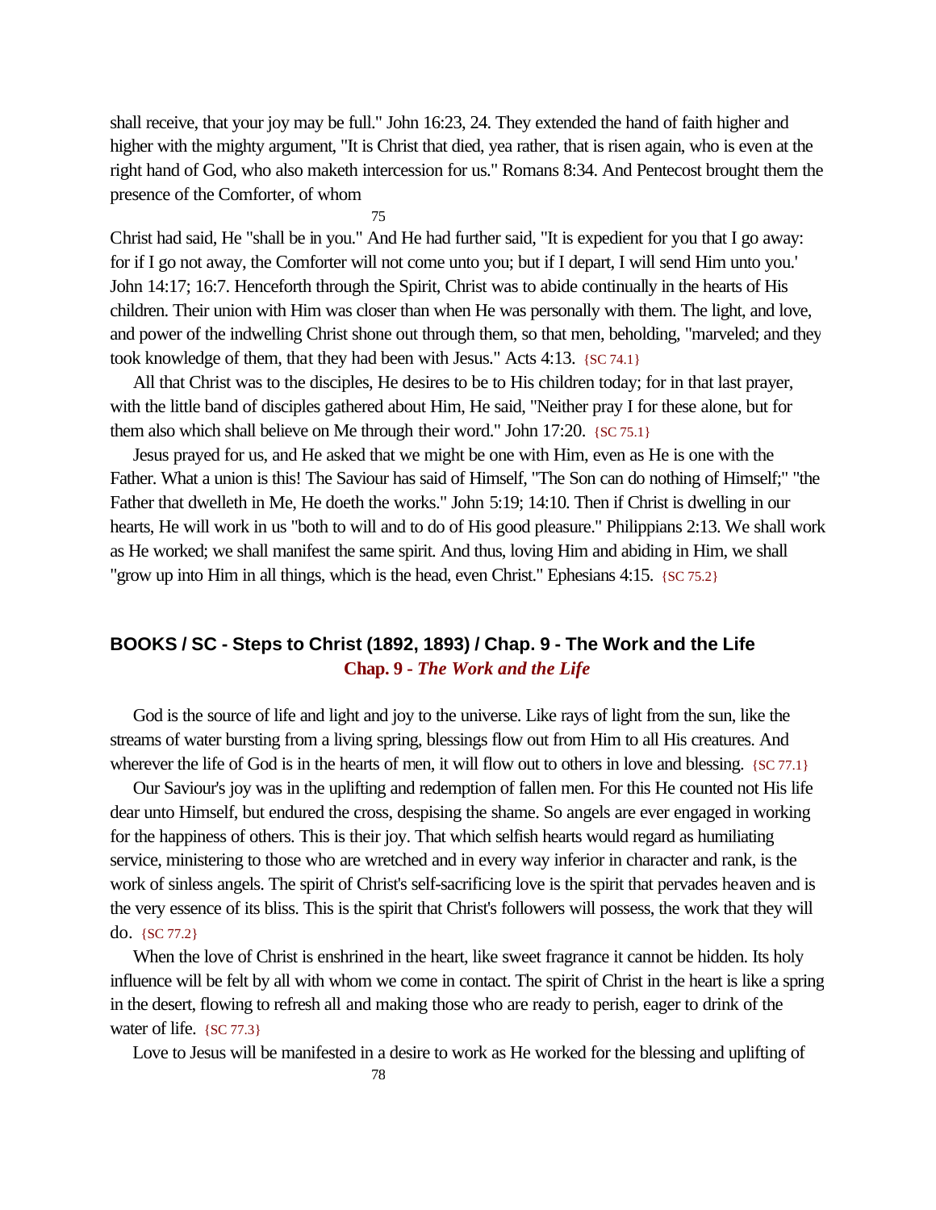shall receive, that your joy may be full." John 16:23, 24. They extended the hand of faith higher and higher with the mighty argument, "It is Christ that died, yea rather, that is risen again, who is even at the right hand of God, who also maketh intercession for us." Romans 8:34. And Pentecost brought them the presence of the Comforter, of whom

75

Christ had said, He "shall be in you." And He had further said, "It is expedient for you that I go away: for if I go not away, the Comforter will not come unto you; but if I depart, I will send Him unto you." John 14:17; 16:7. Henceforth through the Spirit, Christ was to abide continually in the hearts of His children. Their union with Him was closer than when He was personally with them. The light, and love, and power of the indwelling Christ shone out through them, so that men, beholding, "marveled; and they took knowledge of them, that they had been with Jesus." Acts 4:13. {SC 74.1}

 All that Christ was to the disciples, He desires to be to His children today; for in that last prayer, with the little band of disciples gathered about Him, He said, "Neither pray I for these alone, but for them also which shall believe on Me through their word." John 17:20.  ${SC 75.1}$ 

 Jesus prayed for us, and He asked that we might be one with Him, even as He is one with the Father. What a union is this! The Saviour has said of Himself, "The Son can do nothing of Himself;" "the Father that dwelleth in Me, He doeth the works." John 5:19; 14:10. Then if Christ is dwelling in our hearts, He will work in us "both to will and to do of His good pleasure." Philippians 2:13. We shall work as He worked; we shall manifest the same spirit. And thus, loving Him and abiding in Him, we shall "grow up into Him in all things, which is the head, even Christ." Ephesians 4:15. {SC 75.2}

# **BOOKS / SC - Steps to Christ (1892, 1893) / Chap. 9 - The Work and the Life Chap. 9 -** *The Work and the Life*

 God is the source of life and light and joy to the universe. Like rays of light from the sun, like the streams of water bursting from a living spring, blessings flow out from Him to all His creatures. And wherever the life of God is in the hearts of men, it will flow out to others in love and blessing. {SC 77.1}

 Our Saviour's joy was in the uplifting and redemption of fallen men. For this He counted not His life dear unto Himself, but endured the cross, despising the shame. So angels are ever engaged in working for the happiness of others. This is their joy. That which selfish hearts would regard as humiliating service, ministering to those who are wretched and in every way inferior in character and rank, is the work of sinless angels. The spirit of Christ's self-sacrificing love is the spirit that pervades heaven and is the very essence of its bliss. This is the spirit that Christ's followers will possess, the work that they will do. {SC 77.2}

 When the love of Christ is enshrined in the heart, like sweet fragrance it cannot be hidden. Its holy influence will be felt by all with whom we come in contact. The spirit of Christ in the heart is like a spring in the desert, flowing to refresh all and making those who are ready to perish, eager to drink of the water of life.  ${SC 77.3}$ 

Love to Jesus will be manifested in a desire to work as He worked for the blessing and uplifting of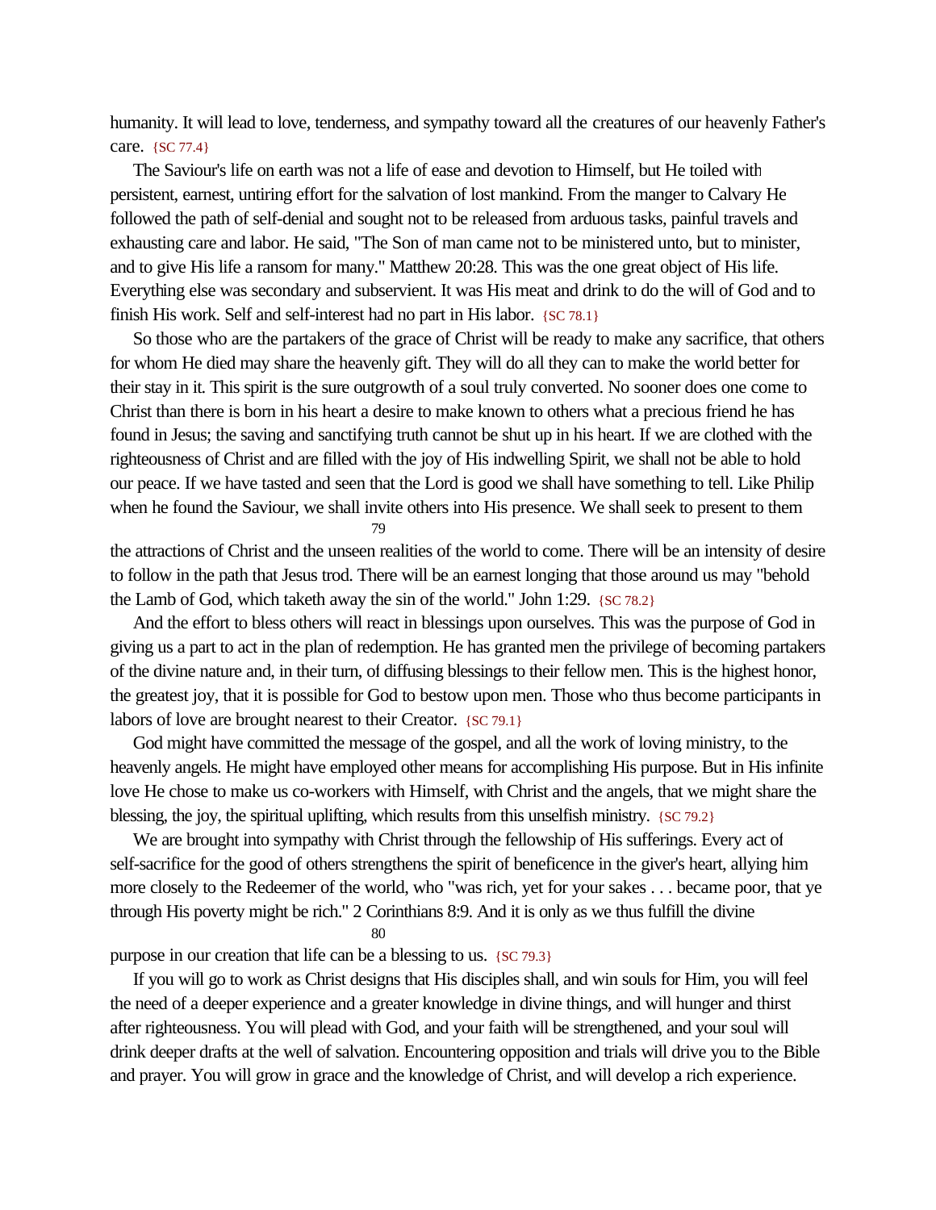humanity. It will lead to love, tenderness, and sympathy toward all the creatures of our heavenly Father's care. {SC 77.4}

 The Saviour's life on earth was not a life of ease and devotion to Himself, but He toiled with persistent, earnest, untiring effort for the salvation of lost mankind. From the manger to Calvary He followed the path of self-denial and sought not to be released from arduous tasks, painful travels and exhausting care and labor. He said, "The Son of man came not to be ministered unto, but to minister, and to give His life a ransom for many." Matthew 20:28. This was the one great object of His life. Everything else was secondary and subservient. It was His meat and drink to do the will of God and to finish His work. Self and self-interest had no part in His labor. {SC 78.1}

 So those who are the partakers of the grace of Christ will be ready to make any sacrifice, that others for whom He died may share the heavenly gift. They will do all they can to make the world better for their stay in it. This spirit is the sure outgrowth of a soul truly converted. No sooner does one come to Christ than there is born in his heart a desire to make known to others what a precious friend he has found in Jesus; the saving and sanctifying truth cannot be shut up in his heart. If we are clothed with the righteousness of Christ and are filled with the joy of His indwelling Spirit, we shall not be able to hold our peace. If we have tasted and seen that the Lord is good we shall have something to tell. Like Philip when he found the Saviour, we shall invite others into His presence. We shall seek to present to them 79

the attractions of Christ and the unseen realities of the world to come. There will be an intensity of desire to follow in the path that Jesus trod. There will be an earnest longing that those around us may "behold the Lamb of God, which taketh away the sin of the world." John 1:29. {SC 78.2}

 And the effort to bless others will react in blessings upon ourselves. This was the purpose of God in giving us a part to act in the plan of redemption. He has granted men the privilege of becoming partakers of the divine nature and, in their turn, of diffusing blessings to their fellow men. This is the highest honor, the greatest joy, that it is possible for God to bestow upon men. Those who thus become participants in labors of love are brought nearest to their Creator. {SC 79.1}

 God might have committed the message of the gospel, and all the work of loving ministry, to the heavenly angels. He might have employed other means for accomplishing His purpose. But in His infinite love He chose to make us co-workers with Himself, with Christ and the angels, that we might share the blessing, the joy, the spiritual uplifting, which results from this unselfish ministry. {SC 79.2}

 We are brought into sympathy with Christ through the fellowship of His sufferings. Every act of self-sacrifice for the good of others strengthens the spirit of beneficence in the giver's heart, allying him more closely to the Redeemer of the world, who "was rich, yet for your sakes . . . became poor, that ye through His poverty might be rich." 2 Corinthians 8:9. And it is only as we thus fulfill the divine 80

purpose in our creation that life can be a blessing to us. {SC 79.3}

 If you will go to work as Christ designs that His disciples shall, and win souls for Him, you will feel the need of a deeper experience and a greater knowledge in divine things, and will hunger and thirst after righteousness. You will plead with God, and your faith will be strengthened, and your soul will drink deeper drafts at the well of salvation. Encountering opposition and trials will drive you to the Bible and prayer. You will grow in grace and the knowledge of Christ, and will develop a rich experience.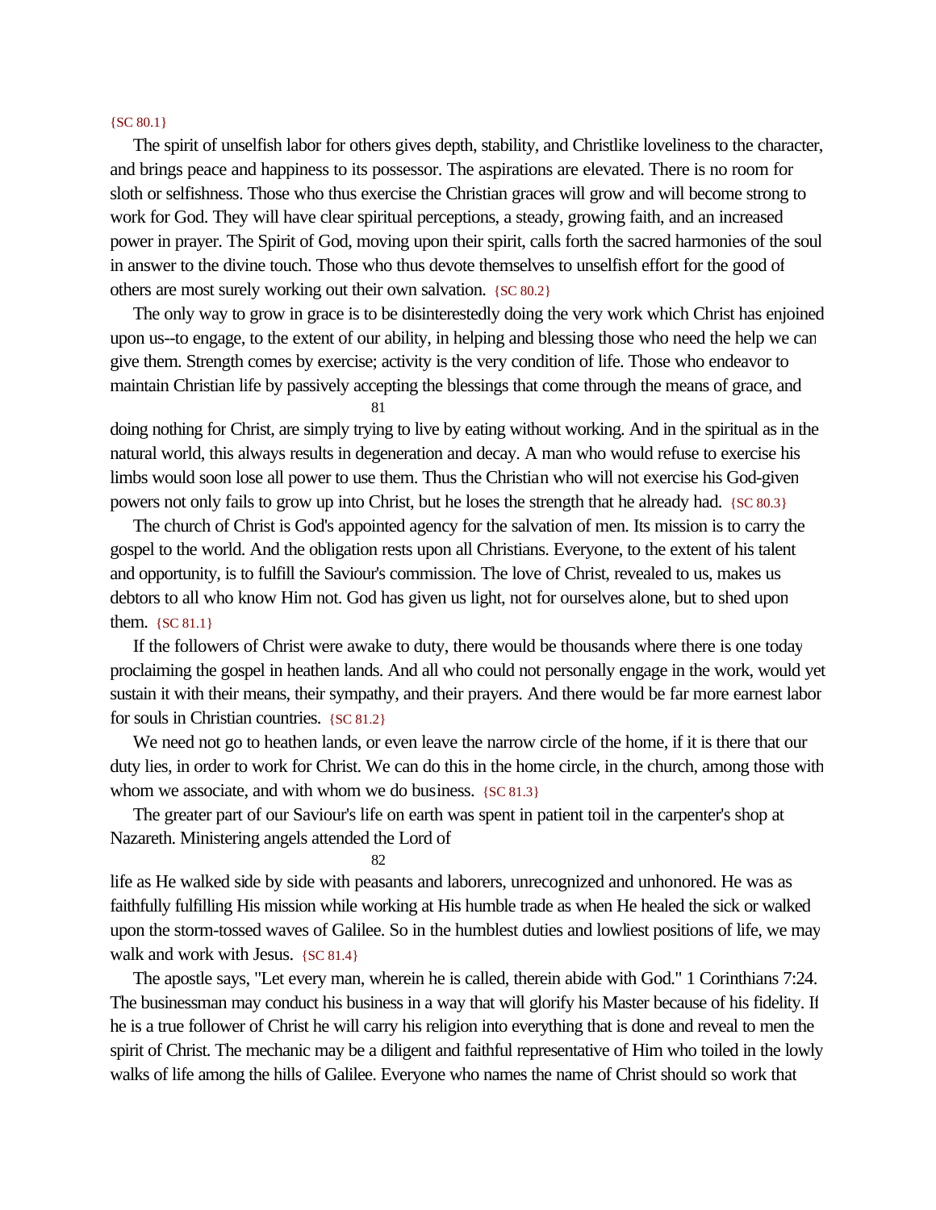### {SC 80.1}

 The spirit of unselfish labor for others gives depth, stability, and Christlike loveliness to the character, and brings peace and happiness to its possessor. The aspirations are elevated. There is no room for sloth or selfishness. Those who thus exercise the Christian graces will grow and will become strong to work for God. They will have clear spiritual perceptions, a steady, growing faith, and an increased power in prayer. The Spirit of God, moving upon their spirit, calls forth the sacred harmonies of the soul in answer to the divine touch. Those who thus devote themselves to unselfish effort for the good of others are most surely working out their own salvation. {SC 80.2}

 The only way to grow in grace is to be disinterestedly doing the very work which Christ has enjoined upon us--to engage, to the extent of our ability, in helping and blessing those who need the help we can give them. Strength comes by exercise; activity is the very condition of life. Those who endeavor to maintain Christian life by passively accepting the blessings that come through the means of grace, and 81

doing nothing for Christ, are simply trying to live by eating without working. And in the spiritual as in the natural world, this always results in degeneration and decay. A man who would refuse to exercise his limbs would soon lose all power to use them. Thus the Christian who will not exercise his God-given powers not only fails to grow up into Christ, but he loses the strength that he already had. {SC 80.3}

 The church of Christ is God's appointed agency for the salvation of men. Its mission is to carry the gospel to the world. And the obligation rests upon all Christians. Everyone, to the extent of his talent and opportunity, is to fulfill the Saviour's commission. The love of Christ, revealed to us, makes us debtors to all who know Him not. God has given us light, not for ourselves alone, but to shed upon them.  ${SC 81.1}$ 

 If the followers of Christ were awake to duty, there would be thousands where there is one today proclaiming the gospel in heathen lands. And all who could not personally engage in the work, would yet sustain it with their means, their sympathy, and their prayers. And there would be far more earnest labor for souls in Christian countries. {SC 81.2}

We need not go to heathen lands, or even leave the narrow circle of the home, if it is there that our duty lies, in order to work for Christ. We can do this in the home circle, in the church, among those with whom we associate, and with whom we do business. {SC 81.3}

 The greater part of our Saviour's life on earth was spent in patient toil in the carpenter's shop at Nazareth. Ministering angels attended the Lord of

82

life as He walked side by side with peasants and laborers, unrecognized and unhonored. He was as faithfully fulfilling His mission while working at His humble trade as when He healed the sick or walked upon the storm-tossed waves of Galilee. So in the humblest duties and lowliest positions of life, we may walk and work with Jesus. {SC 81.4}

 The apostle says, "Let every man, wherein he is called, therein abide with God." 1 Corinthians 7:24. The businessman may conduct his business in a way that will glorify his Master because of his fidelity. If he is a true follower of Christ he will carry his religion into everything that is done and reveal to men the spirit of Christ. The mechanic may be a diligent and faithful representative of Him who toiled in the lowly walks of life among the hills of Galilee. Everyone who names the name of Christ should so work that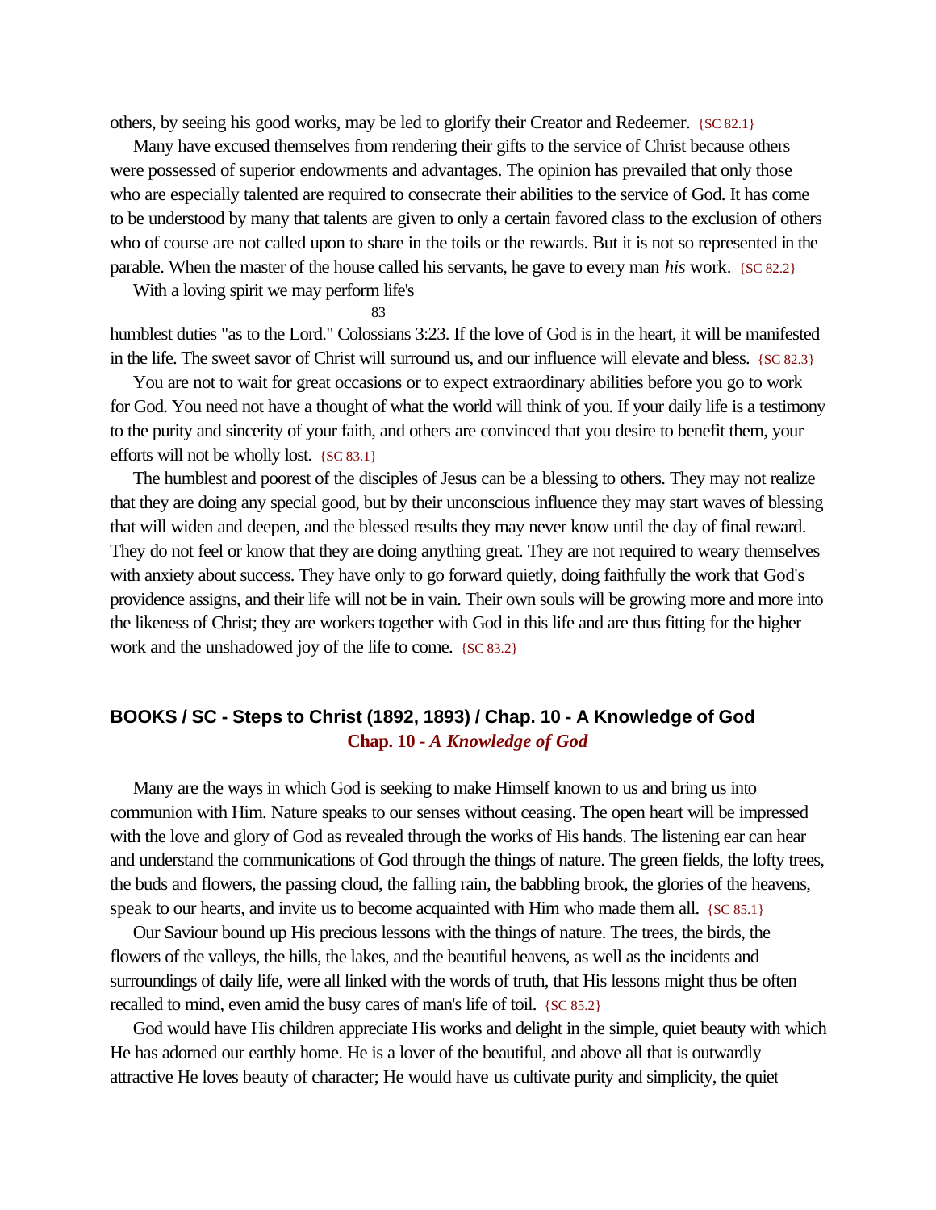others, by seeing his good works, may be led to glorify their Creator and Redeemer. {SC 82.1}

 Many have excused themselves from rendering their gifts to the service of Christ because others were possessed of superior endowments and advantages. The opinion has prevailed that only those who are especially talented are required to consecrate their abilities to the service of God. It has come to be understood by many that talents are given to only a certain favored class to the exclusion of others who of course are not called upon to share in the toils or the rewards. But it is not so represented in the parable. When the master of the house called his servants, he gave to every man *his* work. {SC 82.2}

With a loving spirit we may perform life's

external contracts of the state of the state of the state of the state of the state of the state of the state o

humblest duties "as to the Lord." Colossians 3:23. If the love of God is in the heart, it will be manifested in the life. The sweet savor of Christ will surround us, and our influence will elevate and bless. {SC 82.3}

 You are not to wait for great occasions or to expect extraordinary abilities before you go to work for God. You need not have a thought of what the world will think of you. If your daily life is a testimony to the purity and sincerity of your faith, and others are convinced that you desire to benefit them, your efforts will not be wholly lost. {SC 83.1}

 The humblest and poorest of the disciples of Jesus can be a blessing to others. They may not realize that they are doing any special good, but by their unconscious influence they may start waves of blessing that will widen and deepen, and the blessed results they may never know until the day of final reward. They do not feel or know that they are doing anything great. They are not required to weary themselves with anxiety about success. They have only to go forward quietly, doing faithfully the work that God's providence assigns, and their life will not be in vain. Their own souls will be growing more and more into the likeness of Christ; they are workers together with God in this life and are thus fitting for the higher work and the unshadowed joy of the life to come. {SC 83.2}

# **BOOKS / SC - Steps to Christ (1892, 1893) / Chap. 10 - A Knowledge of God Chap. 10 -** *A Knowledge of God*

 Many are the ways in which God is seeking to make Himself known to us and bring us into communion with Him. Nature speaks to our senses without ceasing. The open heart will be impressed with the love and glory of God as revealed through the works of His hands. The listening ear can hear and understand the communications of God through the things of nature. The green fields, the lofty trees, the buds and flowers, the passing cloud, the falling rain, the babbling brook, the glories of the heavens, speak to our hearts, and invite us to become acquainted with Him who made them all. {SC 85.1}

 Our Saviour bound up His precious lessons with the things of nature. The trees, the birds, the flowers of the valleys, the hills, the lakes, and the beautiful heavens, as well as the incidents and surroundings of daily life, were all linked with the words of truth, that His lessons might thus be often recalled to mind, even amid the busy cares of man's life of toil. {SC 85.2}

 God would have His children appreciate His works and delight in the simple, quiet beauty with which He has adorned our earthly home. He is a lover of the beautiful, and above all that is outwardly attractive He loves beauty of character; He would have us cultivate purity and simplicity, the quiet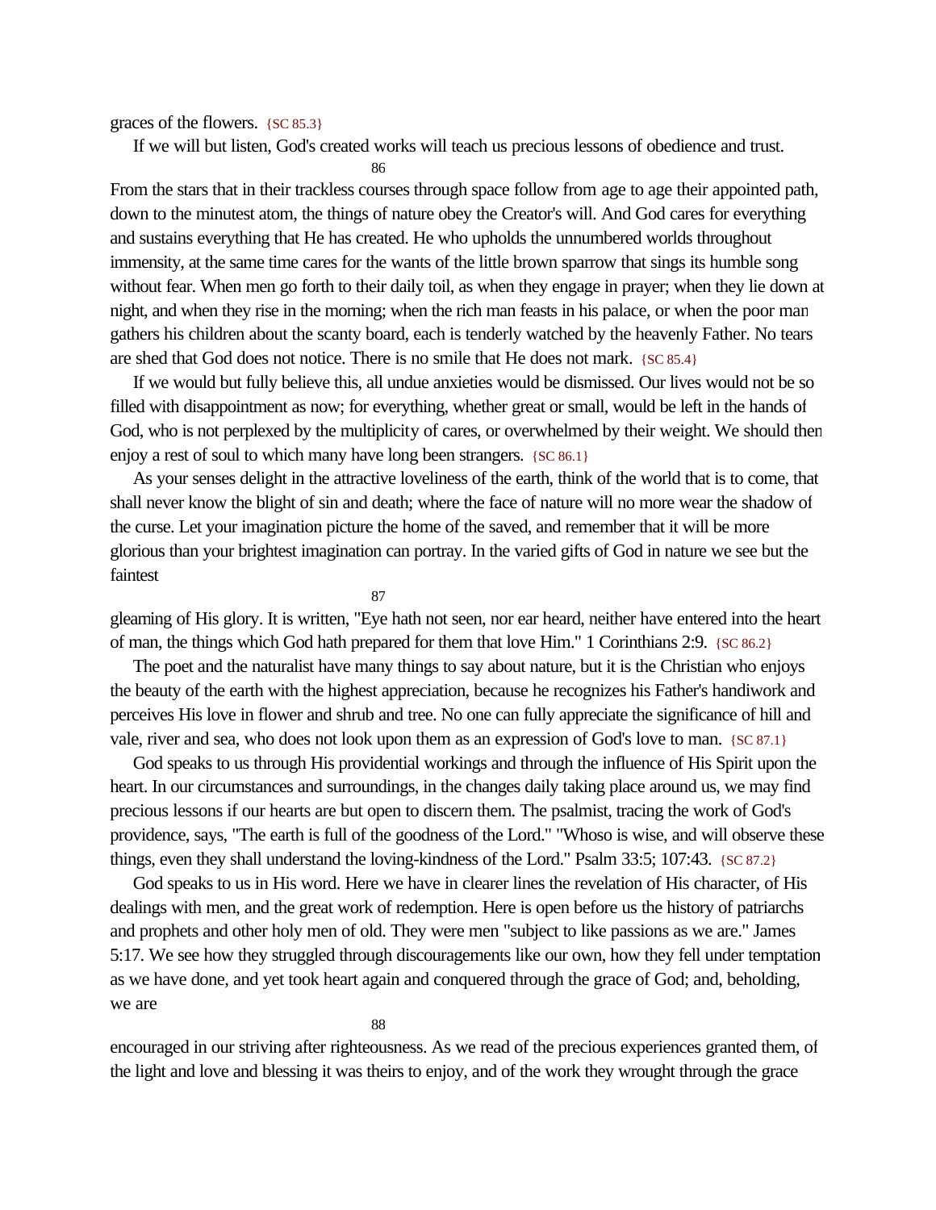graces of the flowers. {SC 85.3}

<u>86 and 200 and 200 and 200 and 200 and 200 and 200 and 200 and 200 and 200 and 200 and 200 and 200 and 200 and 200 and 200 and 200 and 200 and 200 and 200 and 200 and 200 and 200 and 200 and 200 and 200 and 200 and 200 an</u>

If we will but listen, God's created works will teach us precious lessons of obedience and trust.

From the stars that in their trackless courses through space follow from age to age their appointed path, down to the minutest atom, the things of nature obey the Creator's will. And God cares for everything and sustains everything that He has created. He who upholds the unnumbered worlds throughout immensity, at the same time cares for the wants of the little brown sparrow that sings its humble song without fear. When men go forth to their daily toil, as when they engage in prayer; when they lie down at night, and when they rise in the morning; when the rich man feasts in his palace, or when the poor man gathers his children about the scanty board, each is tenderly watched by the heavenly Father. No tears are shed that God does not notice. There is no smile that He does not mark. {SC 85.4}

 If we would but fully believe this, all undue anxieties would be dismissed. Our lives would not be so filled with disappointment as now; for everything, whether great or small, would be left in the hands of God, who is not perplexed by the multiplicity of cares, or overwhelmed by their weight. We should then enjoy a rest of soul to which many have long been strangers. {SC 86.1}

 As your senses delight in the attractive loveliness of the earth, think of the world that is to come, that shall never know the blight of sin and death; where the face of nature will no more wear the shadow of the curse. Let your imagination picture the home of the saved, and remember that it will be more glorious than your brightest imagination can portray. In the varied gifts of God in nature we see but the faintest

87

gleaming of His glory. It is written, "Eye hath not seen, nor ear heard, neither have entered into the heart of man, the things which God hath prepared for them that love Him." 1 Corinthians 2:9. {SC 86.2}

 The poet and the naturalist have many things to say about nature, but it is the Christian who enjoys the beauty of the earth with the highest appreciation, because he recognizes his Father's handiwork and perceives His love in flower and shrub and tree. No one can fully appreciate the significance of hill and vale, river and sea, who does not look upon them as an expression of God's love to man. {SC 87.1}

 God speaks to us through His providential workings and through the influence of His Spirit upon the heart. In our circumstances and surroundings, in the changes daily taking place around us, we may find precious lessons if our hearts are but open to discern them. The psalmist, tracing the work of God's providence, says, "The earth is full of the goodness of the Lord." "Whoso is wise, and will observe these things, even they shall understand the loving-kindness of the Lord." Psalm  $33:5$ ;  $107:43$ .  $\{SC\ 87.2\}$ 

 God speaks to us in His word. Here we have in clearer lines the revelation of His character, of His dealings with men, and the great work of redemption. Here is open before us the history of patriarchs and prophets and other holy men of old. They were men "subject to like passions as we are." James 5:17. We see how they struggled through discouragements like our own, how they fell under temptation as we have done, and yet took heart again and conquered through the grace of God; and, beholding, we are

<u>88 and 200 and 200 and 200 and 200 and 200 and 200 and 200 and 200 and 200 and 200 and 200 and 200 and 200 and 200 and 200 and 200 and 200 and 200 and 200 and 200 and 200 and 200 and 200 and 200 and 200 and 200 and 200 an</u>

encouraged in our striving after righteousness. As we read of the precious experiences granted them, of the light and love and blessing it was theirs to enjoy, and of the work they wrought through the grace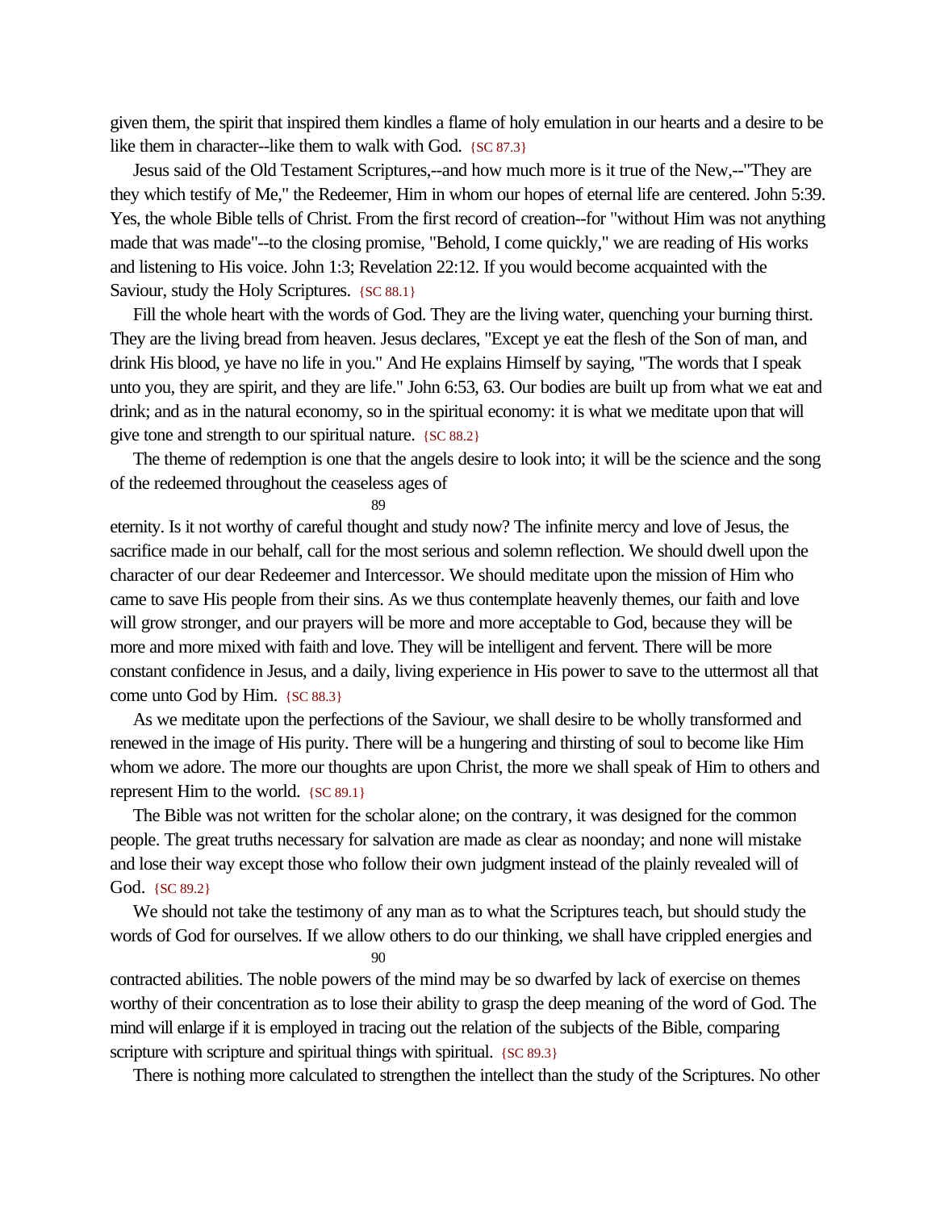given them, the spirit that inspired them kindles a flame of holy emulation in our hearts and a desire to be like them in character--like them to walk with God. {SC 87.3}

 Jesus said of the Old Testament Scriptures,--and how much more is it true of the New,--"They are they which testify of Me," the Redeemer, Him in whom our hopes of eternal life are centered. John 5:39. Yes, the whole Bible tells of Christ. From the first record of creation--for "without Him was not anything made that was made"--to the closing promise, "Behold, I come quickly," we are reading of His works and listening to His voice. John 1:3; Revelation 22:12. If you would become acquainted with the Saviour, study the Holy Scriptures. {SC 88.1}

 Fill the whole heart with the words of God. They are the living water, quenching your burning thirst. They are the living bread from heaven. Jesus declares, "Except ye eat the flesh of the Son of man, and drink His blood, ye have no life in you." And He explains Himself by saying, "The words that I speak unto you, they are spirit, and they are life." John 6:53, 63. Our bodies are built up from what we eat and drink; and as in the natural economy, so in the spiritual economy: it is what we meditate upon that will give tone and strength to our spiritual nature. {SC 88.2}

 The theme of redemption is one that the angels desire to look into; it will be the science and the song of the redeemed throughout the ceaseless ages of

89

eternity. Is it not worthy of careful thought and study now? The infinite mercy and love of Jesus, the sacrifice made in our behalf, call for the most serious and solemn reflection. We should dwell upon the character of our dear Redeemer and Intercessor. We should meditate upon the mission of Him who came to save His people from their sins. As we thus contemplate heavenly themes, our faith and love will grow stronger, and our prayers will be more and more acceptable to God, because they will be more and more mixed with faith and love. They will be intelligent and fervent. There will be more constant confidence in Jesus, and a daily, living experience in His power to save to the uttermost all that come unto God by Him. {SC 88.3}

 As we meditate upon the perfections of the Saviour, we shall desire to be wholly transformed and renewed in the image of His purity. There will be a hungering and thirsting of soul to become like Him whom we adore. The more our thoughts are upon Christ, the more we shall speak of Him to others and represent Him to the world. {SC 89.1}

 The Bible was not written for the scholar alone; on the contrary, it was designed for the common people. The great truths necessary for salvation are made as clear as noonday; and none will mistake and lose their way except those who follow their own judgment instead of the plainly revealed will of God. {SC 89.2}

 We should not take the testimony of any man as to what the Scriptures teach, but should study the words of God for ourselves. If we allow others to do our thinking, we shall have crippled energies and 90

contracted abilities. The noble powers of the mind may be so dwarfed by lack of exercise on themes worthy of their concentration as to lose their ability to grasp the deep meaning of the word of God. The mind will enlarge if it is employed in tracing out the relation of the subjects of the Bible, comparing scripture with scripture and spiritual things with spiritual. {SC 89.3}

There is nothing more calculated to strengthen the intellect than the study of the Scriptures. No other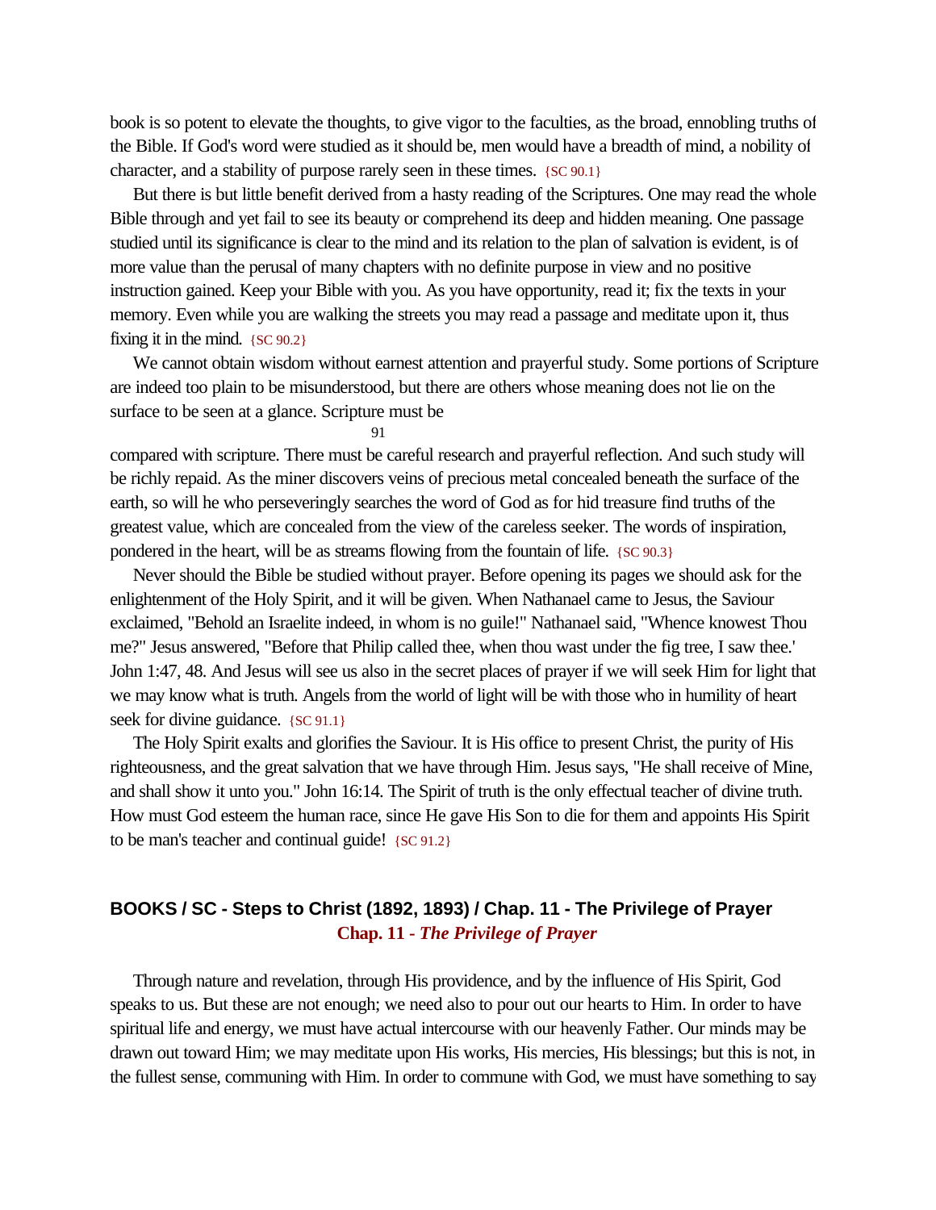book is so potent to elevate the thoughts, to give vigor to the faculties, as the broad, ennobling truths of the Bible. If God's word were studied as it should be, men would have a breadth of mind, a nobility of character, and a stability of purpose rarely seen in these times. {SC 90.1}

 But there is but little benefit derived from a hasty reading of the Scriptures. One may read the whole Bible through and yet fail to see its beauty or comprehend its deep and hidden meaning. One passage studied until its significance is clear to the mind and its relation to the plan of salvation is evident, is of more value than the perusal of many chapters with no definite purpose in view and no positive instruction gained. Keep your Bible with you. As you have opportunity, read it; fix the texts in your memory. Even while you are walking the streets you may read a passage and meditate upon it, thus fixing it in the mind.  ${SC 90.2}$ 

 We cannot obtain wisdom without earnest attention and prayerful study. Some portions of Scripture are indeed too plain to be misunderstood, but there are others whose meaning does not lie on the surface to be seen at a glance. Scripture must be

91

compared with scripture. There must be careful research and prayerful reflection. And such study will be richly repaid. As the miner discovers veins of precious metal concealed beneath the surface of the earth, so will he who perseveringly searches the word of God as for hid treasure find truths of the greatest value, which are concealed from the view of the careless seeker. The words of inspiration, pondered in the heart, will be as streams flowing from the fountain of life. {SC 90.3}

 Never should the Bible be studied without prayer. Before opening its pages we should ask for the enlightenment of the Holy Spirit, and it will be given. When Nathanael came to Jesus, the Saviour exclaimed, "Behold an Israelite indeed, in whom is no guile!" Nathanael said, "Whence knowest Thou me?" Jesus answered, "Before that Philip called thee, when thou wast under the fig tree, I saw thee." John 1:47, 48. And Jesus will see us also in the secret places of prayer if we will seek Him for light that we may know what is truth. Angels from the world of light will be with those who in humility of heart seek for divine guidance. {SC 91.1}

 The Holy Spirit exalts and glorifies the Saviour. It is His office to present Christ, the purity of His righteousness, and the great salvation that we have through Him. Jesus says, "He shall receive of Mine, and shall show it unto you." John 16:14. The Spirit of truth is the only effectual teacher of divine truth. How must God esteem the human race, since He gave His Son to die for them and appoints His Spirit to be man's teacher and continual guide! {SC 91.2}

# **BOOKS / SC - Steps to Christ (1892, 1893) / Chap. 11 - The Privilege of Prayer Chap. 11 -** *The Privilege of Prayer*

 Through nature and revelation, through His providence, and by the influence of His Spirit, God speaks to us. But these are not enough; we need also to pour out our hearts to Him. In order to have spiritual life and energy, we must have actual intercourse with our heavenly Father. Our minds may be drawn out toward Him; we may meditate upon His works, His mercies, His blessings; but this is not, in the fullest sense, communing with Him. In order to commune with God, we must have something to say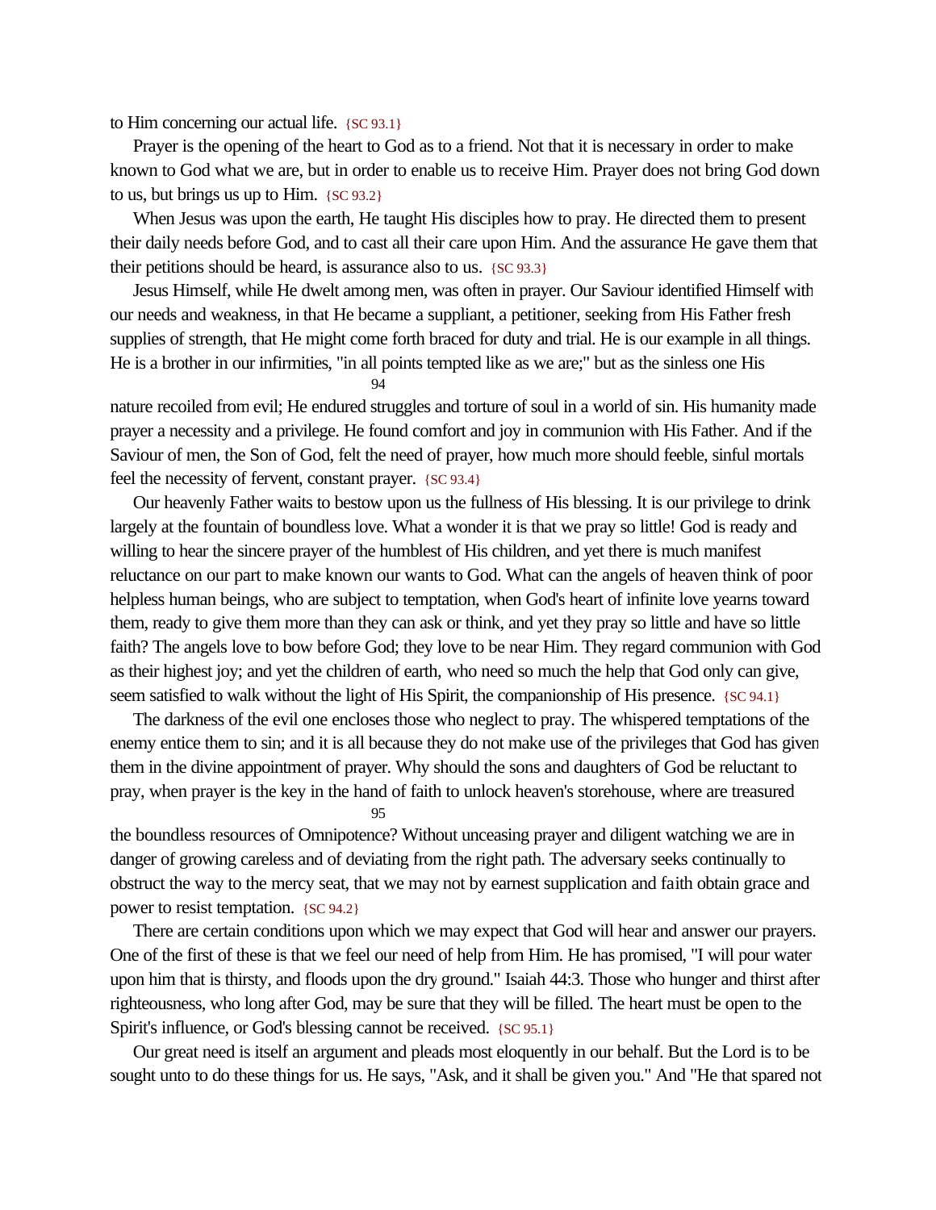to Him concerning our actual life. {SC 93.1}

 Prayer is the opening of the heart to God as to a friend. Not that it is necessary in order to make known to God what we are, but in order to enable us to receive Him. Prayer does not bring God down to us, but brings us up to Him. {SC 93.2}

 When Jesus was upon the earth, He taught His disciples how to pray. He directed them to present their daily needs before God, and to cast all their care upon Him. And the assurance He gave them that their petitions should be heard, is assurance also to us. {SC 93.3}

 Jesus Himself, while He dwelt among men, was often in prayer. Our Saviour identified Himself with our needs and weakness, in that He became a suppliant, a petitioner, seeking from His Father fresh supplies of strength, that He might come forth braced for duty and trial. He is our example in all things. He is a brother in our infirmities, "in all points tempted like as we are;" but as the sinless one His 94

nature recoiled from evil; He endured struggles and torture of soul in a world of sin. His humanity made prayer a necessity and a privilege. He found comfort and joy in communion with His Father. And if the Saviour of men, the Son of God, felt the need of prayer, how much more should feeble, sinful mortals feel the necessity of fervent, constant prayer. {SC 93.4}

 Our heavenly Father waits to bestow upon us the fullness of His blessing. It is our privilege to drink largely at the fountain of boundless love. What a wonder it is that we pray so little! God is ready and willing to hear the sincere prayer of the humblest of His children, and yet there is much manifest reluctance on our part to make known our wants to God. What can the angels of heaven think of poor helpless human beings, who are subject to temptation, when God's heart of infinite love yearns toward them, ready to give them more than they can ask or think, and yet they pray so little and have so little faith? The angels love to bow before God; they love to be near Him. They regard communion with God as their highest joy; and yet the children of earth, who need so much the help that God only can give, seem satisfied to walk without the light of His Spirit, the companionship of His presence. {SC 94.1}

 The darkness of the evil one encloses those who neglect to pray. The whispered temptations of the enemy entice them to sin; and it is all because they do not make use of the privileges that God has given them in the divine appointment of prayer. Why should the sons and daughters of God be reluctant to pray, when prayer is the key in the hand of faith to unlock heaven's storehouse, where are treasured 95

the boundless resources of Omnipotence? Without unceasing prayer and diligent watching we are in danger of growing careless and of deviating from the right path. The adversary seeks continually to obstruct the way to the mercy seat, that we may not by earnest supplication and faith obtain grace and power to resist temptation. {SC 94.2}

 There are certain conditions upon which we may expect that God will hear and answer our prayers. One of the first of these is that we feel our need of help from Him. He has promised, "I will pour water upon him that is thirsty, and floods upon the dry ground." Isaiah 44:3. Those who hunger and thirst after righteousness, who long after God, may be sure that they will be filled. The heart must be open to the Spirit's influence, or God's blessing cannot be received. {SC 95.1}

 Our great need is itself an argument and pleads most eloquently in our behalf. But the Lord is to be sought unto to do these things for us. He says, "Ask, and it shall be given you." And "He that spared not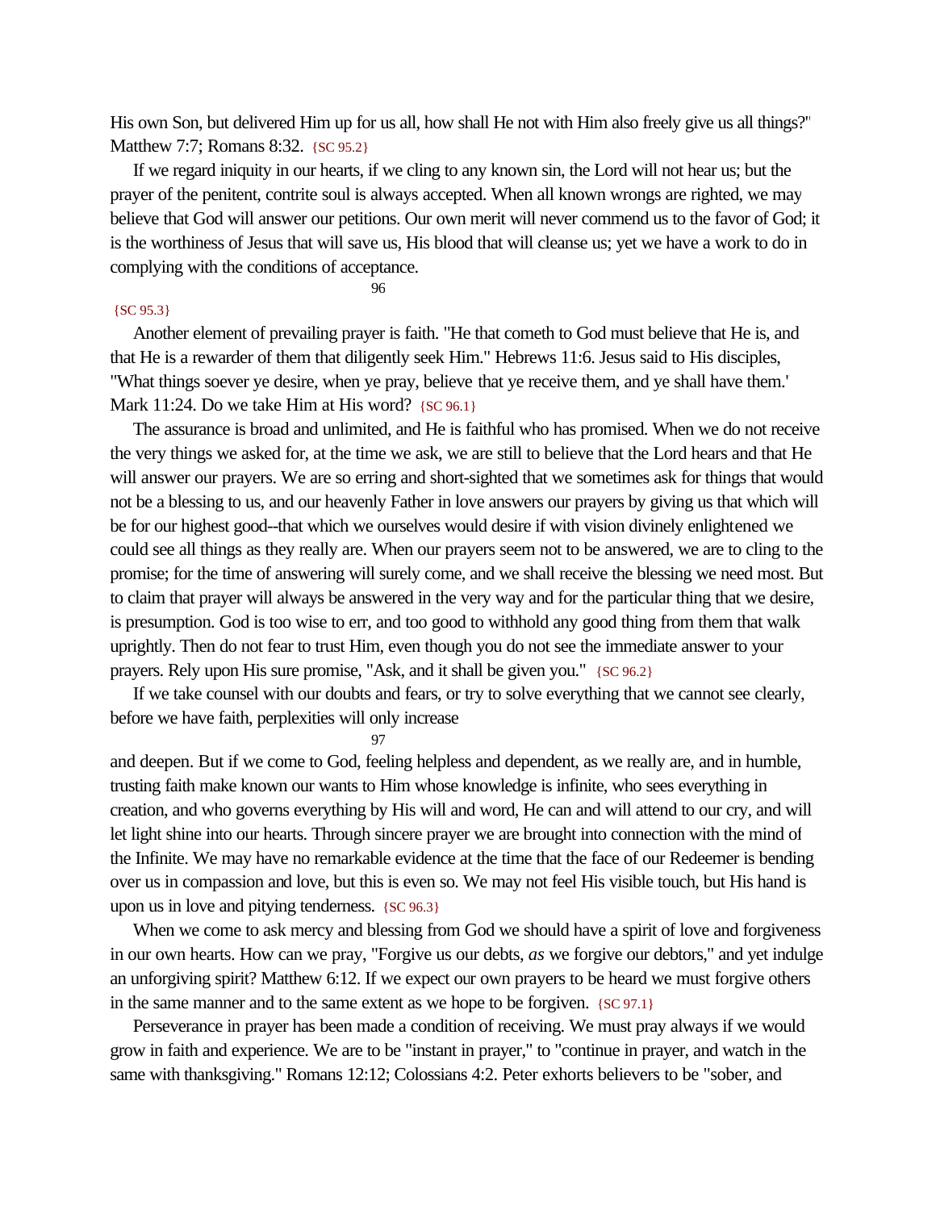His own Son, but delivered Him up for us all, how shall He not with Him also freely give us all things?" Matthew 7:7; Romans 8:32. {SC 95.2}

 If we regard iniquity in our hearts, if we cling to any known sin, the Lord will not hear us; but the prayer of the penitent, contrite soul is always accepted. When all known wrongs are righted, we may believe that God will answer our petitions. Our own merit will never commend us to the favor of God; it is the worthiness of Jesus that will save us, His blood that will cleanse us; yet we have a work to do in complying with the conditions of acceptance.

<u>96 and 200 and 200 and 200 and 200 and 200 and 200 and 200 and 200 and 200 and 200 and 200 and 200 and 200 and 200 and 200 and 200 and 200 and 200 and 200 and 200 and 200 and 200 and 200 and 200 and 200 and 200 and 200 an</u>

## {SC 95.3}

 Another element of prevailing prayer is faith. "He that cometh to God must believe that He is, and that He is a rewarder of them that diligently seek Him." Hebrews 11:6. Jesus said to His disciples, "What things soever ye desire, when ye pray, believe that ye receive them, and ye shall have them." Mark 11:24. Do we take Him at His word? {SC 96.1}

 The assurance is broad and unlimited, and He is faithful who has promised. When we do not receive the very things we asked for, at the time we ask, we are still to believe that the Lord hears and that He will answer our prayers. We are so erring and short-sighted that we sometimes ask for things that would not be a blessing to us, and our heavenly Father in love answers our prayers by giving us that which will be for our highest good--that which we ourselves would desire if with vision divinely enlightened we could see all things as they really are. When our prayers seem not to be answered, we are to cling to the promise; for the time of answering will surely come, and we shall receive the blessing we need most. But to claim that prayer will always be answered in the very way and for the particular thing that we desire, is presumption. God is too wise to err, and too good to withhold any good thing from them that walk uprightly. Then do not fear to trust Him, even though you do not see the immediate answer to your prayers. Rely upon His sure promise, "Ask, and it shall be given you." {SC 96.2}

 If we take counsel with our doubts and fears, or try to solve everything that we cannot see clearly, before we have faith, perplexities will only increase

97

and deepen. But if we come to God, feeling helpless and dependent, as we really are, and in humble, trusting faith make known our wants to Him whose knowledge is infinite, who sees everything in creation, and who governs everything by His will and word, He can and will attend to our cry, and will let light shine into our hearts. Through sincere prayer we are brought into connection with the mind of the Infinite. We may have no remarkable evidence at the time that the face of our Redeemer is bending over us in compassion and love, but this is even so. We may not feel His visible touch, but His hand is upon us in love and pitying tenderness. {SC 96.3}

When we come to ask mercy and blessing from God we should have a spirit of love and forgiveness in our own hearts. How can we pray, "Forgive us our debts, *as* we forgive our debtors," and yet indulge an unforgiving spirit? Matthew 6:12. If we expect our own prayers to be heard we must forgive others in the same manner and to the same extent as we hope to be forgiven.  ${SC 97.1}$ 

 Perseverance in prayer has been made a condition of receiving. We must pray always if we would grow in faith and experience. We are to be "instant in prayer," to "continue in prayer, and watch in the same with thanksgiving." Romans 12:12; Colossians 4:2. Peter exhorts believers to be "sober, and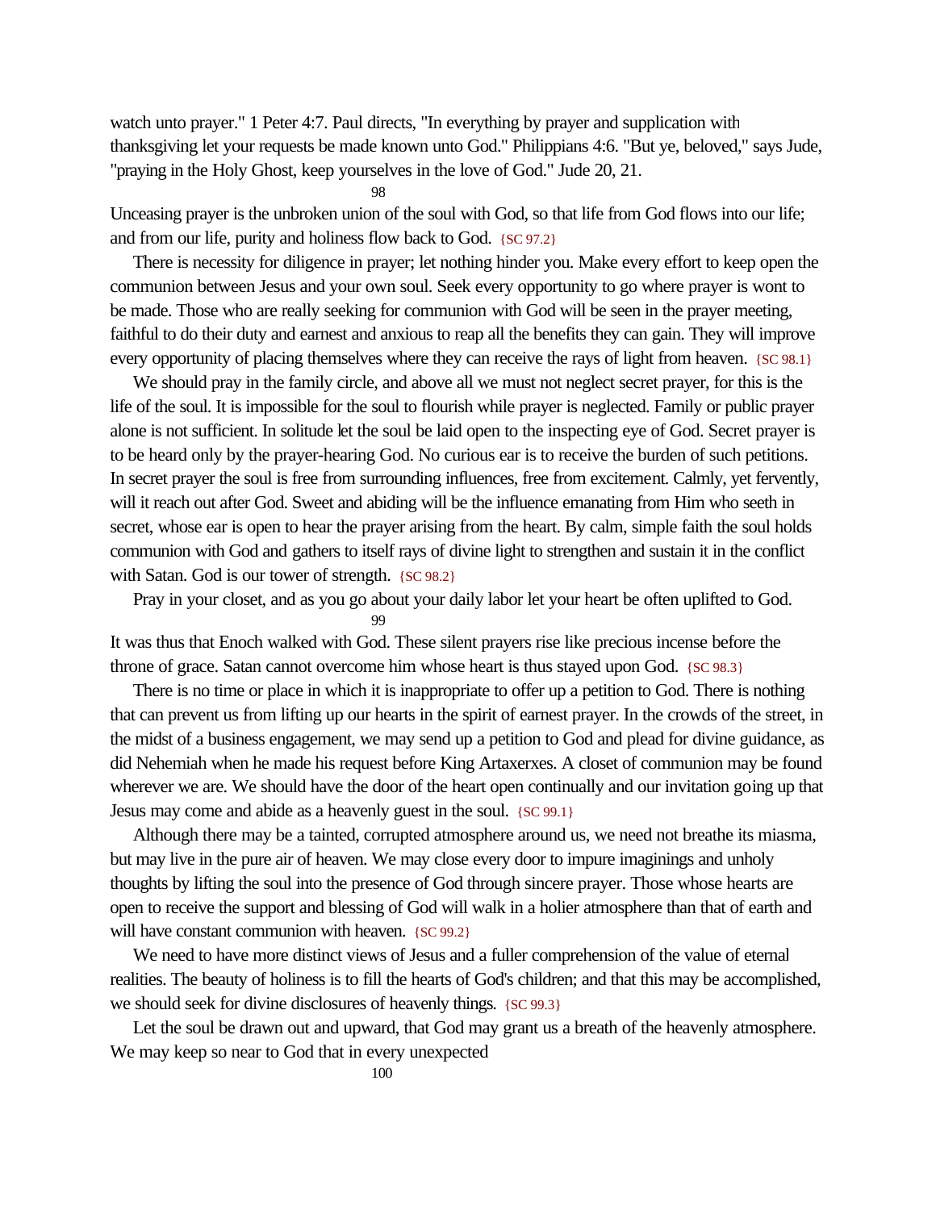watch unto prayer." 1 Peter 4:7. Paul directs, "In everything by prayer and supplication with thanksgiving let your requests be made known unto God." Philippians 4:6. "But ye, beloved," says Jude, "praying in the Holy Ghost, keep yourselves in the love of God." Jude 20, 21.

98

Unceasing prayer is the unbroken union of the soul with God, so that life from God flows into our life; and from our life, purity and holiness flow back to God. {SC 97.2}

 There is necessity for diligence in prayer; let nothing hinder you. Make every effort to keep open the communion between Jesus and your own soul. Seek every opportunity to go where prayer is wont to be made. Those who are really seeking for communion with God will be seen in the prayer meeting, faithful to do their duty and earnest and anxious to reap all the benefits they can gain. They will improve every opportunity of placing themselves where they can receive the rays of light from heaven. {SC 98.1}

 We should pray in the family circle, and above all we must not neglect secret prayer, for this is the life of the soul. It is impossible for the soul to flourish while prayer is neglected. Family or public prayer alone is not sufficient. In solitude let the soul be laid open to the inspecting eye of God. Secret prayer is to be heard only by the prayer-hearing God. No curious ear is to receive the burden of such petitions. In secret prayer the soul is free from surrounding influences, free from excitement. Calmly, yet fervently, will it reach out after God. Sweet and abiding will be the influence emanating from Him who seeth in secret, whose ear is open to hear the prayer arising from the heart. By calm, simple faith the soul holds communion with God and gathers to itself rays of divine light to strengthen and sustain it in the conflict with Satan. God is our tower of strength. {SC 98.2}

Pray in your closet, and as you go about your daily labor let your heart be often uplifted to God.

99

It was thus that Enoch walked with God. These silent prayers rise like precious incense before the throne of grace. Satan cannot overcome him whose heart is thus stayed upon God. {SC 98.3}

 There is no time or place in which it is inappropriate to offer up a petition to God. There is nothing that can prevent us from lifting up our hearts in the spirit of earnest prayer. In the crowds of the street, in the midst of a business engagement, we may send up a petition to God and plead for divine guidance, as did Nehemiah when he made his request before King Artaxerxes. A closet of communion may be found wherever we are. We should have the door of the heart open continually and our invitation going up that Jesus may come and abide as a heavenly guest in the soul. {SC 99.1}

 Although there may be a tainted, corrupted atmosphere around us, we need not breathe its miasma, but may live in the pure air of heaven. We may close every door to impure imaginings and unholy thoughts by lifting the soul into the presence of God through sincere prayer. Those whose hearts are open to receive the support and blessing of God will walk in a holier atmosphere than that of earth and will have constant communion with heaven. {SC 99.2}

 We need to have more distinct views of Jesus and a fuller comprehension of the value of eternal realities. The beauty of holiness is to fill the hearts of God's children; and that this may be accomplished, we should seek for divine disclosures of heavenly things. {SC 99.3}

 Let the soul be drawn out and upward, that God may grant us a breath of the heavenly atmosphere. We may keep so near to God that in every unexpected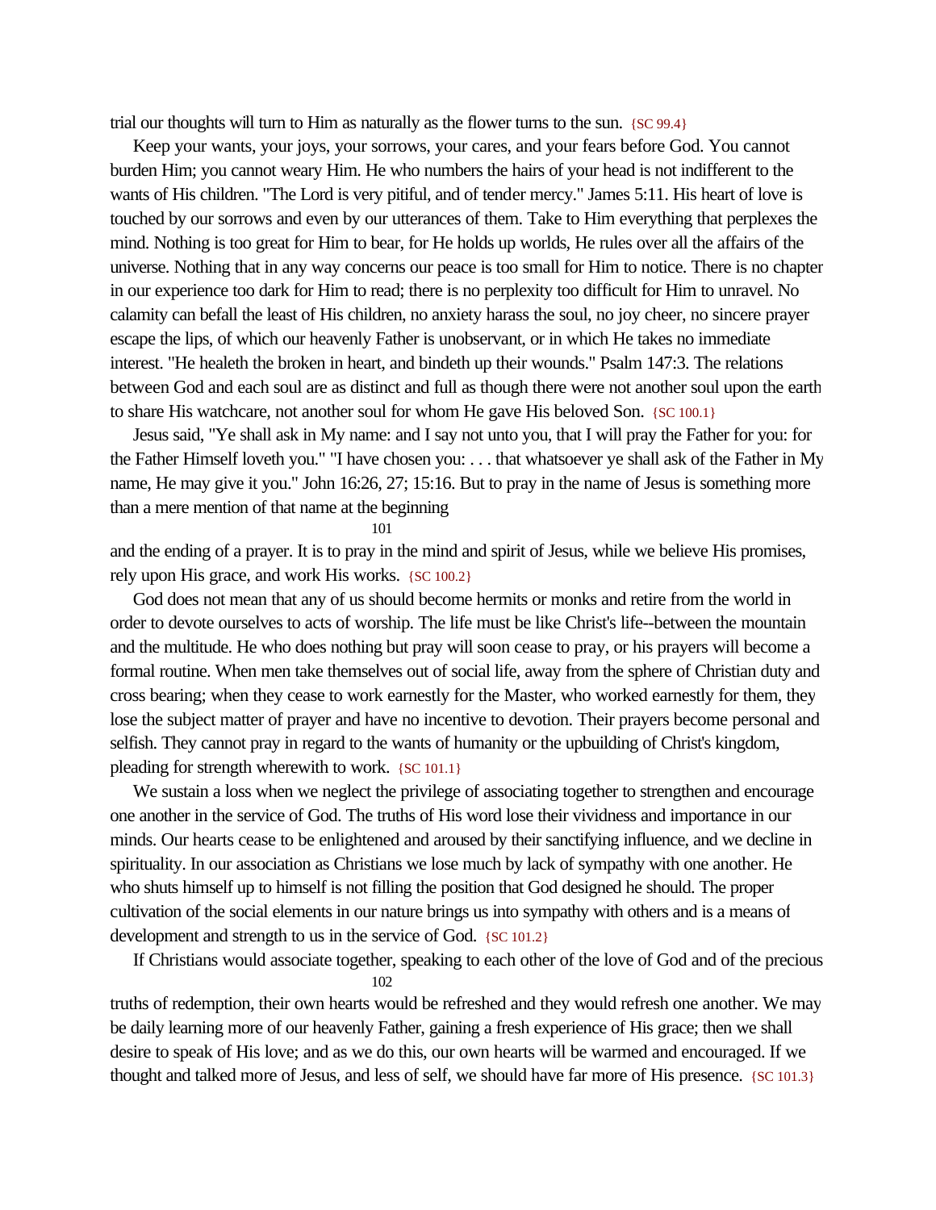trial our thoughts will turn to Him as naturally as the flower turns to the sun.  ${SC 99.4}$ 

 Keep your wants, your joys, your sorrows, your cares, and your fears before God. You cannot burden Him; you cannot weary Him. He who numbers the hairs of your head is not indifferent to the wants of His children. "The Lord is very pitiful, and of tender mercy." James 5:11. His heart of love is touched by our sorrows and even by our utterances of them. Take to Him everything that perplexes the mind. Nothing is too great for Him to bear, for He holds up worlds, He rules over all the affairs of the universe. Nothing that in any way concerns our peace is too small for Him to notice. There is no chapter in our experience too dark for Him to read; there is no perplexity too difficult for Him to unravel. No calamity can befall the least of His children, no anxiety harass the soul, no joy cheer, no sincere prayer escape the lips, of which our heavenly Father is unobservant, or in which He takes no immediate interest. "He healeth the broken in heart, and bindeth up their wounds." Psalm 147:3. The relations between God and each soul are as distinct and full as though there were not another soul upon the earth to share His watchcare, not another soul for whom He gave His beloved Son. {SC 100.1}

 Jesus said, "Ye shall ask in My name: and I say not unto you, that I will pray the Father for you: for the Father Himself loveth you." "I have chosen you: . . . that whatsoever ye shall ask of the Father in My name, He may give it you." John 16:26, 27; 15:16. But to pray in the name of Jesus is something more than a mere mention of that name at the beginning

#### 101

and the ending of a prayer. It is to pray in the mind and spirit of Jesus, while we believe His promises, rely upon His grace, and work His works. {SC 100.2}

 God does not mean that any of us should become hermits or monks and retire from the world in order to devote ourselves to acts of worship. The life must be like Christ's life--between the mountain and the multitude. He who does nothing but pray will soon cease to pray, or his prayers will become a formal routine. When men take themselves out of social life, away from the sphere of Christian duty and cross bearing; when they cease to work earnestly for the Master, who worked earnestly for them, they lose the subject matter of prayer and have no incentive to devotion. Their prayers become personal and selfish. They cannot pray in regard to the wants of humanity or the upbuilding of Christ's kingdom, pleading for strength wherewith to work. {SC 101.1}

We sustain a loss when we neglect the privilege of associating together to strengthen and encourage one another in the service of God. The truths of His word lose their vividness and importance in our minds. Our hearts cease to be enlightened and aroused by their sanctifying influence, and we decline in spirituality. In our association as Christians we lose much by lack of sympathy with one another. He who shuts himself up to himself is not filling the position that God designed he should. The proper cultivation of the social elements in our nature brings us into sympathy with others and is a means of development and strength to us in the service of God. {SC 101.2}

 If Christians would associate together, speaking to each other of the love of God and of the precious 102

truths of redemption, their own hearts would be refreshed and they would refresh one another. We may be daily learning more of our heavenly Father, gaining a fresh experience of His grace; then we shall desire to speak of His love; and as we do this, our own hearts will be warmed and encouraged. If we thought and talked more of Jesus, and less of self, we should have far more of His presence. {SC 101.3}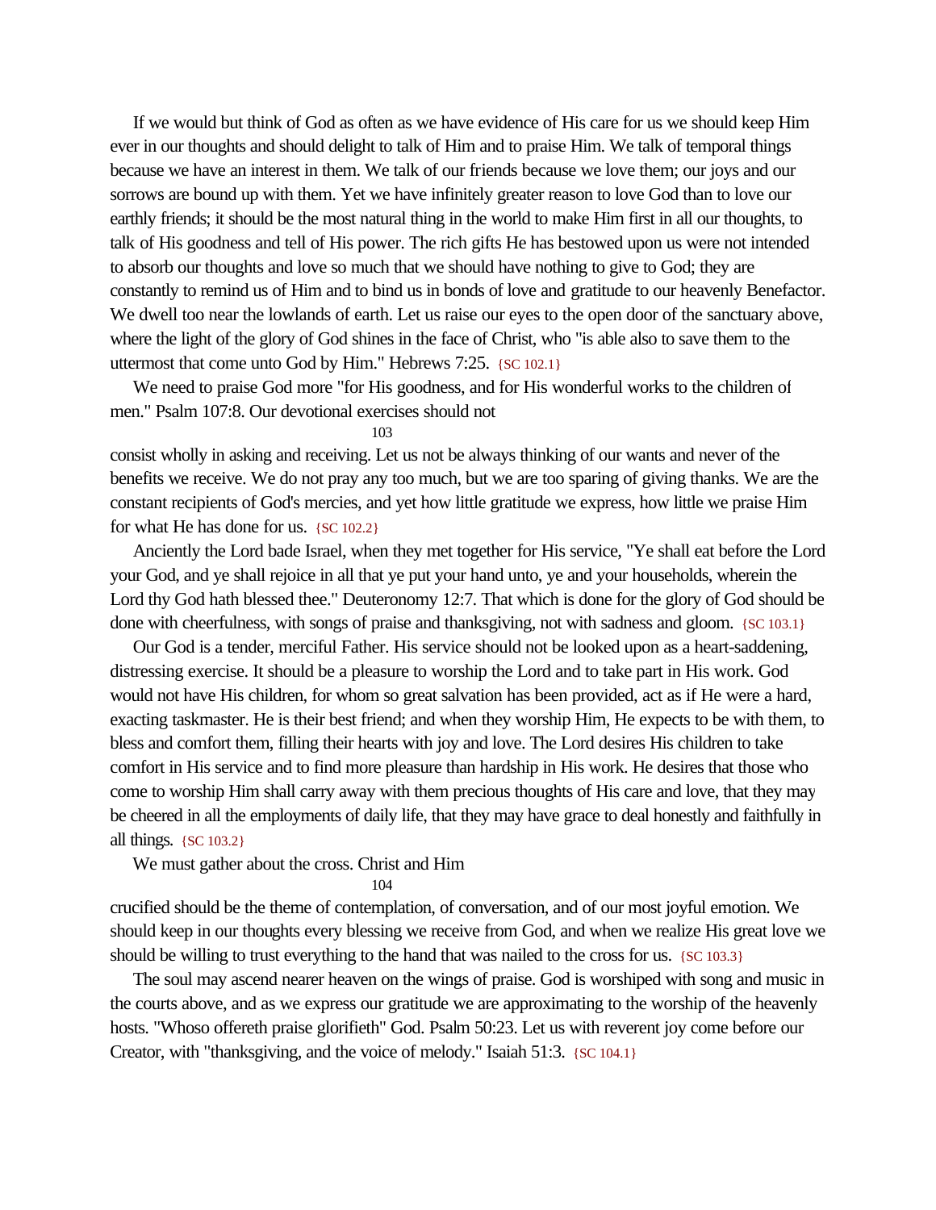If we would but think of God as often as we have evidence of His care for us we should keep Him ever in our thoughts and should delight to talk of Him and to praise Him. We talk of temporal things because we have an interest in them. We talk of our friends because we love them; our joys and our sorrows are bound up with them. Yet we have infinitely greater reason to love God than to love our earthly friends; it should be the most natural thing in the world to make Him first in all our thoughts, to talk of His goodness and tell of His power. The rich gifts He has bestowed upon us were not intended to absorb our thoughts and love so much that we should have nothing to give to God; they are constantly to remind us of Him and to bind us in bonds of love and gratitude to our heavenly Benefactor. We dwell too near the lowlands of earth. Let us raise our eyes to the open door of the sanctuary above, where the light of the glory of God shines in the face of Christ, who "is able also to save them to the uttermost that come unto God by Him." Hebrews 7:25. {SC 102.1}

 We need to praise God more "for His goodness, and for His wonderful works to the children of men." Psalm 107:8. Our devotional exercises should not

103

consist wholly in asking and receiving. Let us not be always thinking of our wants and never of the benefits we receive. We do not pray any too much, but we are too sparing of giving thanks. We are the constant recipients of God's mercies, and yet how little gratitude we express, how little we praise Him for what He has done for us. {SC 102.2}

 Anciently the Lord bade Israel, when they met together for His service, "Ye shall eat before the Lord your God, and ye shall rejoice in all that ye put your hand unto, ye and your households, wherein the Lord thy God hath blessed thee." Deuteronomy 12:7. That which is done for the glory of God should be done with cheerfulness, with songs of praise and thanksgiving, not with sadness and gloom. {SC 103.1}

 Our God is a tender, merciful Father. His service should not be looked upon as a heart-saddening, distressing exercise. It should be a pleasure to worship the Lord and to take part in His work. God would not have His children, for whom so great salvation has been provided, act as if He were a hard, exacting taskmaster. He is their best friend; and when they worship Him, He expects to be with them, to bless and comfort them, filling their hearts with joy and love. The Lord desires His children to take comfort in His service and to find more pleasure than hardship in His work. He desires that those who come to worship Him shall carry away with them precious thoughts of His care and love, that they may be cheered in all the employments of daily life, that they may have grace to deal honestly and faithfully in all things. {SC 103.2}

We must gather about the cross. Christ and Him

104

crucified should be the theme of contemplation, of conversation, and of our most joyful emotion. We should keep in our thoughts every blessing we receive from God, and when we realize His great love we should be willing to trust everything to the hand that was nailed to the cross for us. {SC 103.3}

 The soul may ascend nearer heaven on the wings of praise. God is worshiped with song and music in the courts above, and as we express our gratitude we are approximating to the worship of the heavenly hosts. "Whoso offereth praise glorifieth" God. Psalm 50:23. Let us with reverent joy come before our Creator, with "thanksgiving, and the voice of melody." Isaiah 51:3. {SC 104.1}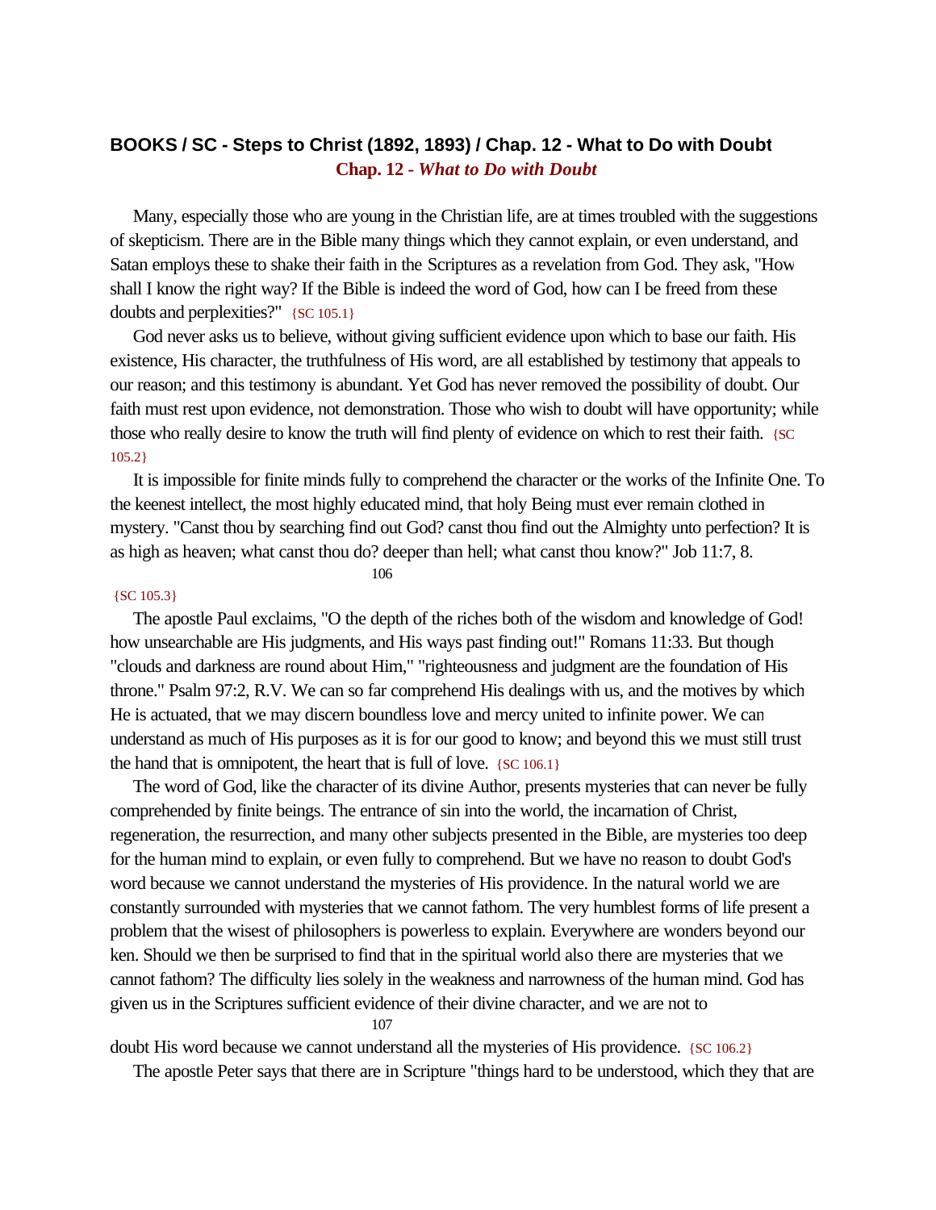# **BOOKS / SC - Steps to Christ (1892, 1893) / Chap. 12 - What to Do with Doubt Chap. 12 -** *What to Do with Doubt*

 Many, especially those who are young in the Christian life, are at times troubled with the suggestions of skepticism. There are in the Bible many things which they cannot explain, or even understand, and Satan employs these to shake their faith in the Scriptures as a revelation from God. They ask, "How shall I know the right way? If the Bible is indeed the word of God, how can I be freed from these doubts and perplexities?" {SC 105.1}

God never asks us to believe, without giving sufficient evidence upon which to base our faith. His existence, His character, the truthfulness of His word, are all established by testimony that appeals to our reason; and this testimony is abundant. Yet God has never removed the possibility of doubt. Our faith must rest upon evidence, not demonstration. Those who wish to doubt will have opportunity; while those who really desire to know the truth will find plenty of evidence on which to rest their faith. {SC 105.2}

 It is impossible for finite minds fully to comprehend the character or the works of the Infinite One. To the keenest intellect, the most highly educated mind, that holy Being must ever remain clothed in mystery. "Canst thou by searching find out God? canst thou find out the Almighty unto perfection? It is as high as heaven; what canst thou do? deeper than hell; what canst thou know?" Job 11:7, 8.

### {SC 105.3}

106

 The apostle Paul exclaims, "O the depth of the riches both of the wisdom and knowledge of God! how unsearchable are His judgments, and His ways past finding out!" Romans 11:33. But though "clouds and darkness are round about Him," "righteousness and judgment are the foundation of His throne." Psalm 97:2, R.V. We can so far comprehend His dealings with us, and the motives by which He is actuated, that we may discern boundless love and mercy united to infinite power. We can understand as much of His purposes as it is for our good to know; and beyond this we must still trust the hand that is omnipotent, the heart that is full of love. {SC 106.1}

 The word of God, like the character of its divine Author, presents mysteries that can never be fully comprehended by finite beings. The entrance of sin into the world, the incarnation of Christ, regeneration, the resurrection, and many other subjects presented in the Bible, are mysteries too deep for the human mind to explain, or even fully to comprehend. But we have no reason to doubt God's word because we cannot understand the mysteries of His providence. In the natural world we are constantly surrounded with mysteries that we cannot fathom. The very humblest forms of life present a problem that the wisest of philosophers is powerless to explain. Everywhere are wonders beyond our ken. Should we then be surprised to find that in the spiritual world also there are mysteries that we cannot fathom? The difficulty lies solely in the weakness and narrowness of the human mind. God has given us in the Scriptures sufficient evidence of their divine character, and we are not to 107

doubt His word because we cannot understand all the mysteries of His providence. {SC 106.2}

The apostle Peter says that there are in Scripture "things hard to be understood, which they that are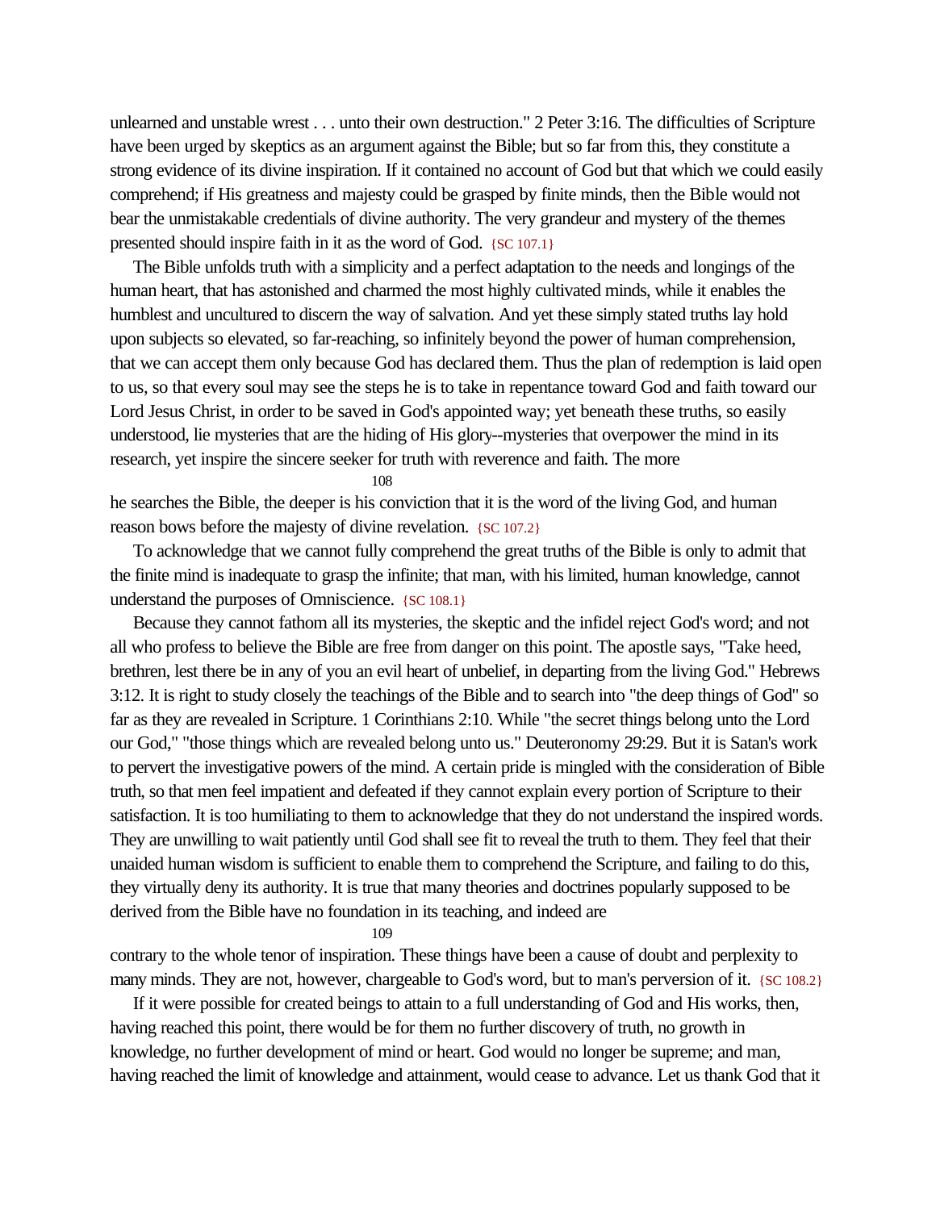unlearned and unstable wrest . . . unto their own destruction." 2 Peter 3:16. The difficulties of Scripture have been urged by skeptics as an argument against the Bible; but so far from this, they constitute a strong evidence of its divine inspiration. If it contained no account of God but that which we could easily comprehend; if His greatness and majesty could be grasped by finite minds, then the Bible would not bear the unmistakable credentials of divine authority. The very grandeur and mystery of the themes presented should inspire faith in it as the word of God. {SC 107.1}

 The Bible unfolds truth with a simplicity and a perfect adaptation to the needs and longings of the human heart, that has astonished and charmed the most highly cultivated minds, while it enables the humblest and uncultured to discern the way of salvation. And yet these simply stated truths lay hold upon subjects so elevated, so far-reaching, so infinitely beyond the power of human comprehension, that we can accept them only because God has declared them. Thus the plan of redemption is laid open to us, so that every soul may see the steps he is to take in repentance toward God and faith toward our Lord Jesus Christ, in order to be saved in God's appointed way; yet beneath these truths, so easily understood, lie mysteries that are the hiding of His glory--mysteries that overpower the mind in its research, yet inspire the sincere seeker for truth with reverence and faith. The more

108

he searches the Bible, the deeper is his conviction that it is the word of the living God, and human reason bows before the majesty of divine revelation. {SC 107.2}

 To acknowledge that we cannot fully comprehend the great truths of the Bible is only to admit that the finite mind is inadequate to grasp the infinite; that man, with his limited, human knowledge, cannot understand the purposes of Omniscience. {SC 108.1}

 Because they cannot fathom all its mysteries, the skeptic and the infidel reject God's word; and not all who profess to believe the Bible are free from danger on this point. The apostle says, "Take heed, brethren, lest there be in any of you an evil heart of unbelief, in departing from the living God." Hebrews 3:12. It is right to study closely the teachings of the Bible and to search into "the deep things of God" so far as they are revealed in Scripture. 1 Corinthians 2:10. While "the secret things belong unto the Lord our God," "those things which are revealed belong unto us." Deuteronomy 29:29. But it is Satan's work to pervert the investigative powers of the mind. A certain pride is mingled with the consideration of Bible truth, so that men feel impatient and defeated if they cannot explain every portion of Scripture to their satisfaction. It is too humiliating to them to acknowledge that they do not understand the inspired words. They are unwilling to wait patiently until God shall see fit to reveal the truth to them. They feel that their unaided human wisdom is sufficient to enable them to comprehend the Scripture, and failing to do this, they virtually deny its authority. It is true that many theories and doctrines popularly supposed to be derived from the Bible have no foundation in its teaching, and indeed are

109

contrary to the whole tenor of inspiration. These things have been a cause of doubt and perplexity to many minds. They are not, however, chargeable to God's word, but to man's perversion of it. {SC 108.2}

 If it were possible for created beings to attain to a full understanding of God and His works, then, having reached this point, there would be for them no further discovery of truth, no growth in knowledge, no further development of mind or heart. God would no longer be supreme; and man, having reached the limit of knowledge and attainment, would cease to advance. Let us thank God that it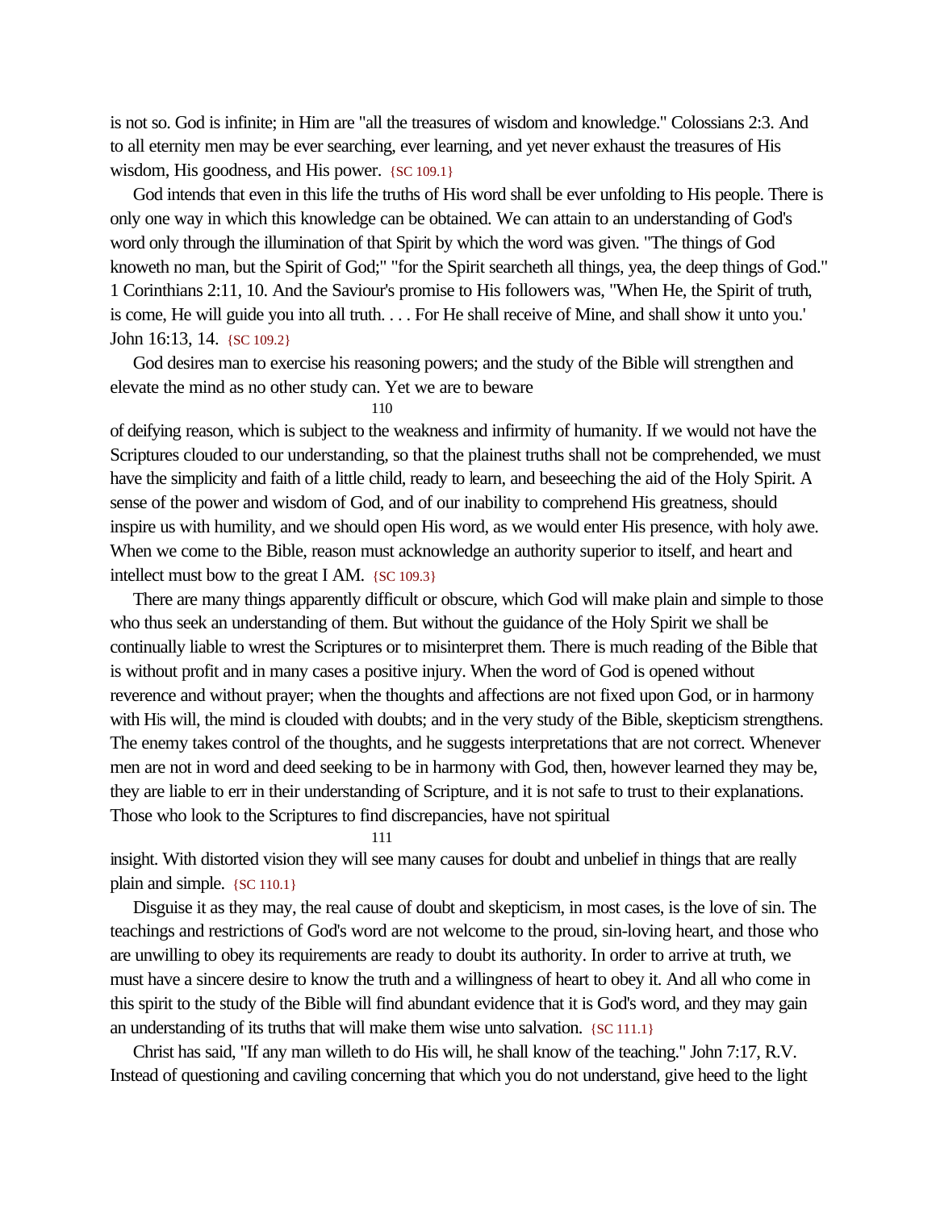is not so. God is infinite; in Him are "all the treasures of wisdom and knowledge." Colossians 2:3. And to all eternity men may be ever searching, ever learning, and yet never exhaust the treasures of His wisdom, His goodness, and His power. {SC 109.1}

 God intends that even in this life the truths of His word shall be ever unfolding to His people. There is only one way in which this knowledge can be obtained. We can attain to an understanding of God's word only through the illumination of that Spirit by which the word was given. "The things of God knoweth no man, but the Spirit of God;" "for the Spirit searcheth all things, yea, the deep things of God." 1 Corinthians 2:11, 10. And the Saviour's promise to His followers was, "When He, the Spirit of truth, is come, He will guide you into all truth. . . . For He shall receive of Mine, and shall show it unto you." John 16:13, 14. {SC 109.2}

 God desires man to exercise his reasoning powers; and the study of the Bible will strengthen and elevate the mind as no other study can. Yet we are to beware

110

of deifying reason, which is subject to the weakness and infirmity of humanity. If we would not have the Scriptures clouded to our understanding, so that the plainest truths shall not be comprehended, we must have the simplicity and faith of a little child, ready to learn, and beseeching the aid of the Holy Spirit. A sense of the power and wisdom of God, and of our inability to comprehend His greatness, should inspire us with humility, and we should open His word, as we would enter His presence, with holy awe. When we come to the Bible, reason must acknowledge an authority superior to itself, and heart and intellect must bow to the great I AM.  ${SC 109.3}$ 

 There are many things apparently difficult or obscure, which God will make plain and simple to those who thus seek an understanding of them. But without the guidance of the Holy Spirit we shall be continually liable to wrest the Scriptures or to misinterpret them. There is much reading of the Bible that is without profit and in many cases a positive injury. When the word of God is opened without reverence and without prayer; when the thoughts and affections are not fixed upon God, or in harmony with His will, the mind is clouded with doubts; and in the very study of the Bible, skepticism strengthens. The enemy takes control of the thoughts, and he suggests interpretations that are not correct. Whenever men are not in word and deed seeking to be in harmony with God, then, however learned they may be, they are liable to err in their understanding of Scripture, and it is not safe to trust to their explanations. Those who look to the Scriptures to find discrepancies, have not spiritual

111

insight. With distorted vision they will see many causes for doubt and unbelief in things that are really plain and simple.  ${SC 110.1}$ 

 Disguise it as they may, the real cause of doubt and skepticism, in most cases, is the love of sin. The teachings and restrictions of God's word are not welcome to the proud, sin-loving heart, and those who are unwilling to obey its requirements are ready to doubt its authority. In order to arrive at truth, we must have a sincere desire to know the truth and a willingness of heart to obey it. And all who come in this spirit to the study of the Bible will find abundant evidence that it is God's word, and they may gain an understanding of its truths that will make them wise unto salvation. {SC 111.1}

 Christ has said, "If any man willeth to do His will, he shall know of the teaching." John 7:17, R.V. Instead of questioning and caviling concerning that which you do not understand, give heed to the light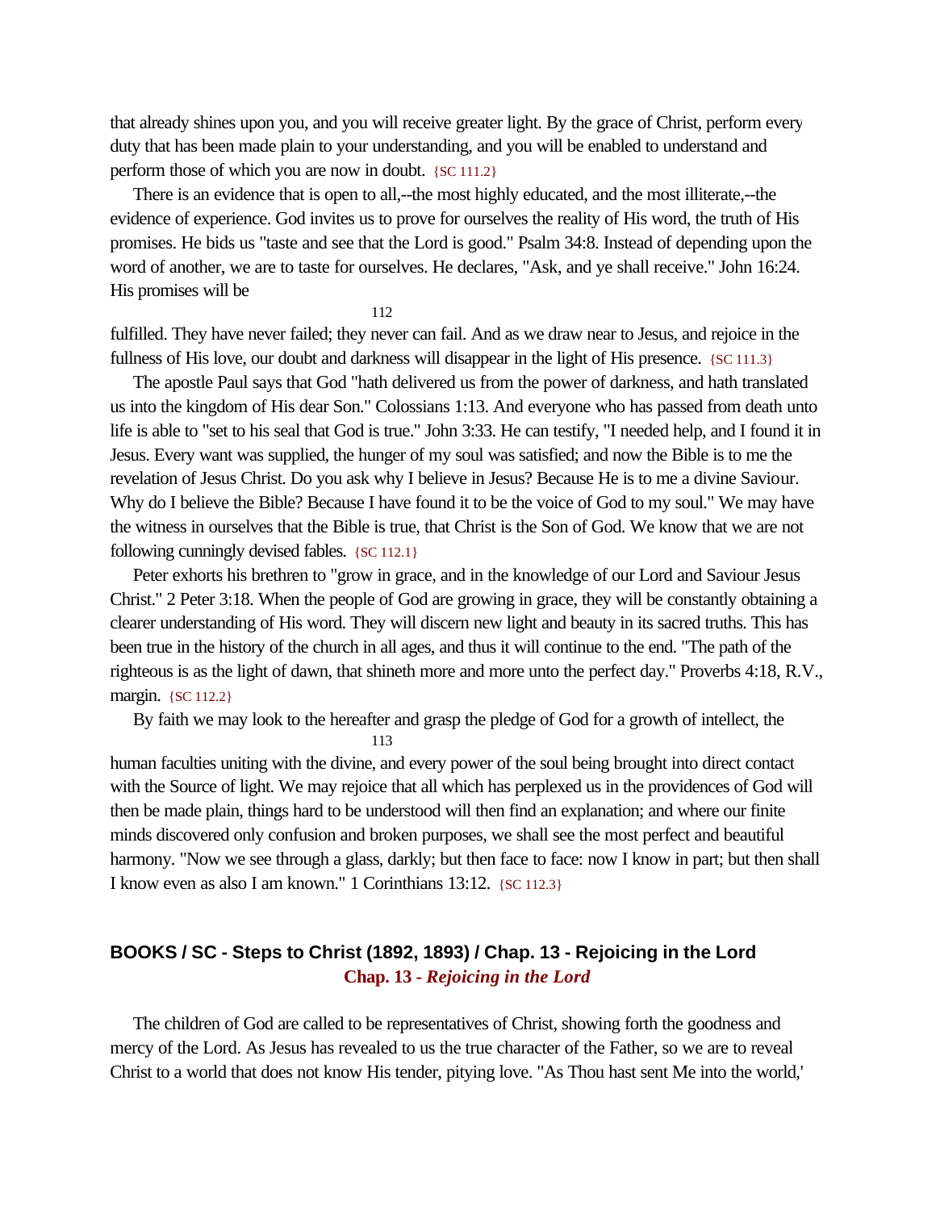that already shines upon you, and you will receive greater light. By the grace of Christ, perform every duty that has been made plain to your understanding, and you will be enabled to understand and perform those of which you are now in doubt. {SC 111.2}

 There is an evidence that is open to all,--the most highly educated, and the most illiterate,--the evidence of experience. God invites us to prove for ourselves the reality of His word, the truth of His promises. He bids us "taste and see that the Lord is good." Psalm 34:8. Instead of depending upon the word of another, we are to taste for ourselves. He declares, "Ask, and ye shall receive." John 16:24. His promises will be

112

fulfilled. They have never failed; they never can fail. And as we draw near to Jesus, and rejoice in the fullness of His love, our doubt and darkness will disappear in the light of His presence. {SC 111.3}

 The apostle Paul says that God "hath delivered us from the power of darkness, and hath translated us into the kingdom of His dear Son." Colossians 1:13. And everyone who has passed from death unto life is able to "set to his seal that God is true." John 3:33. He can testify, "I needed help, and I found it in Jesus. Every want was supplied, the hunger of my soul was satisfied; and now the Bible is to me the revelation of Jesus Christ. Do you ask why I believe in Jesus? Because He is to me a divine Saviour. Why do I believe the Bible? Because I have found it to be the voice of God to my soul." We may have the witness in ourselves that the Bible is true, that Christ is the Son of God. We know that we are not following cunningly devised fables. {SC 112.1}

 Peter exhorts his brethren to "grow in grace, and in the knowledge of our Lord and Saviour Jesus Christ." 2 Peter 3:18. When the people of God are growing in grace, they will be constantly obtaining a clearer understanding of His word. They will discern new light and beauty in its sacred truths. This has been true in the history of the church in all ages, and thus it will continue to the end. "The path of the righteous is as the light of dawn, that shineth more and more unto the perfect day." Proverbs 4:18, R.V., margin. {SC 112.2}

By faith we may look to the hereafter and grasp the pledge of God for a growth of intellect, the

113

human faculties uniting with the divine, and every power of the soul being brought into direct contact with the Source of light. We may rejoice that all which has perplexed us in the providences of God will then be made plain, things hard to be understood will then find an explanation; and where our finite minds discovered only confusion and broken purposes, we shall see the most perfect and beautiful harmony. "Now we see through a glass, darkly; but then face to face: now I know in part; but then shall I know even as also I am known." 1 Corinthians 13:12. {SC 112.3}

# **BOOKS / SC - Steps to Christ (1892, 1893) / Chap. 13 - Rejoicing in the Lord Chap. 13 -** *Rejoicing in the Lord*

 The children of God are called to be representatives of Christ, showing forth the goodness and mercy of the Lord. As Jesus has revealed to us the true character of the Father, so we are to reveal Christ to a world that does not know His tender, pitying love. "As Thou hast sent Me into the world,"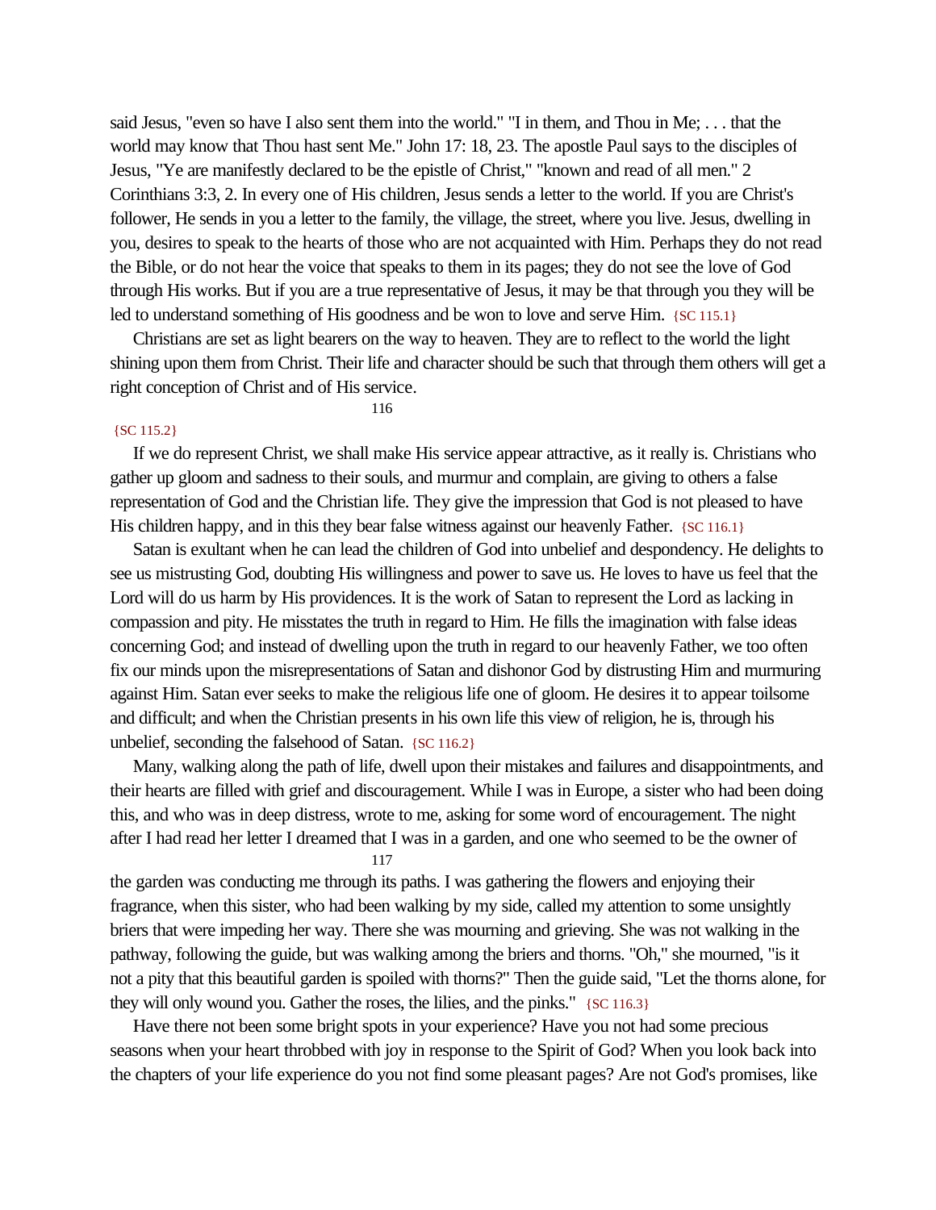said Jesus, "even so have I also sent them into the world." "I in them, and Thou in Me; . . . that the world may know that Thou hast sent Me." John 17: 18, 23. The apostle Paul says to the disciples of Jesus, "Ye are manifestly declared to be the epistle of Christ," "known and read of all men." 2 Corinthians 3:3, 2. In every one of His children, Jesus sends a letter to the world. If you are Christ's follower, He sends in you a letter to the family, the village, the street, where you live. Jesus, dwelling in you, desires to speak to the hearts of those who are not acquainted with Him. Perhaps they do not read the Bible, or do not hear the voice that speaks to them in its pages; they do not see the love of God through His works. But if you are a true representative of Jesus, it may be that through you they will be led to understand something of His goodness and be won to love and serve Him.  ${S}C 115.1}$ 

 Christians are set as light bearers on the way to heaven. They are to reflect to the world the light shining upon them from Christ. Their life and character should be such that through them others will get a right conception of Christ and of His service.

#### {SC 115.2}

 If we do represent Christ, we shall make His service appear attractive, as it really is. Christians who gather up gloom and sadness to their souls, and murmur and complain, are giving to others a false representation of God and the Christian life. They give the impression that God is not pleased to have His children happy, and in this they bear false witness against our heavenly Father. {SC 116.1}

 Satan is exultant when he can lead the children of God into unbelief and despondency. He delights to see us mistrusting God, doubting His willingness and power to save us. He loves to have us feel that the Lord will do us harm by His providences. It is the work of Satan to represent the Lord as lacking in compassion and pity. He misstates the truth in regard to Him. He fills the imagination with false ideas concerning God; and instead of dwelling upon the truth in regard to our heavenly Father, we too often fix our minds upon the misrepresentations of Satan and dishonor God by distrusting Him and murmuring against Him. Satan ever seeks to make the religious life one of gloom. He desires it to appear toilsome and difficult; and when the Christian presents in his own life this view of religion, he is, through his unbelief, seconding the falsehood of Satan. {SC 116.2}

 Many, walking along the path of life, dwell upon their mistakes and failures and disappointments, and their hearts are filled with grief and discouragement. While I was in Europe, a sister who had been doing this, and who was in deep distress, wrote to me, asking for some word of encouragement. The night after I had read her letter I dreamed that I was in a garden, and one who seemed to be the owner of 117

the garden was conducting me through its paths. I was gathering the flowers and enjoying their fragrance, when this sister, who had been walking by my side, called my attention to some unsightly briers that were impeding her way. There she was mourning and grieving. She was not walking in the pathway, following the guide, but was walking among the briers and thorns. "Oh," she mourned, "is it not a pity that this beautiful garden is spoiled with thorns?" Then the guide said, "Let the thorns alone, for they will only wound you. Gather the roses, the lilies, and the pinks." {SC 116.3}

 Have there not been some bright spots in your experience? Have you not had some precious seasons when your heart throbbed with joy in response to the Spirit of God? When you look back into the chapters of your life experience do you not find some pleasant pages? Are not God's promises, like

116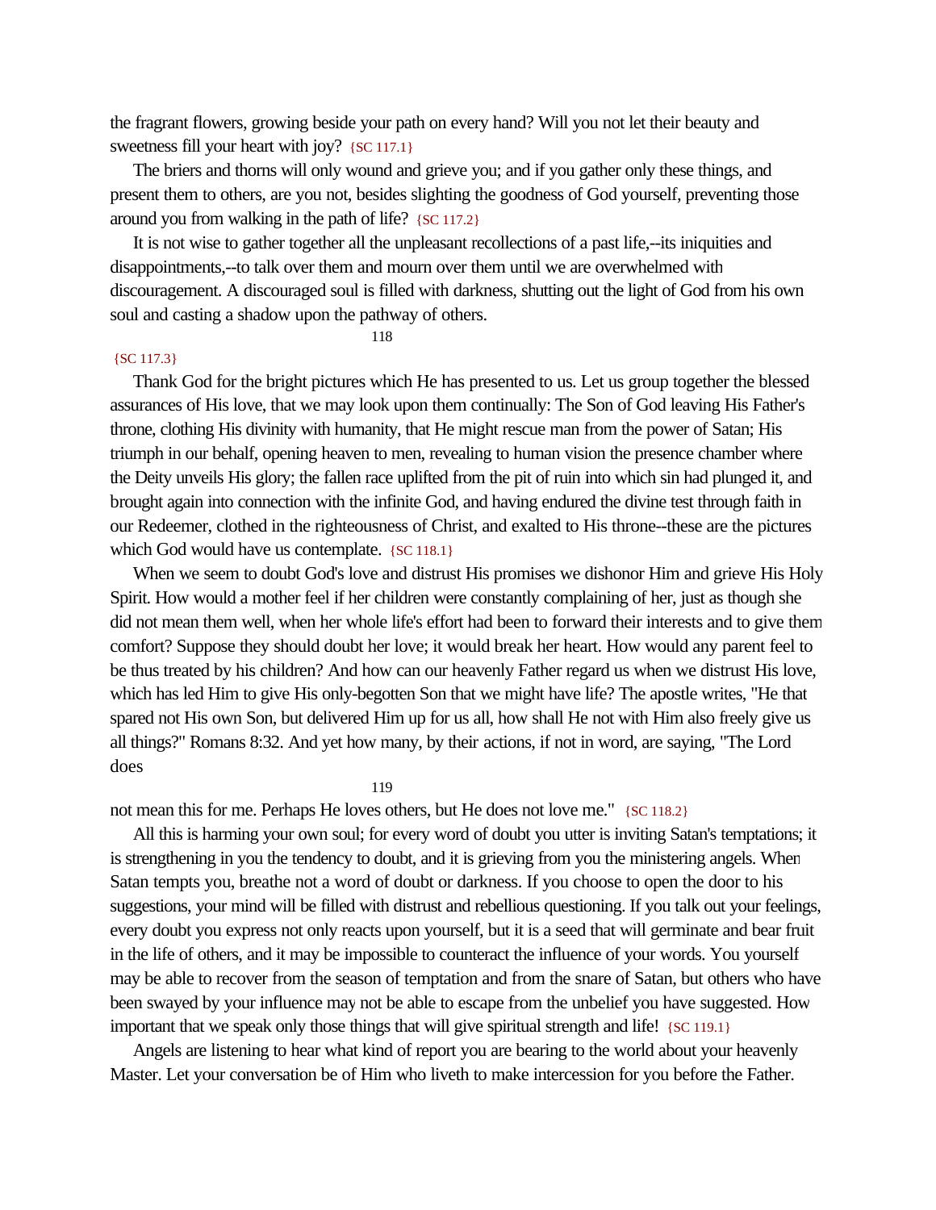the fragrant flowers, growing beside your path on every hand? Will you not let their beauty and sweetness fill your heart with joy? {SC 117.1}

 The briers and thorns will only wound and grieve you; and if you gather only these things, and present them to others, are you not, besides slighting the goodness of God yourself, preventing those around you from walking in the path of life? {SC 117.2}

 It is not wise to gather together all the unpleasant recollections of a past life,--its iniquities and disappointments,--to talk over them and mourn over them until we are overwhelmed with discouragement. A discouraged soul is filled with darkness, shutting out the light of God from his own soul and casting a shadow upon the pathway of others.

118

#### {SC 117.3}

 Thank God for the bright pictures which He has presented to us. Let us group together the blessed assurances of His love, that we may look upon them continually: The Son of God leaving His Father's throne, clothing His divinity with humanity, that He might rescue man from the power of Satan; His triumph in our behalf, opening heaven to men, revealing to human vision the presence chamber where the Deity unveils His glory; the fallen race uplifted from the pit of ruin into which sin had plunged it, and brought again into connection with the infinite God, and having endured the divine test through faith in our Redeemer, clothed in the righteousness of Christ, and exalted to His throne--these are the pictures which God would have us contemplate. {SC 118.1}

 When we seem to doubt God's love and distrust His promises we dishonor Him and grieve His Holy Spirit. How would a mother feel if her children were constantly complaining of her, just as though she did not mean them well, when her whole life's effort had been to forward their interests and to give them comfort? Suppose they should doubt her love; it would break her heart. How would any parent feel to be thus treated by his children? And how can our heavenly Father regard us when we distrust His love, which has led Him to give His only-begotten Son that we might have life? The apostle writes, "He that spared not His own Son, but delivered Him up for us all, how shall He not with Him also freely give us all things?" Romans 8:32. And yet how many, by their actions, if not in word, are saying, "The Lord does

#### 119

not mean this for me. Perhaps He loves others, but He does not love me." {SC 118.2}

 All this is harming your own soul; for every word of doubt you utter is inviting Satan's temptations; it is strengthening in you the tendency to doubt, and it is grieving from you the ministering angels. When Satan tempts you, breathe not a word of doubt or darkness. If you choose to open the door to his suggestions, your mind will be filled with distrust and rebellious questioning. If you talk out your feelings, every doubt you express not only reacts upon yourself, but it is a seed that will germinate and bear fruit in the life of others, and it may be impossible to counteract the influence of your words. You yourself may be able to recover from the season of temptation and from the snare of Satan, but others who have been swayed by your influence may not be able to escape from the unbelief you have suggested. How important that we speak only those things that will give spiritual strength and life! {SC 119.1}

 Angels are listening to hear what kind of report you are bearing to the world about your heavenly Master. Let your conversation be of Him who liveth to make intercession for you before the Father.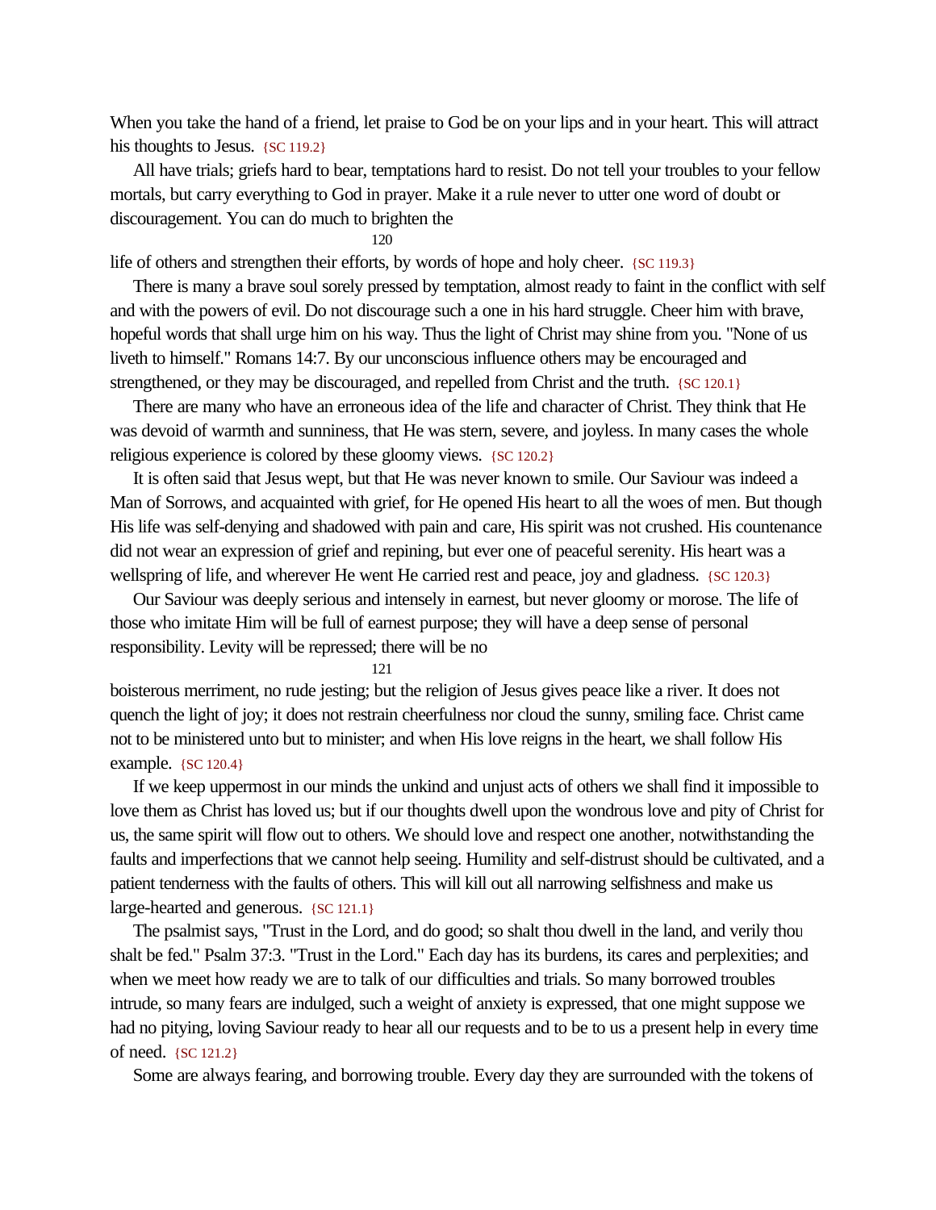When you take the hand of a friend, let praise to God be on your lips and in your heart. This will attract his thoughts to Jesus. {SC 119.2}

 All have trials; griefs hard to bear, temptations hard to resist. Do not tell your troubles to your fellow mortals, but carry everything to God in prayer. Make it a rule never to utter one word of doubt or discouragement. You can do much to brighten the

### 120

life of others and strengthen their efforts, by words of hope and holy cheer. {SC 119.3}

 There is many a brave soul sorely pressed by temptation, almost ready to faint in the conflict with self and with the powers of evil. Do not discourage such a one in his hard struggle. Cheer him with brave, hopeful words that shall urge him on his way. Thus the light of Christ may shine from you. "None of us liveth to himself." Romans 14:7. By our unconscious influence others may be encouraged and strengthened, or they may be discouraged, and repelled from Christ and the truth. {SC 120.1}

 There are many who have an erroneous idea of the life and character of Christ. They think that He was devoid of warmth and sunniness, that He was stern, severe, and joyless. In many cases the whole religious experience is colored by these gloomy views. {SC 120.2}

 It is often said that Jesus wept, but that He was never known to smile. Our Saviour was indeed a Man of Sorrows, and acquainted with grief, for He opened His heart to all the woes of men. But though His life was self-denying and shadowed with pain and care, His spirit was not crushed. His countenance did not wear an expression of grief and repining, but ever one of peaceful serenity. His heart was a wellspring of life, and wherever He went He carried rest and peace, joy and gladness. {SC 120.3}

 Our Saviour was deeply serious and intensely in earnest, but never gloomy or morose. The life of those who imitate Him will be full of earnest purpose; they will have a deep sense of personal responsibility. Levity will be repressed; there will be no

121

boisterous merriment, no rude jesting; but the religion of Jesus gives peace like a river. It does not quench the light of joy; it does not restrain cheerfulness nor cloud the sunny, smiling face. Christ came not to be ministered unto but to minister; and when His love reigns in the heart, we shall follow His example. {SC 120.4}

 If we keep uppermost in our minds the unkind and unjust acts of others we shall find it impossible to love them as Christ has loved us; but if our thoughts dwell upon the wondrous love and pity of Christ for us, the same spirit will flow out to others. We should love and respect one another, notwithstanding the faults and imperfections that we cannot help seeing. Humility and self-distrust should be cultivated, and a patient tenderness with the faults of others. This will kill out all narrowing selfishness and make us large-hearted and generous. {SC 121.1}

 The psalmist says, "Trust in the Lord, and do good; so shalt thou dwell in the land, and verily thou shalt be fed." Psalm 37:3. "Trust in the Lord." Each day has its burdens, its cares and perplexities; and when we meet how ready we are to talk of our difficulties and trials. So many borrowed troubles intrude, so many fears are indulged, such a weight of anxiety is expressed, that one might suppose we had no pitying, loving Saviour ready to hear all our requests and to be to us a present help in every time of need. {SC 121.2}

Some are always fearing, and borrowing trouble. Every day they are surrounded with the tokens of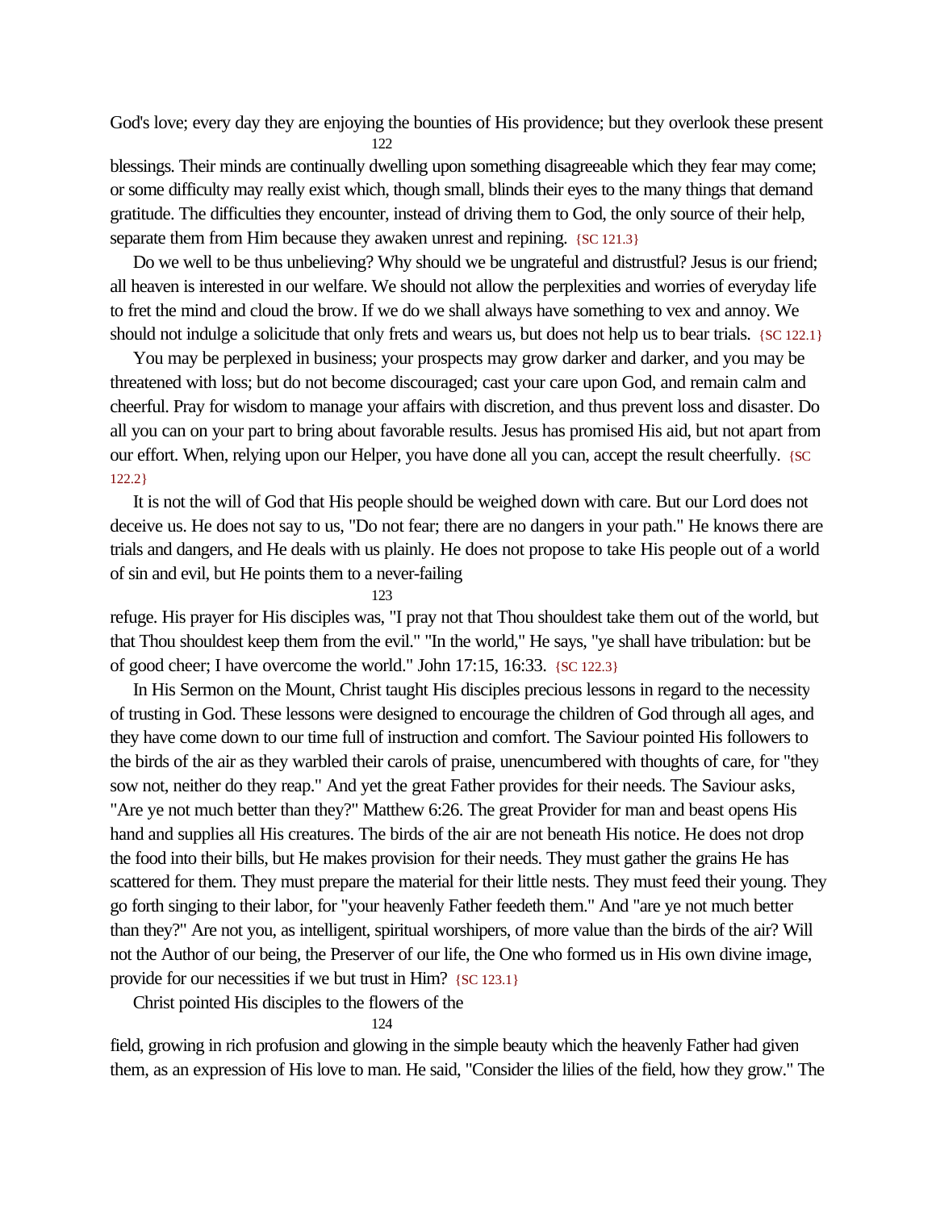God's love; every day they are enjoying the bounties of His providence; but they overlook these present 122

blessings. Their minds are continually dwelling upon something disagreeable which they fear may come; or some difficulty may really exist which, though small, blinds their eyes to the many things that demand gratitude. The difficulties they encounter, instead of driving them to God, the only source of their help, separate them from Him because they awaken unrest and repining. {SC 121.3}

 Do we well to be thus unbelieving? Why should we be ungrateful and distrustful? Jesus is our friend; all heaven is interested in our welfare. We should not allow the perplexities and worries of everyday life to fret the mind and cloud the brow. If we do we shall always have something to vex and annoy. We should not indulge a solicitude that only frets and wears us, but does not help us to bear trials. {SC 122.1}

 You may be perplexed in business; your prospects may grow darker and darker, and you may be threatened with loss; but do not become discouraged; cast your care upon God, and remain calm and cheerful. Pray for wisdom to manage your affairs with discretion, and thus prevent loss and disaster. Do all you can on your part to bring about favorable results. Jesus has promised His aid, but not apart from our effort. When, relying upon our Helper, you have done all you can, accept the result cheerfully. {SC 122.2}

 It is not the will of God that His people should be weighed down with care. But our Lord does not deceive us. He does not say to us, "Do not fear; there are no dangers in your path." He knows there are trials and dangers, and He deals with us plainly. He does not propose to take His people out of a world of sin and evil, but He points them to a never-failing

123

refuge. His prayer for His disciples was, "I pray not that Thou shouldest take them out of the world, but that Thou shouldest keep them from the evil." "In the world," He says, "ye shall have tribulation: but be of good cheer; I have overcome the world." John 17:15, 16:33. {SC 122.3}

 In His Sermon on the Mount, Christ taught His disciples precious lessons in regard to the necessity of trusting in God. These lessons were designed to encourage the children of God through all ages, and they have come down to our time full of instruction and comfort. The Saviour pointed His followers to the birds of the air as they warbled their carols of praise, unencumbered with thoughts of care, for "they sow not, neither do they reap." And yet the great Father provides for their needs. The Saviour asks, "Are ye not much better than they?" Matthew 6:26. The great Provider for man and beast opens His hand and supplies all His creatures. The birds of the air are not beneath His notice. He does not drop the food into their bills, but He makes provision for their needs. They must gather the grains He has scattered for them. They must prepare the material for their little nests. They must feed their young. They go forth singing to their labor, for "your heavenly Father feedeth them." And "are ye not much better than they?" Are not you, as intelligent, spiritual worshipers, of more value than the birds of the air? Will not the Author of our being, the Preserver of our life, the One who formed us in His own divine image, provide for our necessities if we but trust in Him? {SC 123.1}

Christ pointed His disciples to the flowers of the

124

field, growing in rich profusion and glowing in the simple beauty which the heavenly Father had given them, as an expression of His love to man. He said, "Consider the lilies of the field, how they grow." The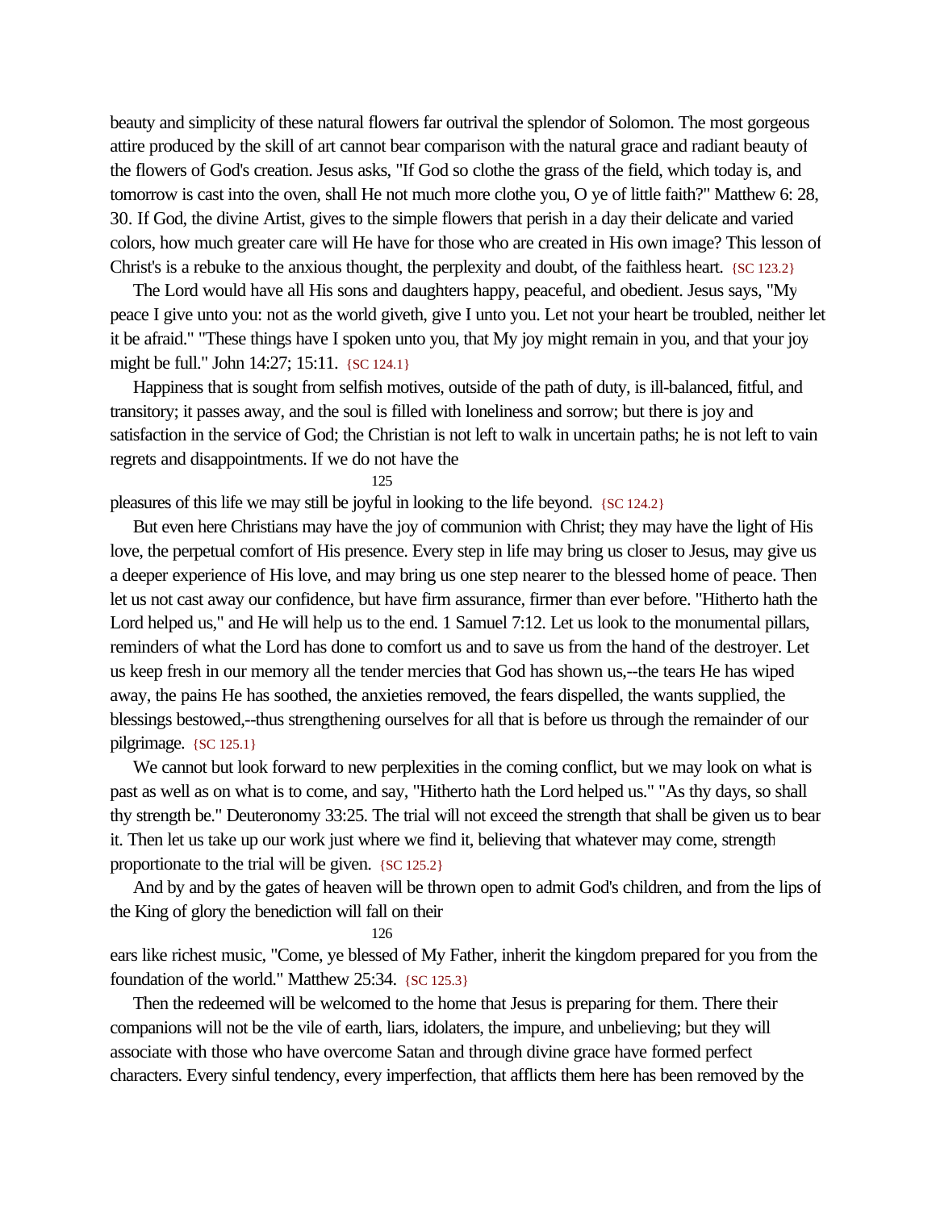beauty and simplicity of these natural flowers far outrival the splendor of Solomon. The most gorgeous attire produced by the skill of art cannot bear comparison with the natural grace and radiant beauty of the flowers of God's creation. Jesus asks, "If God so clothe the grass of the field, which today is, and tomorrow is cast into the oven, shall He not much more clothe you, O ye of little faith?" Matthew 6: 28, 30. If God, the divine Artist, gives to the simple flowers that perish in a day their delicate and varied colors, how much greater care will He have for those who are created in His own image? This lesson of Christ's is a rebuke to the anxious thought, the perplexity and doubt, of the faithless heart. {SC 123.2}

 The Lord would have all His sons and daughters happy, peaceful, and obedient. Jesus says, "My peace I give unto you: not as the world giveth, give I unto you. Let not your heart be troubled, neither let it be afraid." "These things have I spoken unto you, that My joy might remain in you, and that your joy might be full." John 14:27; 15:11. {SC 124.1}

 Happiness that is sought from selfish motives, outside of the path of duty, is ill-balanced, fitful, and transitory; it passes away, and the soul is filled with loneliness and sorrow; but there is joy and satisfaction in the service of God; the Christian is not left to walk in uncertain paths; he is not left to vain regrets and disappointments. If we do not have the

125

pleasures of this life we may still be joyful in looking to the life beyond. {SC 124.2}

 But even here Christians may have the joy of communion with Christ; they may have the light of His love, the perpetual comfort of His presence. Every step in life may bring us closer to Jesus, may give us a deeper experience of His love, and may bring us one step nearer to the blessed home of peace. Then let us not cast away our confidence, but have firm assurance, firmer than ever before. "Hitherto hath the Lord helped us," and He will help us to the end. 1 Samuel 7:12. Let us look to the monumental pillars, reminders of what the Lord has done to comfort us and to save us from the hand of the destroyer. Let us keep fresh in our memory all the tender mercies that God has shown us,--the tears He has wiped away, the pains He has soothed, the anxieties removed, the fears dispelled, the wants supplied, the blessings bestowed,--thus strengthening ourselves for all that is before us through the remainder of our pilgrimage. {SC 125.1}

 We cannot but look forward to new perplexities in the coming conflict, but we may look on what is past as well as on what is to come, and say, "Hitherto hath the Lord helped us." "As thy days, so shall thy strength be." Deuteronomy 33:25. The trial will not exceed the strength that shall be given us to bear it. Then let us take up our work just where we find it, believing that whatever may come, strength proportionate to the trial will be given. {SC 125.2}

 And by and by the gates of heaven will be thrown open to admit God's children, and from the lips of the King of glory the benediction will fall on their

126

ears like richest music, "Come, ye blessed of My Father, inherit the kingdom prepared for you from the foundation of the world." Matthew 25:34. {SC 125.3}

 Then the redeemed will be welcomed to the home that Jesus is preparing for them. There their companions will not be the vile of earth, liars, idolaters, the impure, and unbelieving; but they will associate with those who have overcome Satan and through divine grace have formed perfect characters. Every sinful tendency, every imperfection, that afflicts them here has been removed by the